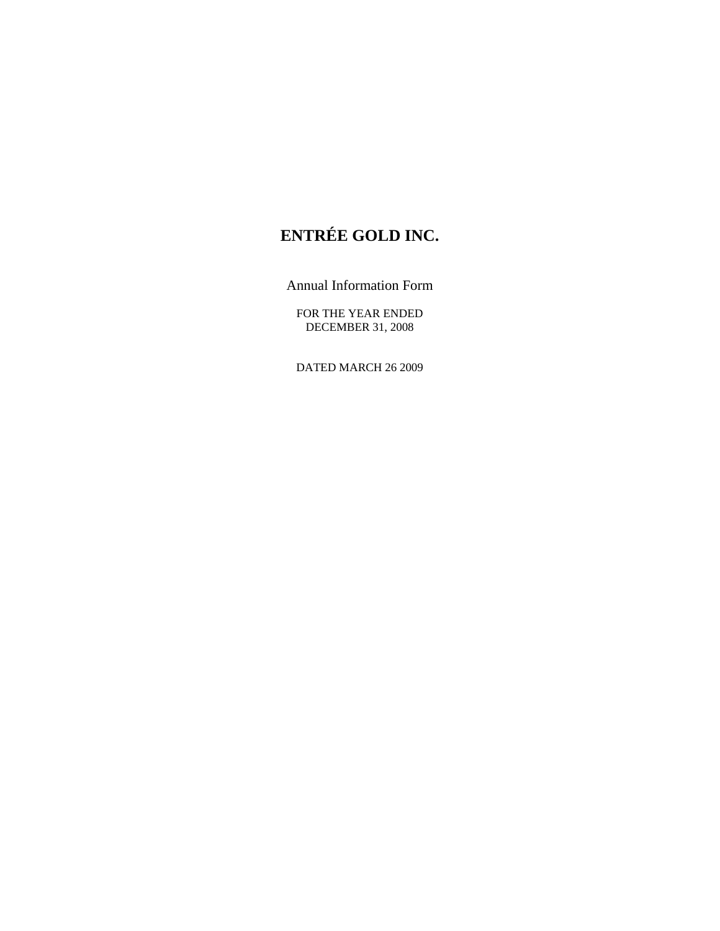# **ENTRÉE GOLD INC.**

Annual Information Form

FOR THE YEAR ENDED DECEMBER 31, 2008

DATED MARCH 26 2009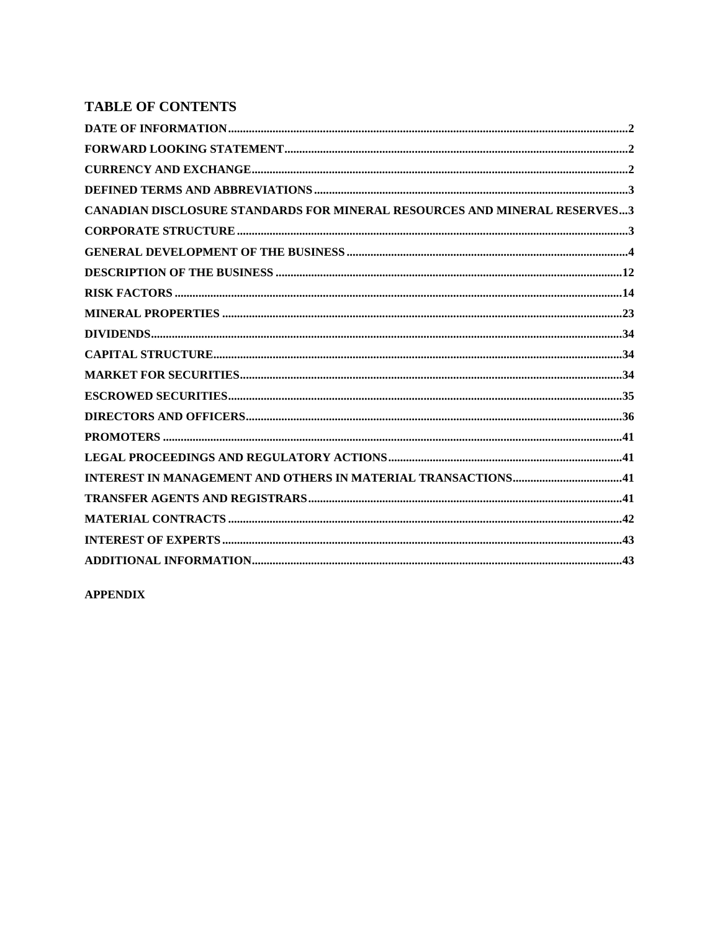# **TABLE OF CONTENTS**

**APPENDIX**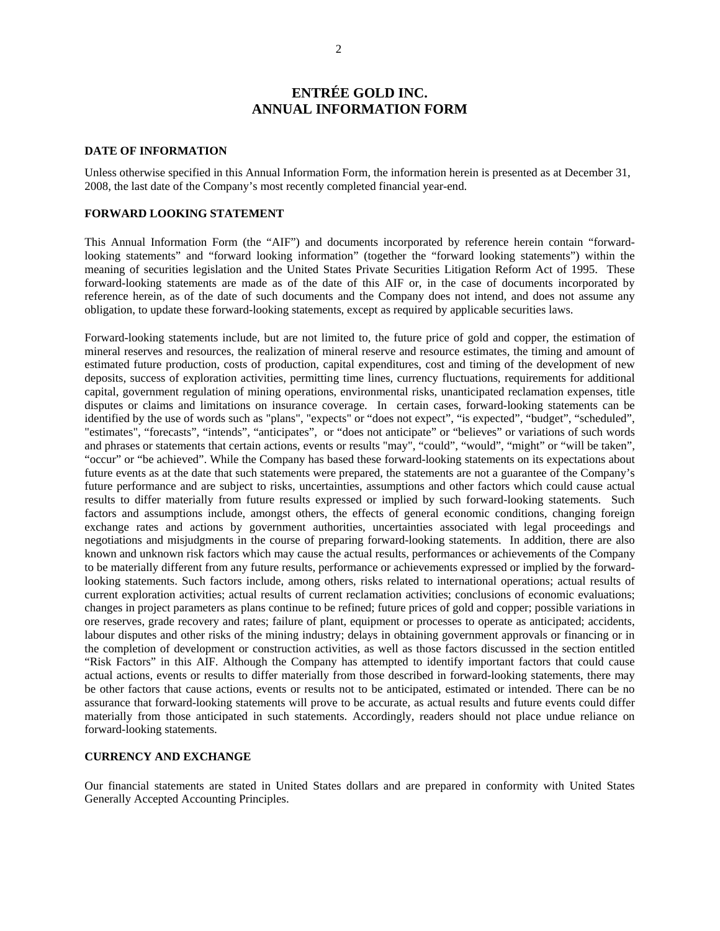# **ENTRÉE GOLD INC. ANNUAL INFORMATION FORM**

#### **DATE OF INFORMATION**

Unless otherwise specified in this Annual Information Form, the information herein is presented as at December 31, 2008, the last date of the Company's most recently completed financial year-end.

#### **FORWARD LOOKING STATEMENT**

This Annual Information Form (the "AIF") and documents incorporated by reference herein contain "forwardlooking statements" and "forward looking information" (together the "forward looking statements") within the meaning of securities legislation and the United States Private Securities Litigation Reform Act of 1995. These forward-looking statements are made as of the date of this AIF or, in the case of documents incorporated by reference herein, as of the date of such documents and the Company does not intend, and does not assume any obligation, to update these forward-looking statements, except as required by applicable securities laws.

Forward-looking statements include, but are not limited to, the future price of gold and copper, the estimation of mineral reserves and resources, the realization of mineral reserve and resource estimates, the timing and amount of estimated future production, costs of production, capital expenditures, cost and timing of the development of new deposits, success of exploration activities, permitting time lines, currency fluctuations, requirements for additional capital, government regulation of mining operations, environmental risks, unanticipated reclamation expenses, title disputes or claims and limitations on insurance coverage. In certain cases, forward-looking statements can be identified by the use of words such as "plans", "expects" or "does not expect", "is expected", "budget", "scheduled", "estimates", "forecasts", "intends", "anticipates", or "does not anticipate" or "believes" or variations of such words and phrases or statements that certain actions, events or results "may", "could", "would", "might" or "will be taken", "occur" or "be achieved". While the Company has based these forward-looking statements on its expectations about future events as at the date that such statements were prepared, the statements are not a guarantee of the Company's future performance and are subject to risks, uncertainties, assumptions and other factors which could cause actual results to differ materially from future results expressed or implied by such forward-looking statements. Such factors and assumptions include, amongst others, the effects of general economic conditions, changing foreign exchange rates and actions by government authorities, uncertainties associated with legal proceedings and negotiations and misjudgments in the course of preparing forward-looking statements. In addition, there are also known and unknown risk factors which may cause the actual results, performances or achievements of the Company to be materially different from any future results, performance or achievements expressed or implied by the forwardlooking statements. Such factors include, among others, risks related to international operations; actual results of current exploration activities; actual results of current reclamation activities; conclusions of economic evaluations; changes in project parameters as plans continue to be refined; future prices of gold and copper; possible variations in ore reserves, grade recovery and rates; failure of plant, equipment or processes to operate as anticipated; accidents, labour disputes and other risks of the mining industry; delays in obtaining government approvals or financing or in the completion of development or construction activities, as well as those factors discussed in the section entitled "Risk Factors" in this AIF. Although the Company has attempted to identify important factors that could cause actual actions, events or results to differ materially from those described in forward-looking statements, there may be other factors that cause actions, events or results not to be anticipated, estimated or intended. There can be no assurance that forward-looking statements will prove to be accurate, as actual results and future events could differ materially from those anticipated in such statements. Accordingly, readers should not place undue reliance on forward-looking statements.

# **CURRENCY AND EXCHANGE**

Our financial statements are stated in United States dollars and are prepared in conformity with United States Generally Accepted Accounting Principles.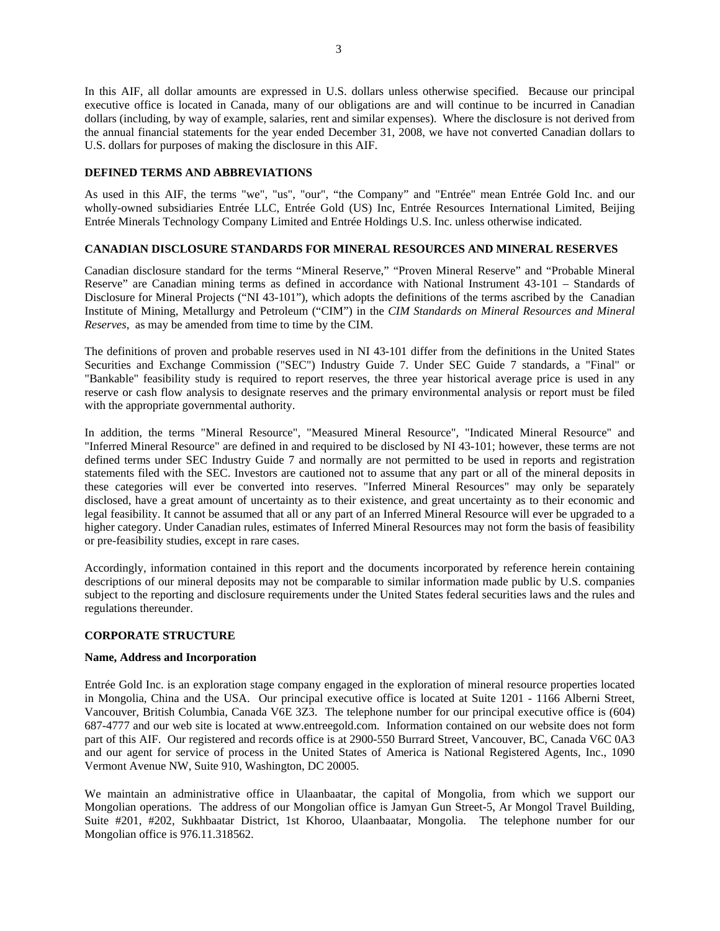In this AIF, all dollar amounts are expressed in U.S. dollars unless otherwise specified. Because our principal executive office is located in Canada, many of our obligations are and will continue to be incurred in Canadian dollars (including, by way of example, salaries, rent and similar expenses). Where the disclosure is not derived from the annual financial statements for the year ended December 31, 2008, we have not converted Canadian dollars to U.S. dollars for purposes of making the disclosure in this AIF.

# **DEFINED TERMS AND ABBREVIATIONS**

As used in this AIF, the terms "we", "us", "our", "the Company" and "Entrée" mean Entrée Gold Inc. and our wholly-owned subsidiaries Entrée LLC, Entrée Gold (US) Inc, Entrée Resources International Limited, Beijing Entrée Minerals Technology Company Limited and Entrée Holdings U.S. Inc. unless otherwise indicated.

# **CANADIAN DISCLOSURE STANDARDS FOR MINERAL RESOURCES AND MINERAL RESERVES**

Canadian disclosure standard for the terms "Mineral Reserve," "Proven Mineral Reserve" and "Probable Mineral Reserve" are Canadian mining terms as defined in accordance with National Instrument 43-101 – Standards of Disclosure for Mineral Projects ("NI 43-101"), which adopts the definitions of the terms ascribed by the Canadian Institute of Mining, Metallurgy and Petroleum ("CIM") in the *CIM Standards on Mineral Resources and Mineral Reserves*, as may be amended from time to time by the CIM.

The definitions of proven and probable reserves used in NI 43-101 differ from the definitions in the United States Securities and Exchange Commission ("SEC") Industry Guide 7. Under SEC Guide 7 standards, a "Final" or "Bankable" feasibility study is required to report reserves, the three year historical average price is used in any reserve or cash flow analysis to designate reserves and the primary environmental analysis or report must be filed with the appropriate governmental authority.

In addition, the terms "Mineral Resource", "Measured Mineral Resource", "Indicated Mineral Resource" and "Inferred Mineral Resource" are defined in and required to be disclosed by NI 43-101; however, these terms are not defined terms under SEC Industry Guide 7 and normally are not permitted to be used in reports and registration statements filed with the SEC. Investors are cautioned not to assume that any part or all of the mineral deposits in these categories will ever be converted into reserves. "Inferred Mineral Resources" may only be separately disclosed, have a great amount of uncertainty as to their existence, and great uncertainty as to their economic and legal feasibility. It cannot be assumed that all or any part of an Inferred Mineral Resource will ever be upgraded to a higher category. Under Canadian rules, estimates of Inferred Mineral Resources may not form the basis of feasibility or pre-feasibility studies, except in rare cases.

Accordingly, information contained in this report and the documents incorporated by reference herein containing descriptions of our mineral deposits may not be comparable to similar information made public by U.S. companies subject to the reporting and disclosure requirements under the United States federal securities laws and the rules and regulations thereunder.

## **CORPORATE STRUCTURE**

#### **Name, Address and Incorporation**

Entrée Gold Inc. is an exploration stage company engaged in the exploration of mineral resource properties located in Mongolia, China and the USA. Our principal executive office is located at Suite 1201 - 1166 Alberni Street, Vancouver, British Columbia, Canada V6E 3Z3. The telephone number for our principal executive office is (604) 687-4777 and our web site is located at www.entreegold.com. Information contained on our website does not form part of this AIF. Our registered and records office is at 2900-550 Burrard Street, Vancouver, BC, Canada V6C 0A3 and our agent for service of process in the United States of America is National Registered Agents, Inc., 1090 Vermont Avenue NW, Suite 910, Washington, DC 20005.

We maintain an administrative office in Ulaanbaatar, the capital of Mongolia, from which we support our Mongolian operations. The address of our Mongolian office is Jamyan Gun Street-5, Ar Mongol Travel Building, Suite #201, #202, Sukhbaatar District, 1st Khoroo, Ulaanbaatar, Mongolia. The telephone number for our Mongolian office is 976.11.318562.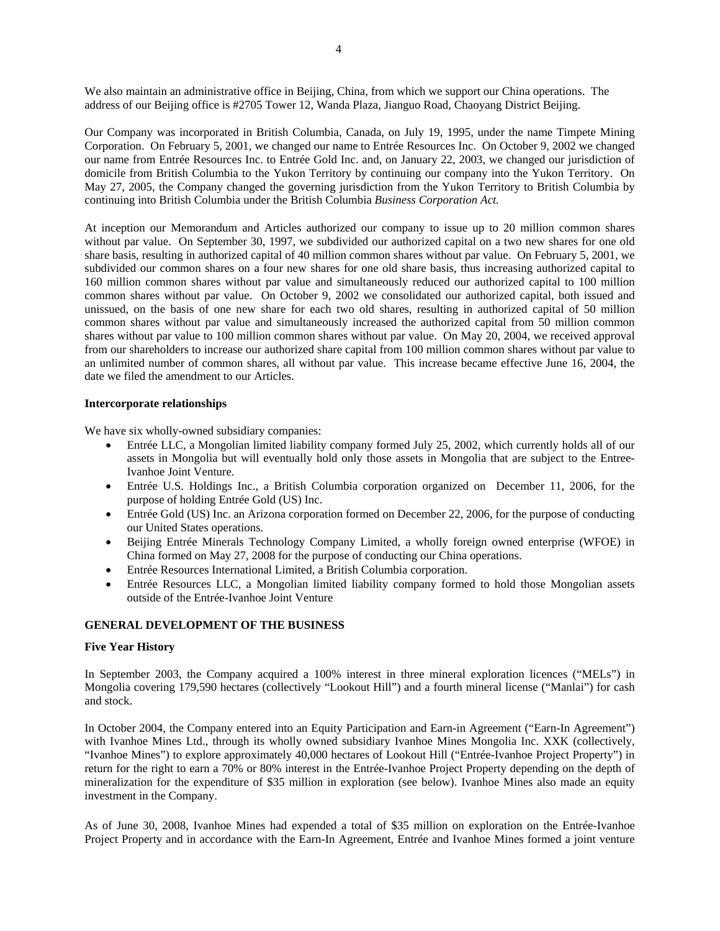We also maintain an administrative office in Beijing, China, from which we support our China operations. The address of our Beijing office is #2705 Tower 12, Wanda Plaza, Jianguo Road, Chaoyang District Beijing.

Our Company was incorporated in British Columbia, Canada, on July 19, 1995, under the name Timpete Mining Corporation. On February 5, 2001, we changed our name to Entrée Resources Inc. On October 9, 2002 we changed our name from Entrée Resources Inc. to Entrée Gold Inc. and, on January 22, 2003, we changed our jurisdiction of domicile from British Columbia to the Yukon Territory by continuing our company into the Yukon Territory. On May 27, 2005, the Company changed the governing jurisdiction from the Yukon Territory to British Columbia by continuing into British Columbia under the British Columbia *Business Corporation Act.*

At inception our Memorandum and Articles authorized our company to issue up to 20 million common shares without par value. On September 30, 1997, we subdivided our authorized capital on a two new shares for one old share basis, resulting in authorized capital of 40 million common shares without par value. On February 5, 2001, we subdivided our common shares on a four new shares for one old share basis, thus increasing authorized capital to 160 million common shares without par value and simultaneously reduced our authorized capital to 100 million common shares without par value. On October 9, 2002 we consolidated our authorized capital, both issued and unissued, on the basis of one new share for each two old shares, resulting in authorized capital of 50 million common shares without par value and simultaneously increased the authorized capital from 50 million common shares without par value to 100 million common shares without par value. On May 20, 2004, we received approval from our shareholders to increase our authorized share capital from 100 million common shares without par value to an unlimited number of common shares, all without par value. This increase became effective June 16, 2004, the date we filed the amendment to our Articles.

#### **Intercorporate relationships**

We have six wholly-owned subsidiary companies:

- Entrée LLC, a Mongolian limited liability company formed July 25, 2002, which currently holds all of our assets in Mongolia but will eventually hold only those assets in Mongolia that are subject to the Entree-Ivanhoe Joint Venture.
- Entrée U.S. Holdings Inc., a British Columbia corporation organized on December 11, 2006, for the purpose of holding Entrée Gold (US) Inc.
- Entrée Gold (US) Inc. an Arizona corporation formed on December 22, 2006, for the purpose of conducting our United States operations.
- Beijing Entrée Minerals Technology Company Limited, a wholly foreign owned enterprise (WFOE) in China formed on May 27, 2008 for the purpose of conducting our China operations.
- Entrée Resources International Limited, a British Columbia corporation.
- Entrée Resources LLC, a Mongolian limited liability company formed to hold those Mongolian assets outside of the Entrée-Ivanhoe Joint Venture

#### **GENERAL DEVELOPMENT OF THE BUSINESS**

#### **Five Year History**

In September 2003, the Company acquired a 100% interest in three mineral exploration licences ("MELs") in Mongolia covering 179,590 hectares (collectively "Lookout Hill") and a fourth mineral license ("Manlai") for cash and stock.

In October 2004, the Company entered into an Equity Participation and Earn-in Agreement ("Earn-In Agreement") with Ivanhoe Mines Ltd., through its wholly owned subsidiary Ivanhoe Mines Mongolia Inc. XXK (collectively, "Ivanhoe Mines") to explore approximately 40,000 hectares of Lookout Hill ("Entrée-Ivanhoe Project Property") in return for the right to earn a 70% or 80% interest in the Entrée-Ivanhoe Project Property depending on the depth of mineralization for the expenditure of \$35 million in exploration (see below). Ivanhoe Mines also made an equity investment in the Company.

As of June 30, 2008, Ivanhoe Mines had expended a total of \$35 million on exploration on the Entrée-Ivanhoe Project Property and in accordance with the Earn-In Agreement, Entrée and Ivanhoe Mines formed a joint venture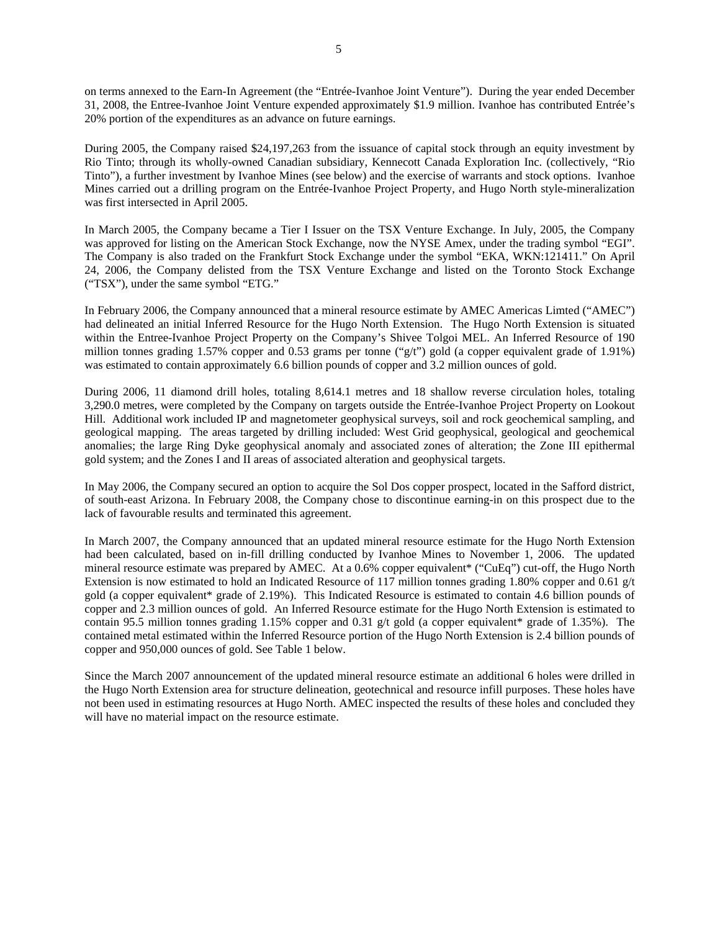on terms annexed to the Earn-In Agreement (the "Entrée-Ivanhoe Joint Venture"). During the year ended December 31, 2008, the Entree-Ivanhoe Joint Venture expended approximately \$1.9 million. Ivanhoe has contributed Entrée's

During 2005, the Company raised \$24,197,263 from the issuance of capital stock through an equity investment by Rio Tinto; through its wholly-owned Canadian subsidiary, Kennecott Canada Exploration Inc. (collectively, "Rio Tinto"), a further investment by Ivanhoe Mines (see below) and the exercise of warrants and stock options. Ivanhoe Mines carried out a drilling program on the Entrée-Ivanhoe Project Property, and Hugo North style-mineralization was first intersected in April 2005.

In March 2005, the Company became a Tier I Issuer on the TSX Venture Exchange. In July, 2005, the Company was approved for listing on the American Stock Exchange, now the NYSE Amex, under the trading symbol "EGI". The Company is also traded on the Frankfurt Stock Exchange under the symbol "EKA, WKN:121411." On April 24, 2006, the Company delisted from the TSX Venture Exchange and listed on the Toronto Stock Exchange ("TSX"), under the same symbol "ETG."

In February 2006, the Company announced that a mineral resource estimate by AMEC Americas Limted ("AMEC") had delineated an initial Inferred Resource for the Hugo North Extension. The Hugo North Extension is situated within the Entree-Ivanhoe Project Property on the Company's Shivee Tolgoi MEL. An Inferred Resource of 190 million tonnes grading 1.57% copper and 0.53 grams per tonne ("g/t") gold (a copper equivalent grade of 1.91%) was estimated to contain approximately 6.6 billion pounds of copper and 3.2 million ounces of gold.

During 2006, 11 diamond drill holes, totaling 8,614.1 metres and 18 shallow reverse circulation holes, totaling 3,290.0 metres, were completed by the Company on targets outside the Entrée-Ivanhoe Project Property on Lookout Hill. Additional work included IP and magnetometer geophysical surveys, soil and rock geochemical sampling, and geological mapping. The areas targeted by drilling included: West Grid geophysical, geological and geochemical anomalies; the large Ring Dyke geophysical anomaly and associated zones of alteration; the Zone III epithermal gold system; and the Zones I and II areas of associated alteration and geophysical targets.

In May 2006, the Company secured an option to acquire the Sol Dos copper prospect, located in the Safford district, of south-east Arizona. In February 2008, the Company chose to discontinue earning-in on this prospect due to the lack of favourable results and terminated this agreement.

In March 2007, the Company announced that an updated mineral resource estimate for the Hugo North Extension had been calculated, based on in-fill drilling conducted by Ivanhoe Mines to November 1, 2006. The updated mineral resource estimate was prepared by AMEC. At a 0.6% copper equivalent\* ("CuEq") cut-off, the Hugo North Extension is now estimated to hold an Indicated Resource of 117 million tonnes grading 1.80% copper and 0.61 g/t gold (a copper equivalent\* grade of 2.19%). This Indicated Resource is estimated to contain 4.6 billion pounds of copper and 2.3 million ounces of gold. An Inferred Resource estimate for the Hugo North Extension is estimated to contain 95.5 million tonnes grading 1.15% copper and 0.31 g/t gold (a copper equivalent\* grade of 1.35%). The contained metal estimated within the Inferred Resource portion of the Hugo North Extension is 2.4 billion pounds of copper and 950,000 ounces of gold. See Table 1 below.

Since the March 2007 announcement of the updated mineral resource estimate an additional 6 holes were drilled in the Hugo North Extension area for structure delineation, geotechnical and resource infill purposes. These holes have not been used in estimating resources at Hugo North. AMEC inspected the results of these holes and concluded they will have no material impact on the resource estimate.

20% portion of the expenditures as an advance on future earnings.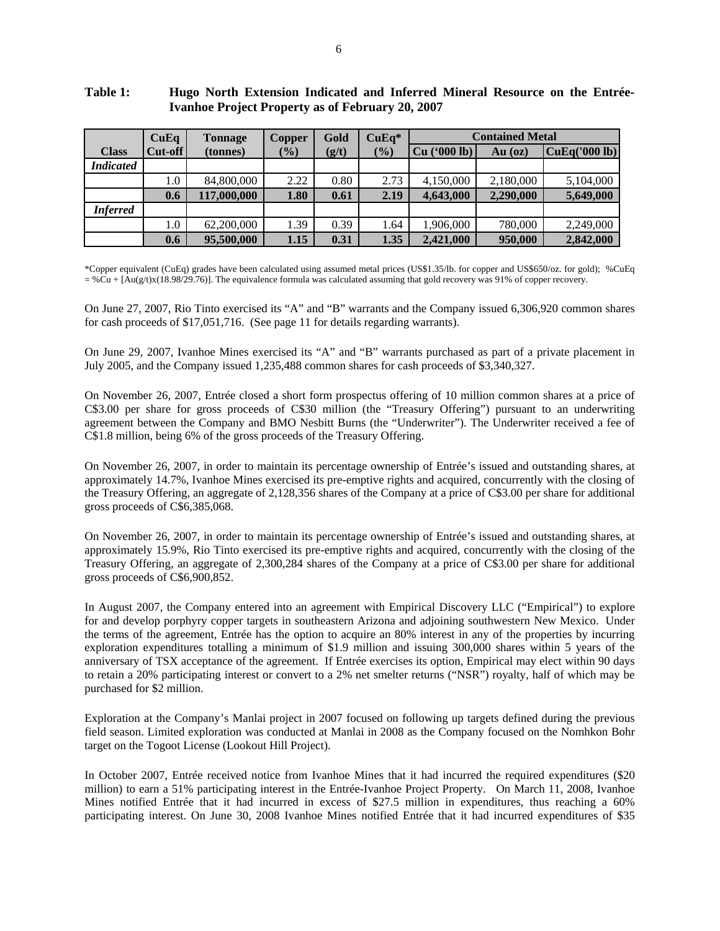|                  | CuEq    | <b>Tonnage</b> | Copper        | Gold  | $CuEq*$ | <b>Contained Metal</b> |           |               |
|------------------|---------|----------------|---------------|-------|---------|------------------------|-----------|---------------|
| <b>Class</b>     | Cut-off | (tonnes)       | $\frac{1}{2}$ | (g/t) | (9/0)   | Cu (°000 lb)           | $Au$ (oz) | CuEq('000 lb) |
| <b>Indicated</b> |         |                |               |       |         |                        |           |               |
|                  | $1.0\,$ | 84,800,000     | 2.22          | 0.80  | 2.73    | 4,150,000              | 2,180,000 | 5,104,000     |
|                  | 0.6     | 117,000,000    | 1.80          | 0.61  | 2.19    | 4,643,000              | 2,290,000 | 5,649,000     |
| <b>Inferred</b>  |         |                |               |       |         |                        |           |               |
|                  | $1.0\,$ | 62,200,000     | 1.39          | 0.39  | 1.64    | 1,906,000              | 780,000   | 2,249,000     |
|                  | 0.6     | 95,500,000     | 1.15          | 0.31  | 1.35    | 2,421,000              | 950,000   | 2,842,000     |

# **Table 1: Hugo North Extension Indicated and Inferred Mineral Resource on the Entrée-Ivanhoe Project Property as of February 20, 2007**

\*Copper equivalent (CuEq) grades have been calculated using assumed metal prices (US\$1.35/lb. for copper and US\$650/oz. for gold); %CuEq  $= %Cu + [Au(g/t)x(18.98/29.76)]$ . The equivalence formula was calculated assuming that gold recovery was 91% of copper recovery.

On June 27, 2007, Rio Tinto exercised its "A" and "B" warrants and the Company issued 6,306,920 common shares for cash proceeds of \$17,051,716. (See page 11 for details regarding warrants).

On June 29, 2007, Ivanhoe Mines exercised its "A" and "B" warrants purchased as part of a private placement in July 2005, and the Company issued 1,235,488 common shares for cash proceeds of \$3,340,327.

On November 26, 2007, Entrée closed a short form prospectus offering of 10 million common shares at a price of C\$3.00 per share for gross proceeds of C\$30 million (the "Treasury Offering") pursuant to an underwriting agreement between the Company and BMO Nesbitt Burns (the "Underwriter"). The Underwriter received a fee of C\$1.8 million, being 6% of the gross proceeds of the Treasury Offering.

On November 26, 2007, in order to maintain its percentage ownership of Entrée's issued and outstanding shares, at approximately 14.7%, Ivanhoe Mines exercised its pre-emptive rights and acquired, concurrently with the closing of the Treasury Offering, an aggregate of 2,128,356 shares of the Company at a price of C\$3.00 per share for additional gross proceeds of C\$6,385,068.

On November 26, 2007, in order to maintain its percentage ownership of Entrée's issued and outstanding shares, at approximately 15.9%, Rio Tinto exercised its pre-emptive rights and acquired, concurrently with the closing of the Treasury Offering, an aggregate of 2,300,284 shares of the Company at a price of C\$3.00 per share for additional gross proceeds of C\$6,900,852.

In August 2007, the Company entered into an agreement with Empirical Discovery LLC ("Empirical") to explore for and develop porphyry copper targets in southeastern Arizona and adjoining southwestern New Mexico. Under the terms of the agreement, Entrée has the option to acquire an 80% interest in any of the properties by incurring exploration expenditures totalling a minimum of \$1.9 million and issuing 300,000 shares within 5 years of the anniversary of TSX acceptance of the agreement. If Entrée exercises its option, Empirical may elect within 90 days to retain a 20% participating interest or convert to a 2% net smelter returns ("NSR") royalty, half of which may be purchased for \$2 million.

Exploration at the Company's Manlai project in 2007 focused on following up targets defined during the previous field season. Limited exploration was conducted at Manlai in 2008 as the Company focused on the Nomhkon Bohr target on the Togoot License (Lookout Hill Project).

In October 2007, Entrée received notice from Ivanhoe Mines that it had incurred the required expenditures (\$20 million) to earn a 51% participating interest in the Entrée-Ivanhoe Project Property. On March 11, 2008, Ivanhoe Mines notified Entrée that it had incurred in excess of \$27.5 million in expenditures, thus reaching a 60% participating interest. On June 30, 2008 Ivanhoe Mines notified Entrée that it had incurred expenditures of \$35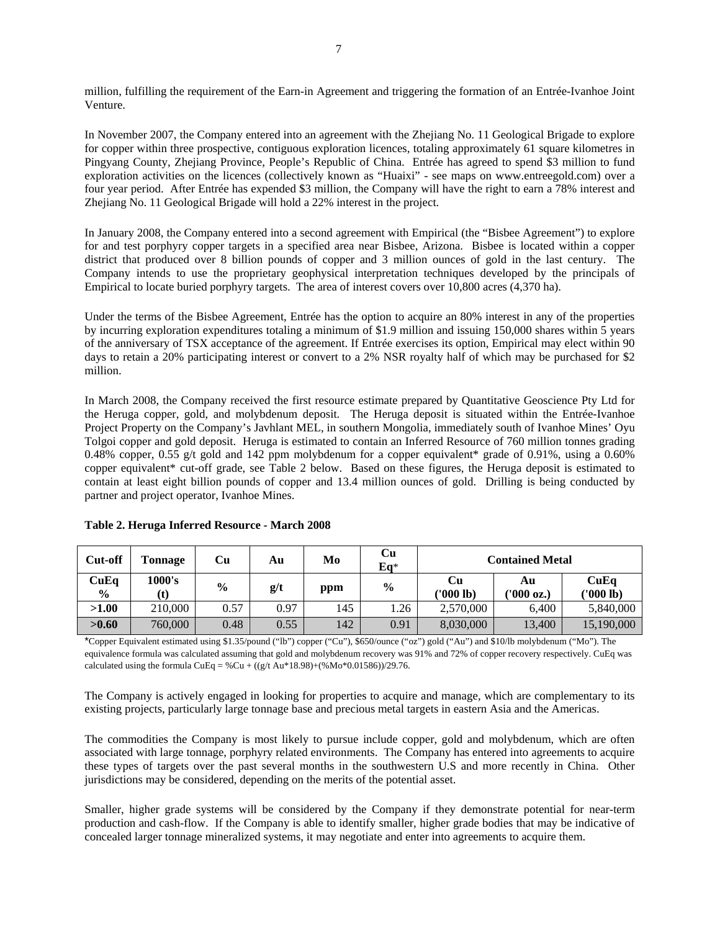million, fulfilling the requirement of the Earn-in Agreement and triggering the formation of an Entrée-Ivanhoe Joint Venture.

In November 2007, the Company entered into an agreement with the Zhejiang No. 11 Geological Brigade to explore for copper within three prospective, contiguous exploration licences, totaling approximately 61 square kilometres in Pingyang County, Zhejiang Province, People's Republic of China. Entrée has agreed to spend \$3 million to fund exploration activities on the licences (collectively known as "Huaixi" - see maps on www.entreegold.com) over a four year period. After Entrée has expended \$3 million, the Company will have the right to earn a 78% interest and Zhejiang No. 11 Geological Brigade will hold a 22% interest in the project.

In January 2008, the Company entered into a second agreement with Empirical (the "Bisbee Agreement") to explore for and test porphyry copper targets in a specified area near Bisbee, Arizona. Bisbee is located within a copper district that produced over 8 billion pounds of copper and 3 million ounces of gold in the last century. The Company intends to use the proprietary geophysical interpretation techniques developed by the principals of Empirical to locate buried porphyry targets. The area of interest covers over 10,800 acres (4,370 ha).

Under the terms of the Bisbee Agreement, Entrée has the option to acquire an 80% interest in any of the properties by incurring exploration expenditures totaling a minimum of \$1.9 million and issuing 150,000 shares within 5 years of the anniversary of TSX acceptance of the agreement. If Entrée exercises its option, Empirical may elect within 90 days to retain a 20% participating interest or convert to a 2% NSR royalty half of which may be purchased for \$2 million.

In March 2008, the Company received the first resource estimate prepared by Quantitative Geoscience Pty Ltd for the Heruga copper, gold, and molybdenum deposit. The Heruga deposit is situated within the Entrée-Ivanhoe Project Property on the Company's Javhlant MEL, in southern Mongolia, immediately south of Ivanhoe Mines' Oyu Tolgoi copper and gold deposit. Heruga is estimated to contain an Inferred Resource of 760 million tonnes grading 0.48% copper, 0.55 g/t gold and 142 ppm molybdenum for a copper equivalent\* grade of 0.91%, using a 0.60% copper equivalent\* cut-off grade, see Table 2 below. Based on these figures, the Heruga deposit is estimated to contain at least eight billion pounds of copper and 13.4 million ounces of gold. Drilling is being conducted by partner and project operator, Ivanhoe Mines.

| Cut-off                | Tonnage | Cu            | Αu   | Mo  | Сu<br>$Eq*$   | <b>Contained Metal</b> |                  |                   |
|------------------------|---------|---------------|------|-----|---------------|------------------------|------------------|-------------------|
| CuEq<br>$\frac{6}{10}$ | 1000's  | $\frac{0}{0}$ | g/t  | ppm | $\frac{6}{6}$ | Cu<br>('000 lb)        | Αu<br>(1000 oz.) | CuEa<br>('000 lb) |
| >1.00                  | 210,000 | 0.57          | 0.97 | 145 | 1.26          | 2,570,000              | 6.400            | 5,840,000         |
| >0.60                  | 760,000 | 0.48          | 0.55 | 142 | 0.91          | 8,030,000              | 13,400           | 15,190,000        |

**Table 2. Heruga Inferred Resource - March 2008** 

\*Copper Equivalent estimated using \$1.35/pound ("lb") copper ("Cu"), \$650/ounce ("oz") gold ("Au") and \$10/lb molybdenum ("Mo"). The equivalence formula was calculated assuming that gold and molybdenum recovery was 91% and 72% of copper recovery respectively. CuEq was calculated using the formula  $CuEq = %Cu + ((g/t Au*18.98)+(%Mo*0.01586))/29.76$ .

The Company is actively engaged in looking for properties to acquire and manage, which are complementary to its existing projects, particularly large tonnage base and precious metal targets in eastern Asia and the Americas.

The commodities the Company is most likely to pursue include copper, gold and molybdenum, which are often associated with large tonnage, porphyry related environments. The Company has entered into agreements to acquire these types of targets over the past several months in the southwestern U.S and more recently in China. Other jurisdictions may be considered, depending on the merits of the potential asset.

Smaller, higher grade systems will be considered by the Company if they demonstrate potential for near-term production and cash-flow. If the Company is able to identify smaller, higher grade bodies that may be indicative of concealed larger tonnage mineralized systems, it may negotiate and enter into agreements to acquire them.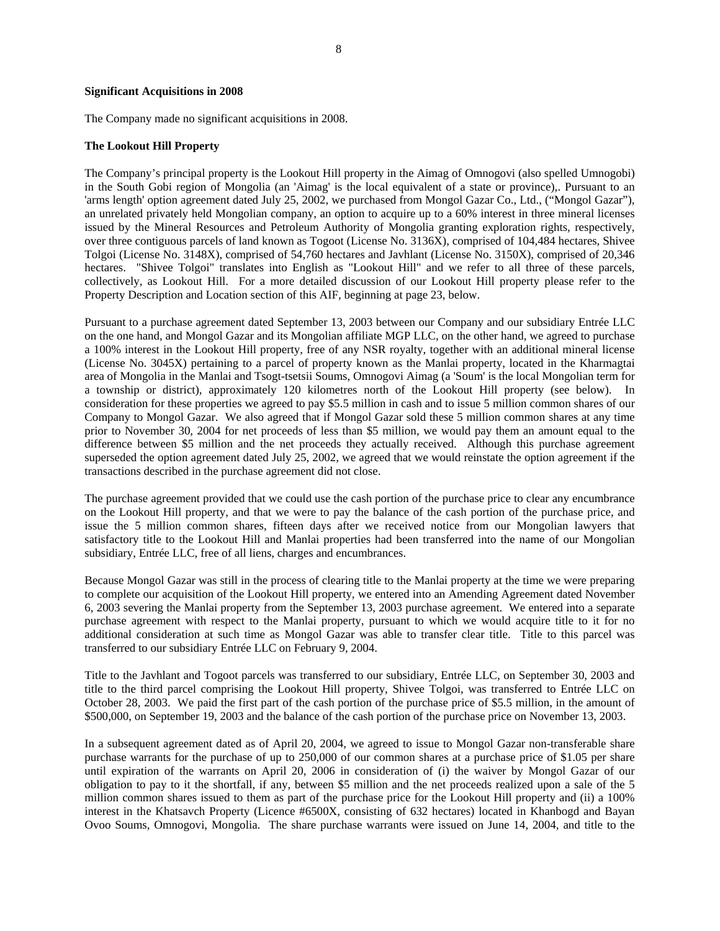#### **Significant Acquisitions in 2008**

The Company made no significant acquisitions in 2008.

#### **The Lookout Hill Property**

The Company's principal property is the Lookout Hill property in the Aimag of Omnogovi (also spelled Umnogobi) in the South Gobi region of Mongolia (an 'Aimag' is the local equivalent of a state or province),. Pursuant to an 'arms length' option agreement dated July 25, 2002, we purchased from Mongol Gazar Co., Ltd., ("Mongol Gazar"), an unrelated privately held Mongolian company, an option to acquire up to a 60% interest in three mineral licenses issued by the Mineral Resources and Petroleum Authority of Mongolia granting exploration rights, respectively, over three contiguous parcels of land known as Togoot (License No. 3136X), comprised of 104,484 hectares, Shivee Tolgoi (License No. 3148X), comprised of 54,760 hectares and Javhlant (License No. 3150X), comprised of 20,346 hectares. "Shivee Tolgoi" translates into English as "Lookout Hill" and we refer to all three of these parcels, collectively, as Lookout Hill. For a more detailed discussion of our Lookout Hill property please refer to the Property Description and Location section of this AIF, beginning at page 23, below.

Pursuant to a purchase agreement dated September 13, 2003 between our Company and our subsidiary Entrée LLC on the one hand, and Mongol Gazar and its Mongolian affiliate MGP LLC, on the other hand, we agreed to purchase a 100% interest in the Lookout Hill property, free of any NSR royalty, together with an additional mineral license (License No. 3045X) pertaining to a parcel of property known as the Manlai property, located in the Kharmagtai area of Mongolia in the Manlai and Tsogt-tsetsii Soums, Omnogovi Aimag (a 'Soum' is the local Mongolian term for a township or district), approximately 120 kilometres north of the Lookout Hill property (see below). In consideration for these properties we agreed to pay \$5.5 million in cash and to issue 5 million common shares of our Company to Mongol Gazar. We also agreed that if Mongol Gazar sold these 5 million common shares at any time prior to November 30, 2004 for net proceeds of less than \$5 million, we would pay them an amount equal to the difference between \$5 million and the net proceeds they actually received. Although this purchase agreement superseded the option agreement dated July 25, 2002, we agreed that we would reinstate the option agreement if the transactions described in the purchase agreement did not close.

The purchase agreement provided that we could use the cash portion of the purchase price to clear any encumbrance on the Lookout Hill property, and that we were to pay the balance of the cash portion of the purchase price, and issue the 5 million common shares, fifteen days after we received notice from our Mongolian lawyers that satisfactory title to the Lookout Hill and Manlai properties had been transferred into the name of our Mongolian subsidiary, Entrée LLC, free of all liens, charges and encumbrances.

Because Mongol Gazar was still in the process of clearing title to the Manlai property at the time we were preparing to complete our acquisition of the Lookout Hill property, we entered into an Amending Agreement dated November 6, 2003 severing the Manlai property from the September 13, 2003 purchase agreement. We entered into a separate purchase agreement with respect to the Manlai property, pursuant to which we would acquire title to it for no additional consideration at such time as Mongol Gazar was able to transfer clear title. Title to this parcel was transferred to our subsidiary Entrée LLC on February 9, 2004.

Title to the Javhlant and Togoot parcels was transferred to our subsidiary, Entrée LLC, on September 30, 2003 and title to the third parcel comprising the Lookout Hill property, Shivee Tolgoi, was transferred to Entrée LLC on October 28, 2003. We paid the first part of the cash portion of the purchase price of \$5.5 million, in the amount of \$500,000, on September 19, 2003 and the balance of the cash portion of the purchase price on November 13, 2003.

In a subsequent agreement dated as of April 20, 2004, we agreed to issue to Mongol Gazar non-transferable share purchase warrants for the purchase of up to 250,000 of our common shares at a purchase price of \$1.05 per share until expiration of the warrants on April 20, 2006 in consideration of (i) the waiver by Mongol Gazar of our obligation to pay to it the shortfall, if any, between \$5 million and the net proceeds realized upon a sale of the 5 million common shares issued to them as part of the purchase price for the Lookout Hill property and (ii) a 100% interest in the Khatsavch Property (Licence #6500X, consisting of 632 hectares) located in Khanbogd and Bayan Ovoo Soums, Omnogovi, Mongolia. The share purchase warrants were issued on June 14, 2004, and title to the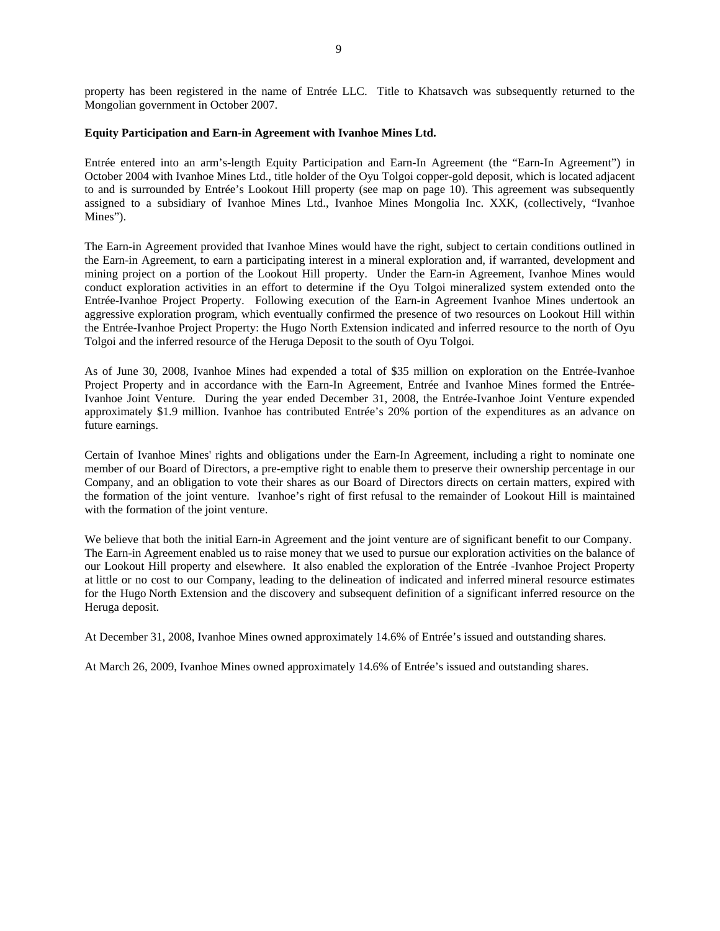# **Equity Participation and Earn-in Agreement with Ivanhoe Mines Ltd.**

Mongolian government in October 2007.

Entrée entered into an arm's-length Equity Participation and Earn-In Agreement (the "Earn-In Agreement") in October 2004 with Ivanhoe Mines Ltd., title holder of the Oyu Tolgoi copper-gold deposit, which is located adjacent to and is surrounded by Entrée's Lookout Hill property (see map on page 10). This agreement was subsequently assigned to a subsidiary of Ivanhoe Mines Ltd., Ivanhoe Mines Mongolia Inc. XXK, (collectively, "Ivanhoe Mines").

The Earn-in Agreement provided that Ivanhoe Mines would have the right, subject to certain conditions outlined in the Earn-in Agreement, to earn a participating interest in a mineral exploration and, if warranted, development and mining project on a portion of the Lookout Hill property. Under the Earn-in Agreement, Ivanhoe Mines would conduct exploration activities in an effort to determine if the Oyu Tolgoi mineralized system extended onto the Entrée-Ivanhoe Project Property. Following execution of the Earn-in Agreement Ivanhoe Mines undertook an aggressive exploration program, which eventually confirmed the presence of two resources on Lookout Hill within the Entrée-Ivanhoe Project Property: the Hugo North Extension indicated and inferred resource to the north of Oyu Tolgoi and the inferred resource of the Heruga Deposit to the south of Oyu Tolgoi.

As of June 30, 2008, Ivanhoe Mines had expended a total of \$35 million on exploration on the Entrée-Ivanhoe Project Property and in accordance with the Earn-In Agreement, Entrée and Ivanhoe Mines formed the Entrée-Ivanhoe Joint Venture. During the year ended December 31, 2008, the Entrée-Ivanhoe Joint Venture expended approximately \$1.9 million. Ivanhoe has contributed Entrée's 20% portion of the expenditures as an advance on future earnings.

Certain of Ivanhoe Mines' rights and obligations under the Earn-In Agreement, including a right to nominate one member of our Board of Directors, a pre-emptive right to enable them to preserve their ownership percentage in our Company, and an obligation to vote their shares as our Board of Directors directs on certain matters, expired with the formation of the joint venture. Ivanhoe's right of first refusal to the remainder of Lookout Hill is maintained with the formation of the joint venture.

We believe that both the initial Earn-in Agreement and the joint venture are of significant benefit to our Company. The Earn-in Agreement enabled us to raise money that we used to pursue our exploration activities on the balance of our Lookout Hill property and elsewhere. It also enabled the exploration of the Entrée -Ivanhoe Project Property at little or no cost to our Company, leading to the delineation of indicated and inferred mineral resource estimates for the Hugo North Extension and the discovery and subsequent definition of a significant inferred resource on the Heruga deposit.

At December 31, 2008, Ivanhoe Mines owned approximately 14.6% of Entrée's issued and outstanding shares.

At March 26, 2009, Ivanhoe Mines owned approximately 14.6% of Entrée's issued and outstanding shares.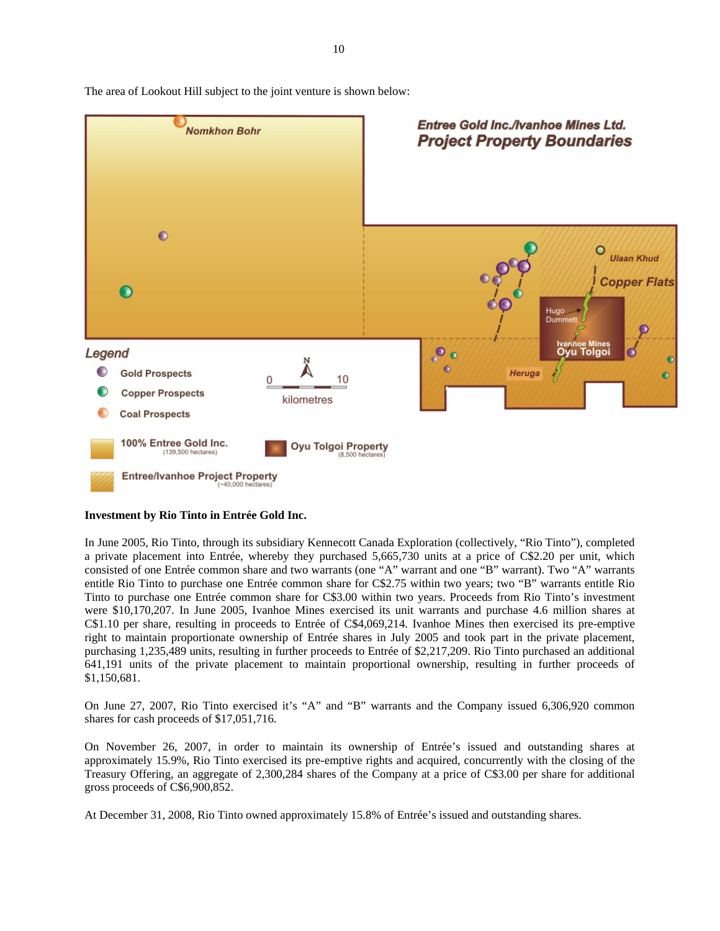

The area of Lookout Hill subject to the joint venture is shown below:

#### **Investment by Rio Tinto in Entrée Gold Inc.**

In June 2005, Rio Tinto, through its subsidiary Kennecott Canada Exploration (collectively, "Rio Tinto"), completed a private placement into Entrée, whereby they purchased 5,665,730 units at a price of C\$2.20 per unit, which consisted of one Entrée common share and two warrants (one "A" warrant and one "B" warrant). Two "A" warrants entitle Rio Tinto to purchase one Entrée common share for C\$2.75 within two years; two "B" warrants entitle Rio Tinto to purchase one Entrée common share for C\$3.00 within two years. Proceeds from Rio Tinto's investment were \$10,170,207. In June 2005, Ivanhoe Mines exercised its unit warrants and purchase 4.6 million shares at C\$1.10 per share, resulting in proceeds to Entrée of C\$4,069,214. Ivanhoe Mines then exercised its pre-emptive right to maintain proportionate ownership of Entrée shares in July 2005 and took part in the private placement, purchasing 1,235,489 units, resulting in further proceeds to Entrée of \$2,217,209. Rio Tinto purchased an additional 641,191 units of the private placement to maintain proportional ownership, resulting in further proceeds of \$1,150,681.

On June 27, 2007, Rio Tinto exercised it's "A" and "B" warrants and the Company issued 6,306,920 common shares for cash proceeds of \$17,051,716.

On November 26, 2007, in order to maintain its ownership of Entrée's issued and outstanding shares at approximately 15.9%, Rio Tinto exercised its pre-emptive rights and acquired, concurrently with the closing of the Treasury Offering, an aggregate of 2,300,284 shares of the Company at a price of C\$3.00 per share for additional gross proceeds of C\$6,900,852.

At December 31, 2008, Rio Tinto owned approximately 15.8% of Entrée's issued and outstanding shares.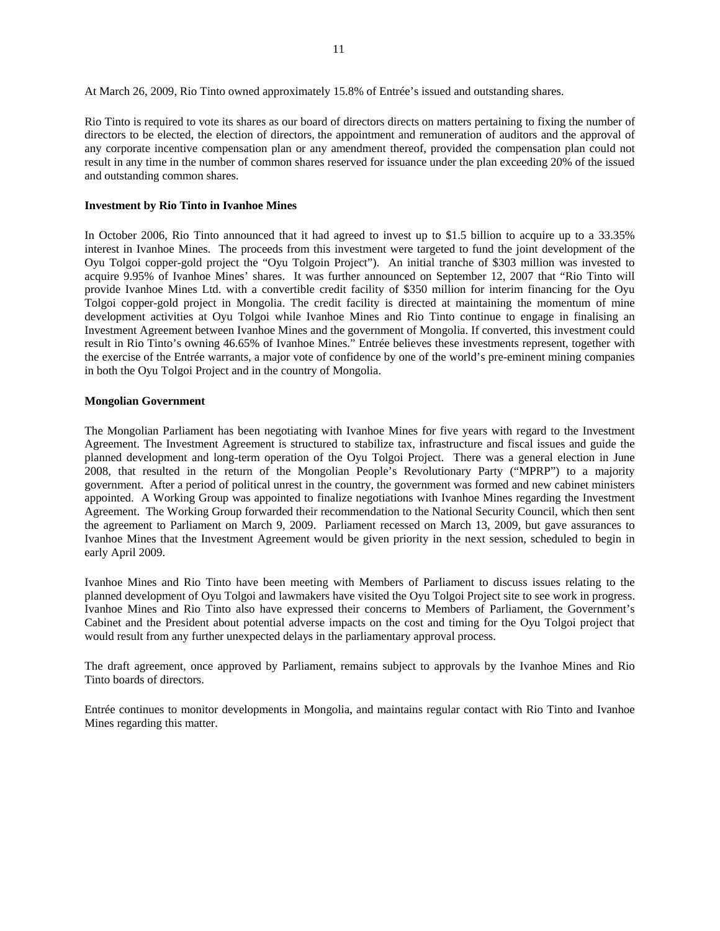At March 26, 2009, Rio Tinto owned approximately 15.8% of Entrée's issued and outstanding shares.

Rio Tinto is required to vote its shares as our board of directors directs on matters pertaining to fixing the number of directors to be elected, the election of directors, the appointment and remuneration of auditors and the approval of any corporate incentive compensation plan or any amendment thereof, provided the compensation plan could not result in any time in the number of common shares reserved for issuance under the plan exceeding 20% of the issued and outstanding common shares.

#### **Investment by Rio Tinto in Ivanhoe Mines**

In October 2006, Rio Tinto announced that it had agreed to invest up to \$1.5 billion to acquire up to a 33.35% interest in Ivanhoe Mines. The proceeds from this investment were targeted to fund the joint development of the Oyu Tolgoi copper-gold project the "Oyu Tolgoin Project"). An initial tranche of \$303 million was invested to acquire 9.95% of Ivanhoe Mines' shares. It was further announced on September 12, 2007 that "Rio Tinto will provide Ivanhoe Mines Ltd. with a convertible credit facility of \$350 million for interim financing for the Oyu Tolgoi copper-gold project in Mongolia. The credit facility is directed at maintaining the momentum of mine development activities at Oyu Tolgoi while Ivanhoe Mines and Rio Tinto continue to engage in finalising an Investment Agreement between Ivanhoe Mines and the government of Mongolia. If converted, this investment could result in Rio Tinto's owning 46.65% of Ivanhoe Mines." Entrée believes these investments represent, together with the exercise of the Entrée warrants, a major vote of confidence by one of the world's pre-eminent mining companies in both the Oyu Tolgoi Project and in the country of Mongolia.

#### **Mongolian Government**

The Mongolian Parliament has been negotiating with Ivanhoe Mines for five years with regard to the Investment Agreement. The Investment Agreement is structured to stabilize tax, infrastructure and fiscal issues and guide the planned development and long-term operation of the Oyu Tolgoi Project. There was a general election in June 2008, that resulted in the return of the Mongolian People's Revolutionary Party ("MPRP") to a majority government. After a period of political unrest in the country, the government was formed and new cabinet ministers appointed. A Working Group was appointed to finalize negotiations with Ivanhoe Mines regarding the Investment Agreement. The Working Group forwarded their recommendation to the National Security Council, which then sent the agreement to Parliament on March 9, 2009. Parliament recessed on March 13, 2009, but gave assurances to Ivanhoe Mines that the Investment Agreement would be given priority in the next session, scheduled to begin in early April 2009.

Ivanhoe Mines and Rio Tinto have been meeting with Members of Parliament to discuss issues relating to the planned development of Oyu Tolgoi and lawmakers have visited the Oyu Tolgoi Project site to see work in progress. Ivanhoe Mines and Rio Tinto also have expressed their concerns to Members of Parliament, the Government's Cabinet and the President about potential adverse impacts on the cost and timing for the Oyu Tolgoi project that would result from any further unexpected delays in the parliamentary approval process.

The draft agreement, once approved by Parliament, remains subject to approvals by the Ivanhoe Mines and Rio Tinto boards of directors.

Entrée continues to monitor developments in Mongolia, and maintains regular contact with Rio Tinto and Ivanhoe Mines regarding this matter.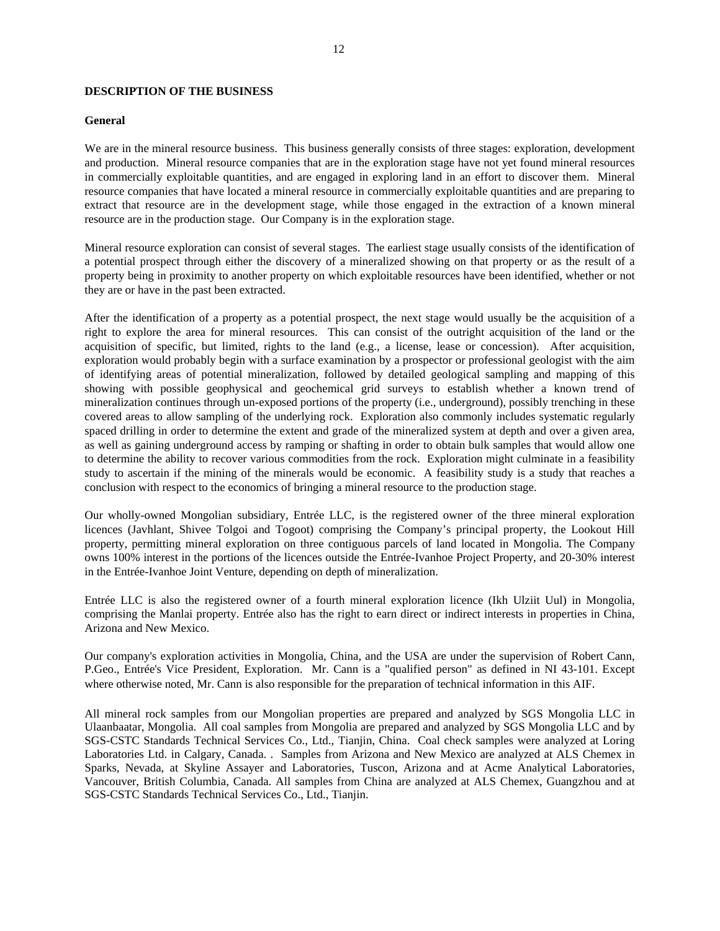# **DESCRIPTION OF THE BUSINESS**

#### **General**

We are in the mineral resource business. This business generally consists of three stages: exploration, development and production. Mineral resource companies that are in the exploration stage have not yet found mineral resources in commercially exploitable quantities, and are engaged in exploring land in an effort to discover them. Mineral resource companies that have located a mineral resource in commercially exploitable quantities and are preparing to extract that resource are in the development stage, while those engaged in the extraction of a known mineral resource are in the production stage. Our Company is in the exploration stage.

Mineral resource exploration can consist of several stages. The earliest stage usually consists of the identification of a potential prospect through either the discovery of a mineralized showing on that property or as the result of a property being in proximity to another property on which exploitable resources have been identified, whether or not they are or have in the past been extracted.

After the identification of a property as a potential prospect, the next stage would usually be the acquisition of a right to explore the area for mineral resources. This can consist of the outright acquisition of the land or the acquisition of specific, but limited, rights to the land (e.g., a license, lease or concession). After acquisition, exploration would probably begin with a surface examination by a prospector or professional geologist with the aim of identifying areas of potential mineralization, followed by detailed geological sampling and mapping of this showing with possible geophysical and geochemical grid surveys to establish whether a known trend of mineralization continues through un-exposed portions of the property (i.e., underground), possibly trenching in these covered areas to allow sampling of the underlying rock. Exploration also commonly includes systematic regularly spaced drilling in order to determine the extent and grade of the mineralized system at depth and over a given area, as well as gaining underground access by ramping or shafting in order to obtain bulk samples that would allow one to determine the ability to recover various commodities from the rock. Exploration might culminate in a feasibility study to ascertain if the mining of the minerals would be economic. A feasibility study is a study that reaches a conclusion with respect to the economics of bringing a mineral resource to the production stage.

Our wholly-owned Mongolian subsidiary, Entrée LLC, is the registered owner of the three mineral exploration licences (Javhlant, Shivee Tolgoi and Togoot) comprising the Company's principal property, the Lookout Hill property, permitting mineral exploration on three contiguous parcels of land located in Mongolia. The Company owns 100% interest in the portions of the licences outside the Entrée-Ivanhoe Project Property, and 20-30% interest in the Entrée-Ivanhoe Joint Venture, depending on depth of mineralization.

Entrée LLC is also the registered owner of a fourth mineral exploration licence (Ikh Ulziit Uul) in Mongolia, comprising the Manlai property. Entrée also has the right to earn direct or indirect interests in properties in China, Arizona and New Mexico.

Our company's exploration activities in Mongolia, China, and the USA are under the supervision of Robert Cann, P.Geo., Entrée's Vice President, Exploration. Mr. Cann is a "qualified person" as defined in NI 43-101. Except where otherwise noted, Mr. Cann is also responsible for the preparation of technical information in this AIF.

All mineral rock samples from our Mongolian properties are prepared and analyzed by SGS Mongolia LLC in Ulaanbaatar, Mongolia. All coal samples from Mongolia are prepared and analyzed by SGS Mongolia LLC and by SGS-CSTC Standards Technical Services Co., Ltd., Tianjin, China. Coal check samples were analyzed at Loring Laboratories Ltd. in Calgary, Canada. . Samples from Arizona and New Mexico are analyzed at ALS Chemex in Sparks, Nevada, at Skyline Assayer and Laboratories, Tuscon, Arizona and at Acme Analytical Laboratories, Vancouver, British Columbia, Canada. All samples from China are analyzed at ALS Chemex, Guangzhou and at SGS-CSTC Standards Technical Services Co., Ltd., Tianjin.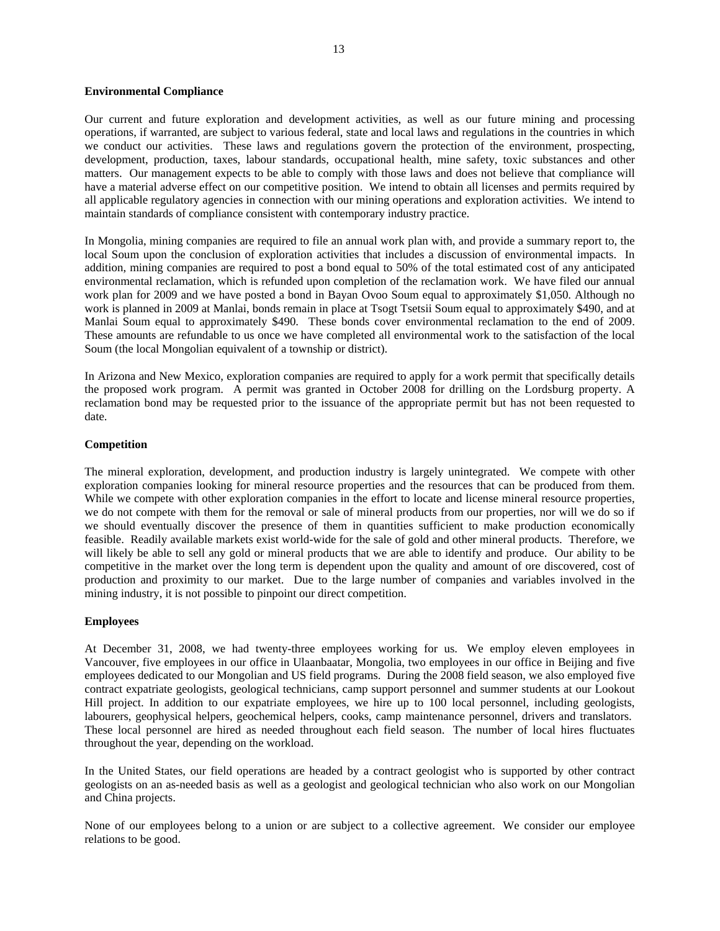#### **Environmental Compliance**

Our current and future exploration and development activities, as well as our future mining and processing operations, if warranted, are subject to various federal, state and local laws and regulations in the countries in which we conduct our activities. These laws and regulations govern the protection of the environment, prospecting, development, production, taxes, labour standards, occupational health, mine safety, toxic substances and other matters. Our management expects to be able to comply with those laws and does not believe that compliance will have a material adverse effect on our competitive position. We intend to obtain all licenses and permits required by all applicable regulatory agencies in connection with our mining operations and exploration activities. We intend to maintain standards of compliance consistent with contemporary industry practice.

In Mongolia, mining companies are required to file an annual work plan with, and provide a summary report to, the local Soum upon the conclusion of exploration activities that includes a discussion of environmental impacts. In addition, mining companies are required to post a bond equal to 50% of the total estimated cost of any anticipated environmental reclamation, which is refunded upon completion of the reclamation work. We have filed our annual work plan for 2009 and we have posted a bond in Bayan Ovoo Soum equal to approximately \$1,050. Although no work is planned in 2009 at Manlai, bonds remain in place at Tsogt Tsetsii Soum equal to approximately \$490, and at Manlai Soum equal to approximately \$490. These bonds cover environmental reclamation to the end of 2009. These amounts are refundable to us once we have completed all environmental work to the satisfaction of the local Soum (the local Mongolian equivalent of a township or district).

In Arizona and New Mexico, exploration companies are required to apply for a work permit that specifically details the proposed work program. A permit was granted in October 2008 for drilling on the Lordsburg property. A reclamation bond may be requested prior to the issuance of the appropriate permit but has not been requested to date.

#### **Competition**

The mineral exploration, development, and production industry is largely unintegrated. We compete with other exploration companies looking for mineral resource properties and the resources that can be produced from them. While we compete with other exploration companies in the effort to locate and license mineral resource properties, we do not compete with them for the removal or sale of mineral products from our properties, nor will we do so if we should eventually discover the presence of them in quantities sufficient to make production economically feasible. Readily available markets exist world-wide for the sale of gold and other mineral products. Therefore, we will likely be able to sell any gold or mineral products that we are able to identify and produce. Our ability to be competitive in the market over the long term is dependent upon the quality and amount of ore discovered, cost of production and proximity to our market. Due to the large number of companies and variables involved in the mining industry, it is not possible to pinpoint our direct competition.

# **Employees**

At December 31, 2008, we had twenty-three employees working for us. We employ eleven employees in Vancouver, five employees in our office in Ulaanbaatar, Mongolia, two employees in our office in Beijing and five employees dedicated to our Mongolian and US field programs. During the 2008 field season, we also employed five contract expatriate geologists, geological technicians, camp support personnel and summer students at our Lookout Hill project. In addition to our expatriate employees, we hire up to 100 local personnel, including geologists, labourers, geophysical helpers, geochemical helpers, cooks, camp maintenance personnel, drivers and translators. These local personnel are hired as needed throughout each field season. The number of local hires fluctuates throughout the year, depending on the workload.

In the United States, our field operations are headed by a contract geologist who is supported by other contract geologists on an as-needed basis as well as a geologist and geological technician who also work on our Mongolian and China projects.

None of our employees belong to a union or are subject to a collective agreement. We consider our employee relations to be good.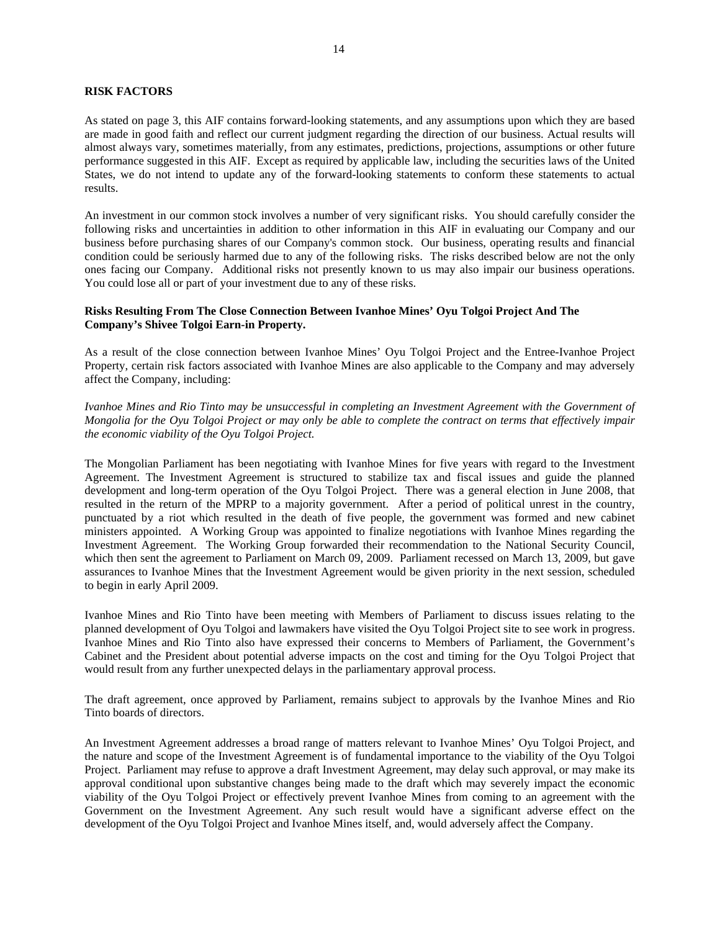# **RISK FACTORS**

As stated on page 3, this AIF contains forward-looking statements, and any assumptions upon which they are based are made in good faith and reflect our current judgment regarding the direction of our business. Actual results will almost always vary, sometimes materially, from any estimates, predictions, projections, assumptions or other future performance suggested in this AIF. Except as required by applicable law, including the securities laws of the United States, we do not intend to update any of the forward-looking statements to conform these statements to actual results.

An investment in our common stock involves a number of very significant risks. You should carefully consider the following risks and uncertainties in addition to other information in this AIF in evaluating our Company and our business before purchasing shares of our Company's common stock. Our business, operating results and financial condition could be seriously harmed due to any of the following risks. The risks described below are not the only ones facing our Company. Additional risks not presently known to us may also impair our business operations. You could lose all or part of your investment due to any of these risks.

# **Risks Resulting From The Close Connection Between Ivanhoe Mines' Oyu Tolgoi Project And The Company's Shivee Tolgoi Earn-in Property.**

As a result of the close connection between Ivanhoe Mines' Oyu Tolgoi Project and the Entree-Ivanhoe Project Property, certain risk factors associated with Ivanhoe Mines are also applicable to the Company and may adversely affect the Company, including:

*Ivanhoe Mines and Rio Tinto may be unsuccessful in completing an Investment Agreement with the Government of Mongolia for the Oyu Tolgoi Project or may only be able to complete the contract on terms that effectively impair the economic viability of the Oyu Tolgoi Project.* 

The Mongolian Parliament has been negotiating with Ivanhoe Mines for five years with regard to the Investment Agreement. The Investment Agreement is structured to stabilize tax and fiscal issues and guide the planned development and long-term operation of the Oyu Tolgoi Project. There was a general election in June 2008, that resulted in the return of the MPRP to a majority government. After a period of political unrest in the country, punctuated by a riot which resulted in the death of five people, the government was formed and new cabinet ministers appointed. A Working Group was appointed to finalize negotiations with Ivanhoe Mines regarding the Investment Agreement. The Working Group forwarded their recommendation to the National Security Council, which then sent the agreement to Parliament on March 09, 2009. Parliament recessed on March 13, 2009, but gave assurances to Ivanhoe Mines that the Investment Agreement would be given priority in the next session, scheduled to begin in early April 2009.

Ivanhoe Mines and Rio Tinto have been meeting with Members of Parliament to discuss issues relating to the planned development of Oyu Tolgoi and lawmakers have visited the Oyu Tolgoi Project site to see work in progress. Ivanhoe Mines and Rio Tinto also have expressed their concerns to Members of Parliament, the Government's Cabinet and the President about potential adverse impacts on the cost and timing for the Oyu Tolgoi Project that would result from any further unexpected delays in the parliamentary approval process.

The draft agreement, once approved by Parliament, remains subject to approvals by the Ivanhoe Mines and Rio Tinto boards of directors.

An Investment Agreement addresses a broad range of matters relevant to Ivanhoe Mines' Oyu Tolgoi Project, and the nature and scope of the Investment Agreement is of fundamental importance to the viability of the Oyu Tolgoi Project. Parliament may refuse to approve a draft Investment Agreement, may delay such approval, or may make its approval conditional upon substantive changes being made to the draft which may severely impact the economic viability of the Oyu Tolgoi Project or effectively prevent Ivanhoe Mines from coming to an agreement with the Government on the Investment Agreement. Any such result would have a significant adverse effect on the development of the Oyu Tolgoi Project and Ivanhoe Mines itself, and, would adversely affect the Company.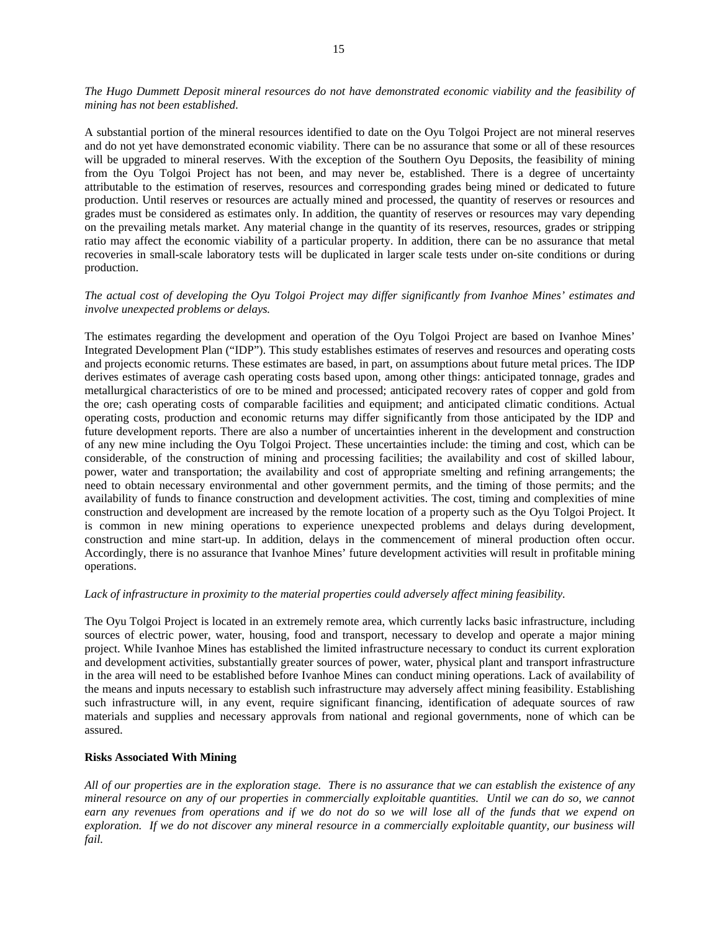*The Hugo Dummett Deposit mineral resources do not have demonstrated economic viability and the feasibility of mining has not been established.* 

A substantial portion of the mineral resources identified to date on the Oyu Tolgoi Project are not mineral reserves and do not yet have demonstrated economic viability. There can be no assurance that some or all of these resources will be upgraded to mineral reserves. With the exception of the Southern Oyu Deposits, the feasibility of mining from the Oyu Tolgoi Project has not been, and may never be, established. There is a degree of uncertainty attributable to the estimation of reserves, resources and corresponding grades being mined or dedicated to future production. Until reserves or resources are actually mined and processed, the quantity of reserves or resources and grades must be considered as estimates only. In addition, the quantity of reserves or resources may vary depending on the prevailing metals market. Any material change in the quantity of its reserves, resources, grades or stripping ratio may affect the economic viability of a particular property. In addition, there can be no assurance that metal recoveries in small-scale laboratory tests will be duplicated in larger scale tests under on-site conditions or during production.

# *The actual cost of developing the Oyu Tolgoi Project may differ significantly from Ivanhoe Mines' estimates and involve unexpected problems or delays.*

The estimates regarding the development and operation of the Oyu Tolgoi Project are based on Ivanhoe Mines' Integrated Development Plan ("IDP"). This study establishes estimates of reserves and resources and operating costs and projects economic returns. These estimates are based, in part, on assumptions about future metal prices. The IDP derives estimates of average cash operating costs based upon, among other things: anticipated tonnage, grades and metallurgical characteristics of ore to be mined and processed; anticipated recovery rates of copper and gold from the ore; cash operating costs of comparable facilities and equipment; and anticipated climatic conditions. Actual operating costs, production and economic returns may differ significantly from those anticipated by the IDP and future development reports. There are also a number of uncertainties inherent in the development and construction of any new mine including the Oyu Tolgoi Project. These uncertainties include: the timing and cost, which can be considerable, of the construction of mining and processing facilities; the availability and cost of skilled labour, power, water and transportation; the availability and cost of appropriate smelting and refining arrangements; the need to obtain necessary environmental and other government permits, and the timing of those permits; and the availability of funds to finance construction and development activities. The cost, timing and complexities of mine construction and development are increased by the remote location of a property such as the Oyu Tolgoi Project. It is common in new mining operations to experience unexpected problems and delays during development, construction and mine start-up. In addition, delays in the commencement of mineral production often occur. Accordingly, there is no assurance that Ivanhoe Mines' future development activities will result in profitable mining operations.

# *Lack of infrastructure in proximity to the material properties could adversely affect mining feasibility.*

The Oyu Tolgoi Project is located in an extremely remote area, which currently lacks basic infrastructure, including sources of electric power, water, housing, food and transport, necessary to develop and operate a major mining project. While Ivanhoe Mines has established the limited infrastructure necessary to conduct its current exploration and development activities, substantially greater sources of power, water, physical plant and transport infrastructure in the area will need to be established before Ivanhoe Mines can conduct mining operations. Lack of availability of the means and inputs necessary to establish such infrastructure may adversely affect mining feasibility. Establishing such infrastructure will, in any event, require significant financing, identification of adequate sources of raw materials and supplies and necessary approvals from national and regional governments, none of which can be assured.

# **Risks Associated With Mining**

*All of our properties are in the exploration stage. There is no assurance that we can establish the existence of any mineral resource on any of our properties in commercially exploitable quantities. Until we can do so, we cannot earn any revenues from operations and if we do not do so we will lose all of the funds that we expend on exploration. If we do not discover any mineral resource in a commercially exploitable quantity, our business will fail.*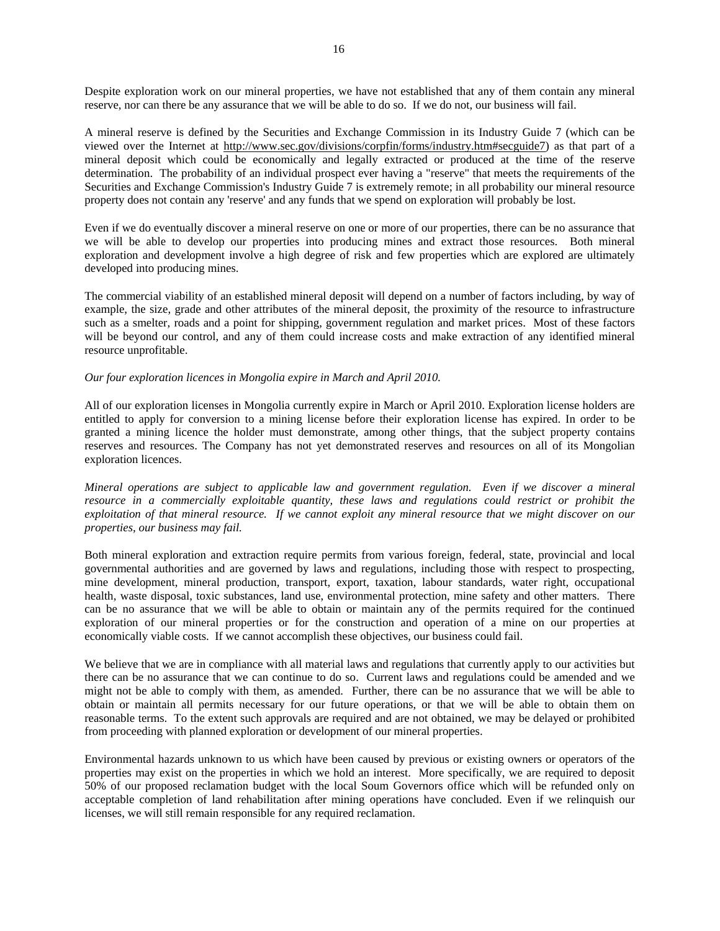Despite exploration work on our mineral properties, we have not established that any of them contain any mineral reserve, nor can there be any assurance that we will be able to do so. If we do not, our business will fail.

A mineral reserve is defined by the Securities and Exchange Commission in its Industry Guide 7 (which can be viewed over the Internet at http://www.sec.gov/divisions/corpfin/forms/industry.htm#secguide7) as that part of a mineral deposit which could be economically and legally extracted or produced at the time of the reserve determination. The probability of an individual prospect ever having a "reserve" that meets the requirements of the Securities and Exchange Commission's Industry Guide 7 is extremely remote; in all probability our mineral resource property does not contain any 'reserve' and any funds that we spend on exploration will probably be lost.

Even if we do eventually discover a mineral reserve on one or more of our properties, there can be no assurance that we will be able to develop our properties into producing mines and extract those resources. Both mineral exploration and development involve a high degree of risk and few properties which are explored are ultimately developed into producing mines.

The commercial viability of an established mineral deposit will depend on a number of factors including, by way of example, the size, grade and other attributes of the mineral deposit, the proximity of the resource to infrastructure such as a smelter, roads and a point for shipping, government regulation and market prices. Most of these factors will be beyond our control, and any of them could increase costs and make extraction of any identified mineral resource unprofitable.

#### *Our four exploration licences in Mongolia expire in March and April 2010.*

All of our exploration licenses in Mongolia currently expire in March or April 2010. Exploration license holders are entitled to apply for conversion to a mining license before their exploration license has expired. In order to be granted a mining licence the holder must demonstrate, among other things, that the subject property contains reserves and resources. The Company has not yet demonstrated reserves and resources on all of its Mongolian exploration licences.

*Mineral operations are subject to applicable law and government regulation. Even if we discover a mineral resource in a commercially exploitable quantity, these laws and regulations could restrict or prohibit the exploitation of that mineral resource. If we cannot exploit any mineral resource that we might discover on our properties, our business may fail.* 

Both mineral exploration and extraction require permits from various foreign, federal, state, provincial and local governmental authorities and are governed by laws and regulations, including those with respect to prospecting, mine development, mineral production, transport, export, taxation, labour standards, water right, occupational health, waste disposal, toxic substances, land use, environmental protection, mine safety and other matters. There can be no assurance that we will be able to obtain or maintain any of the permits required for the continued exploration of our mineral properties or for the construction and operation of a mine on our properties at economically viable costs. If we cannot accomplish these objectives, our business could fail.

We believe that we are in compliance with all material laws and regulations that currently apply to our activities but there can be no assurance that we can continue to do so. Current laws and regulations could be amended and we might not be able to comply with them, as amended. Further, there can be no assurance that we will be able to obtain or maintain all permits necessary for our future operations, or that we will be able to obtain them on reasonable terms. To the extent such approvals are required and are not obtained, we may be delayed or prohibited from proceeding with planned exploration or development of our mineral properties.

Environmental hazards unknown to us which have been caused by previous or existing owners or operators of the properties may exist on the properties in which we hold an interest. More specifically, we are required to deposit 50% of our proposed reclamation budget with the local Soum Governors office which will be refunded only on acceptable completion of land rehabilitation after mining operations have concluded. Even if we relinquish our licenses, we will still remain responsible for any required reclamation.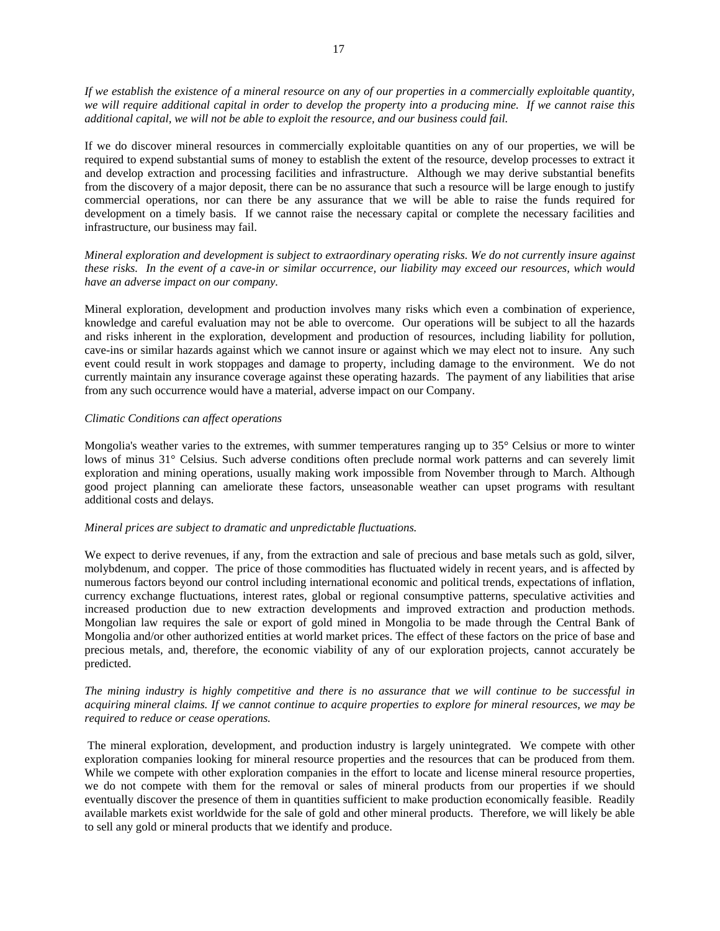*If we establish the existence of a mineral resource on any of our properties in a commercially exploitable quantity, we will require additional capital in order to develop the property into a producing mine. If we cannot raise this additional capital, we will not be able to exploit the resource, and our business could fail.* 

If we do discover mineral resources in commercially exploitable quantities on any of our properties, we will be required to expend substantial sums of money to establish the extent of the resource, develop processes to extract it and develop extraction and processing facilities and infrastructure. Although we may derive substantial benefits from the discovery of a major deposit, there can be no assurance that such a resource will be large enough to justify commercial operations, nor can there be any assurance that we will be able to raise the funds required for development on a timely basis. If we cannot raise the necessary capital or complete the necessary facilities and infrastructure, our business may fail.

*Mineral exploration and development is subject to extraordinary operating risks. We do not currently insure against these risks. In the event of a cave-in or similar occurrence, our liability may exceed our resources, which would have an adverse impact on our company.* 

Mineral exploration, development and production involves many risks which even a combination of experience, knowledge and careful evaluation may not be able to overcome. Our operations will be subject to all the hazards and risks inherent in the exploration, development and production of resources, including liability for pollution, cave-ins or similar hazards against which we cannot insure or against which we may elect not to insure. Any such event could result in work stoppages and damage to property, including damage to the environment. We do not currently maintain any insurance coverage against these operating hazards. The payment of any liabilities that arise from any such occurrence would have a material, adverse impact on our Company.

#### *Climatic Conditions can affect operations*

Mongolia's weather varies to the extremes, with summer temperatures ranging up to 35° Celsius or more to winter lows of minus 31° Celsius. Such adverse conditions often preclude normal work patterns and can severely limit exploration and mining operations, usually making work impossible from November through to March. Although good project planning can ameliorate these factors, unseasonable weather can upset programs with resultant additional costs and delays.

#### *Mineral prices are subject to dramatic and unpredictable fluctuations.*

We expect to derive revenues, if any, from the extraction and sale of precious and base metals such as gold, silver, molybdenum, and copper. The price of those commodities has fluctuated widely in recent years, and is affected by numerous factors beyond our control including international economic and political trends, expectations of inflation, currency exchange fluctuations, interest rates, global or regional consumptive patterns, speculative activities and increased production due to new extraction developments and improved extraction and production methods. Mongolian law requires the sale or export of gold mined in Mongolia to be made through the Central Bank of Mongolia and/or other authorized entities at world market prices. The effect of these factors on the price of base and precious metals, and, therefore, the economic viability of any of our exploration projects, cannot accurately be predicted.

# *The mining industry is highly competitive and there is no assurance that we will continue to be successful in acquiring mineral claims. If we cannot continue to acquire properties to explore for mineral resources, we may be required to reduce or cease operations.*

 The mineral exploration, development, and production industry is largely unintegrated. We compete with other exploration companies looking for mineral resource properties and the resources that can be produced from them. While we compete with other exploration companies in the effort to locate and license mineral resource properties, we do not compete with them for the removal or sales of mineral products from our properties if we should eventually discover the presence of them in quantities sufficient to make production economically feasible. Readily available markets exist worldwide for the sale of gold and other mineral products. Therefore, we will likely be able to sell any gold or mineral products that we identify and produce.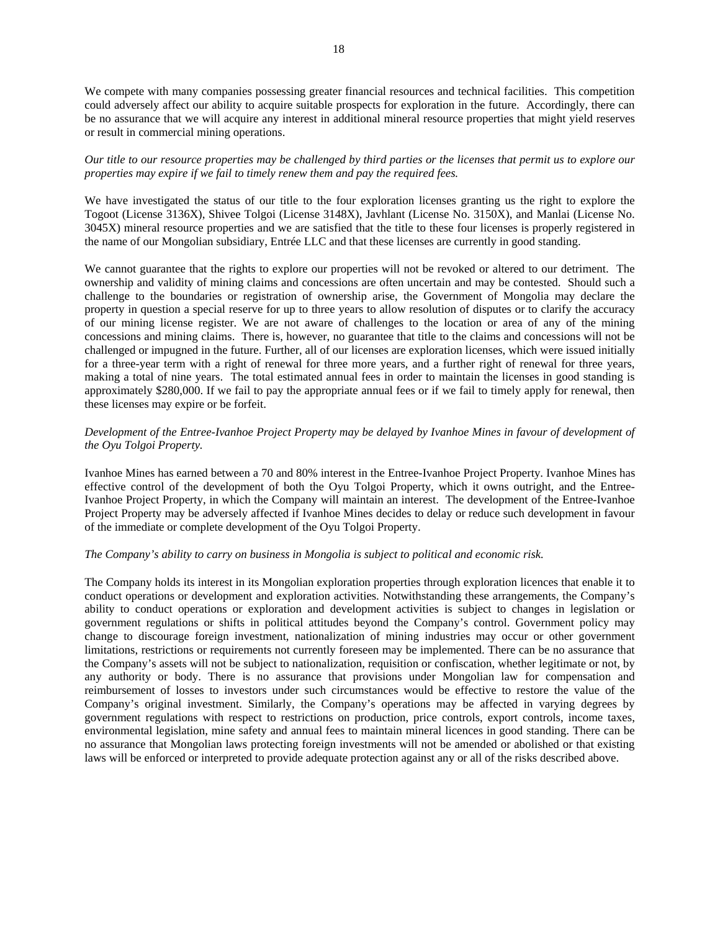We compete with many companies possessing greater financial resources and technical facilities. This competition could adversely affect our ability to acquire suitable prospects for exploration in the future. Accordingly, there can be no assurance that we will acquire any interest in additional mineral resource properties that might yield reserves or result in commercial mining operations.

# *Our title to our resource properties may be challenged by third parties or the licenses that permit us to explore our properties may expire if we fail to timely renew them and pay the required fees.*

We have investigated the status of our title to the four exploration licenses granting us the right to explore the Togoot (License 3136X), Shivee Tolgoi (License 3148X), Javhlant (License No. 3150X), and Manlai (License No. 3045X) mineral resource properties and we are satisfied that the title to these four licenses is properly registered in the name of our Mongolian subsidiary, Entrée LLC and that these licenses are currently in good standing.

We cannot guarantee that the rights to explore our properties will not be revoked or altered to our detriment. The ownership and validity of mining claims and concessions are often uncertain and may be contested. Should such a challenge to the boundaries or registration of ownership arise, the Government of Mongolia may declare the property in question a special reserve for up to three years to allow resolution of disputes or to clarify the accuracy of our mining license register. We are not aware of challenges to the location or area of any of the mining concessions and mining claims. There is, however, no guarantee that title to the claims and concessions will not be challenged or impugned in the future. Further, all of our licenses are exploration licenses, which were issued initially for a three-year term with a right of renewal for three more years, and a further right of renewal for three years, making a total of nine years. The total estimated annual fees in order to maintain the licenses in good standing is approximately \$280,000. If we fail to pay the appropriate annual fees or if we fail to timely apply for renewal, then these licenses may expire or be forfeit.

# *Development of the Entree-Ivanhoe Project Property may be delayed by Ivanhoe Mines in favour of development of the Oyu Tolgoi Property.*

Ivanhoe Mines has earned between a 70 and 80% interest in the Entree-Ivanhoe Project Property. Ivanhoe Mines has effective control of the development of both the Oyu Tolgoi Property, which it owns outright, and the Entree-Ivanhoe Project Property, in which the Company will maintain an interest. The development of the Entree-Ivanhoe Project Property may be adversely affected if Ivanhoe Mines decides to delay or reduce such development in favour of the immediate or complete development of the Oyu Tolgoi Property.

#### *The Company's ability to carry on business in Mongolia is subject to political and economic risk.*

The Company holds its interest in its Mongolian exploration properties through exploration licences that enable it to conduct operations or development and exploration activities. Notwithstanding these arrangements, the Company's ability to conduct operations or exploration and development activities is subject to changes in legislation or government regulations or shifts in political attitudes beyond the Company's control. Government policy may change to discourage foreign investment, nationalization of mining industries may occur or other government limitations, restrictions or requirements not currently foreseen may be implemented. There can be no assurance that the Company's assets will not be subject to nationalization, requisition or confiscation, whether legitimate or not, by any authority or body. There is no assurance that provisions under Mongolian law for compensation and reimbursement of losses to investors under such circumstances would be effective to restore the value of the Company's original investment. Similarly, the Company's operations may be affected in varying degrees by government regulations with respect to restrictions on production, price controls, export controls, income taxes, environmental legislation, mine safety and annual fees to maintain mineral licences in good standing. There can be no assurance that Mongolian laws protecting foreign investments will not be amended or abolished or that existing laws will be enforced or interpreted to provide adequate protection against any or all of the risks described above.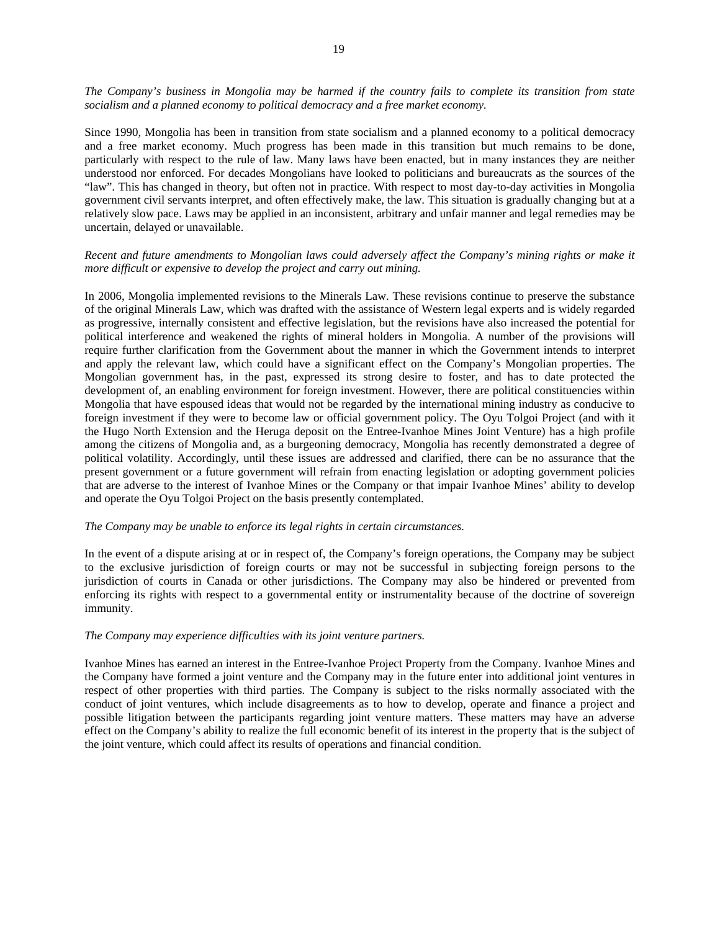*The Company's business in Mongolia may be harmed if the country fails to complete its transition from state socialism and a planned economy to political democracy and a free market economy.* 

Since 1990, Mongolia has been in transition from state socialism and a planned economy to a political democracy and a free market economy. Much progress has been made in this transition but much remains to be done, particularly with respect to the rule of law. Many laws have been enacted, but in many instances they are neither understood nor enforced. For decades Mongolians have looked to politicians and bureaucrats as the sources of the "law". This has changed in theory, but often not in practice. With respect to most day-to-day activities in Mongolia government civil servants interpret, and often effectively make, the law. This situation is gradually changing but at a relatively slow pace. Laws may be applied in an inconsistent, arbitrary and unfair manner and legal remedies may be uncertain, delayed or unavailable.

# *Recent and future amendments to Mongolian laws could adversely affect the Company's mining rights or make it more difficult or expensive to develop the project and carry out mining.*

In 2006, Mongolia implemented revisions to the Minerals Law. These revisions continue to preserve the substance of the original Minerals Law, which was drafted with the assistance of Western legal experts and is widely regarded as progressive, internally consistent and effective legislation, but the revisions have also increased the potential for political interference and weakened the rights of mineral holders in Mongolia. A number of the provisions will require further clarification from the Government about the manner in which the Government intends to interpret and apply the relevant law, which could have a significant effect on the Company's Mongolian properties. The Mongolian government has, in the past, expressed its strong desire to foster, and has to date protected the development of, an enabling environment for foreign investment. However, there are political constituencies within Mongolia that have espoused ideas that would not be regarded by the international mining industry as conducive to foreign investment if they were to become law or official government policy. The Oyu Tolgoi Project (and with it the Hugo North Extension and the Heruga deposit on the Entree-Ivanhoe Mines Joint Venture) has a high profile among the citizens of Mongolia and, as a burgeoning democracy, Mongolia has recently demonstrated a degree of political volatility. Accordingly, until these issues are addressed and clarified, there can be no assurance that the present government or a future government will refrain from enacting legislation or adopting government policies that are adverse to the interest of Ivanhoe Mines or the Company or that impair Ivanhoe Mines' ability to develop and operate the Oyu Tolgoi Project on the basis presently contemplated.

#### *The Company may be unable to enforce its legal rights in certain circumstances.*

In the event of a dispute arising at or in respect of, the Company's foreign operations, the Company may be subject to the exclusive jurisdiction of foreign courts or may not be successful in subjecting foreign persons to the jurisdiction of courts in Canada or other jurisdictions. The Company may also be hindered or prevented from enforcing its rights with respect to a governmental entity or instrumentality because of the doctrine of sovereign immunity.

#### *The Company may experience difficulties with its joint venture partners.*

Ivanhoe Mines has earned an interest in the Entree-Ivanhoe Project Property from the Company. Ivanhoe Mines and the Company have formed a joint venture and the Company may in the future enter into additional joint ventures in respect of other properties with third parties. The Company is subject to the risks normally associated with the conduct of joint ventures, which include disagreements as to how to develop, operate and finance a project and possible litigation between the participants regarding joint venture matters. These matters may have an adverse effect on the Company's ability to realize the full economic benefit of its interest in the property that is the subject of the joint venture, which could affect its results of operations and financial condition.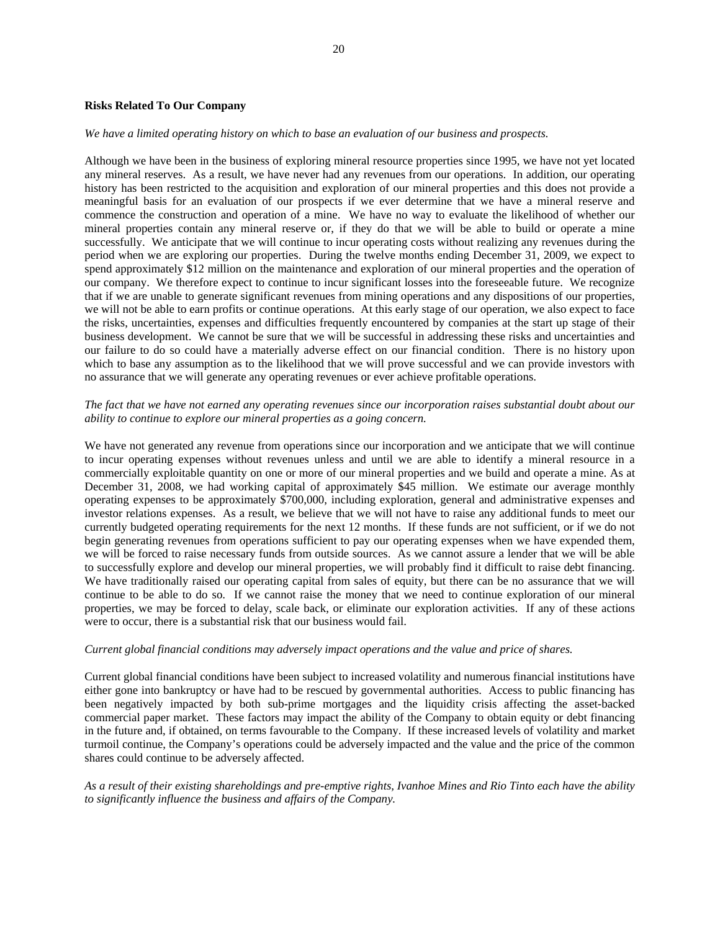#### **Risks Related To Our Company**

#### *We have a limited operating history on which to base an evaluation of our business and prospects.*

Although we have been in the business of exploring mineral resource properties since 1995, we have not yet located any mineral reserves. As a result, we have never had any revenues from our operations. In addition, our operating history has been restricted to the acquisition and exploration of our mineral properties and this does not provide a meaningful basis for an evaluation of our prospects if we ever determine that we have a mineral reserve and commence the construction and operation of a mine. We have no way to evaluate the likelihood of whether our mineral properties contain any mineral reserve or, if they do that we will be able to build or operate a mine successfully. We anticipate that we will continue to incur operating costs without realizing any revenues during the period when we are exploring our properties. During the twelve months ending December 31, 2009, we expect to spend approximately \$12 million on the maintenance and exploration of our mineral properties and the operation of our company. We therefore expect to continue to incur significant losses into the foreseeable future. We recognize that if we are unable to generate significant revenues from mining operations and any dispositions of our properties, we will not be able to earn profits or continue operations. At this early stage of our operation, we also expect to face the risks, uncertainties, expenses and difficulties frequently encountered by companies at the start up stage of their business development. We cannot be sure that we will be successful in addressing these risks and uncertainties and our failure to do so could have a materially adverse effect on our financial condition. There is no history upon which to base any assumption as to the likelihood that we will prove successful and we can provide investors with no assurance that we will generate any operating revenues or ever achieve profitable operations.

#### *The fact that we have not earned any operating revenues since our incorporation raises substantial doubt about our ability to continue to explore our mineral properties as a going concern.*

We have not generated any revenue from operations since our incorporation and we anticipate that we will continue to incur operating expenses without revenues unless and until we are able to identify a mineral resource in a commercially exploitable quantity on one or more of our mineral properties and we build and operate a mine. As at December 31, 2008, we had working capital of approximately \$45 million. We estimate our average monthly operating expenses to be approximately \$700,000, including exploration, general and administrative expenses and investor relations expenses. As a result, we believe that we will not have to raise any additional funds to meet our currently budgeted operating requirements for the next 12 months. If these funds are not sufficient, or if we do not begin generating revenues from operations sufficient to pay our operating expenses when we have expended them, we will be forced to raise necessary funds from outside sources. As we cannot assure a lender that we will be able to successfully explore and develop our mineral properties, we will probably find it difficult to raise debt financing. We have traditionally raised our operating capital from sales of equity, but there can be no assurance that we will continue to be able to do so. If we cannot raise the money that we need to continue exploration of our mineral properties, we may be forced to delay, scale back, or eliminate our exploration activities. If any of these actions were to occur, there is a substantial risk that our business would fail.

#### *Current global financial conditions may adversely impact operations and the value and price of shares.*

Current global financial conditions have been subject to increased volatility and numerous financial institutions have either gone into bankruptcy or have had to be rescued by governmental authorities. Access to public financing has been negatively impacted by both sub-prime mortgages and the liquidity crisis affecting the asset-backed commercial paper market. These factors may impact the ability of the Company to obtain equity or debt financing in the future and, if obtained, on terms favourable to the Company. If these increased levels of volatility and market turmoil continue, the Company's operations could be adversely impacted and the value and the price of the common shares could continue to be adversely affected.

# *As a result of their existing shareholdings and pre-emptive rights, Ivanhoe Mines and Rio Tinto each have the ability to significantly influence the business and affairs of the Company.*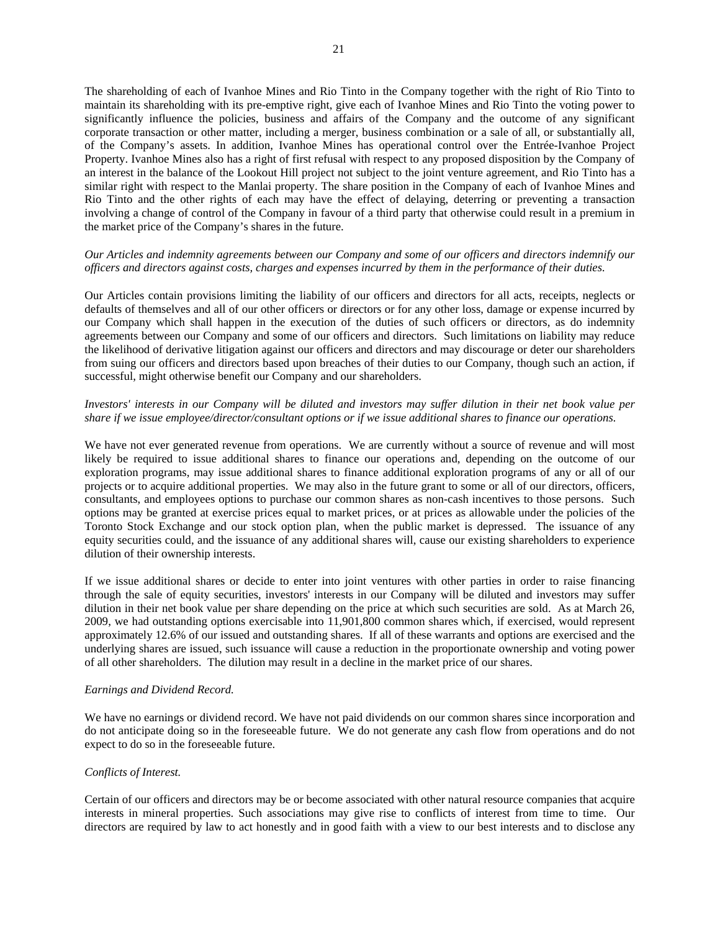The shareholding of each of Ivanhoe Mines and Rio Tinto in the Company together with the right of Rio Tinto to maintain its shareholding with its pre-emptive right, give each of Ivanhoe Mines and Rio Tinto the voting power to significantly influence the policies, business and affairs of the Company and the outcome of any significant corporate transaction or other matter, including a merger, business combination or a sale of all, or substantially all, of the Company's assets. In addition, Ivanhoe Mines has operational control over the Entrée-Ivanhoe Project Property. Ivanhoe Mines also has a right of first refusal with respect to any proposed disposition by the Company of an interest in the balance of the Lookout Hill project not subject to the joint venture agreement, and Rio Tinto has a similar right with respect to the Manlai property. The share position in the Company of each of Ivanhoe Mines and Rio Tinto and the other rights of each may have the effect of delaying, deterring or preventing a transaction involving a change of control of the Company in favour of a third party that otherwise could result in a premium in the market price of the Company's shares in the future.

# *Our Articles and indemnity agreements between our Company and some of our officers and directors indemnify our officers and directors against costs, charges and expenses incurred by them in the performance of their duties.*

Our Articles contain provisions limiting the liability of our officers and directors for all acts, receipts, neglects or defaults of themselves and all of our other officers or directors or for any other loss, damage or expense incurred by our Company which shall happen in the execution of the duties of such officers or directors, as do indemnity agreements between our Company and some of our officers and directors. Such limitations on liability may reduce the likelihood of derivative litigation against our officers and directors and may discourage or deter our shareholders from suing our officers and directors based upon breaches of their duties to our Company, though such an action, if successful, might otherwise benefit our Company and our shareholders.

# *Investors' interests in our Company will be diluted and investors may suffer dilution in their net book value per share if we issue employee/director/consultant options or if we issue additional shares to finance our operations.*

We have not ever generated revenue from operations. We are currently without a source of revenue and will most likely be required to issue additional shares to finance our operations and, depending on the outcome of our exploration programs, may issue additional shares to finance additional exploration programs of any or all of our projects or to acquire additional properties. We may also in the future grant to some or all of our directors, officers, consultants, and employees options to purchase our common shares as non-cash incentives to those persons. Such options may be granted at exercise prices equal to market prices, or at prices as allowable under the policies of the Toronto Stock Exchange and our stock option plan, when the public market is depressed. The issuance of any equity securities could, and the issuance of any additional shares will, cause our existing shareholders to experience dilution of their ownership interests.

If we issue additional shares or decide to enter into joint ventures with other parties in order to raise financing through the sale of equity securities, investors' interests in our Company will be diluted and investors may suffer dilution in their net book value per share depending on the price at which such securities are sold. As at March 26, 2009, we had outstanding options exercisable into 11,901,800 common shares which, if exercised, would represent approximately 12.6% of our issued and outstanding shares. If all of these warrants and options are exercised and the underlying shares are issued, such issuance will cause a reduction in the proportionate ownership and voting power of all other shareholders. The dilution may result in a decline in the market price of our shares.

#### *Earnings and Dividend Record.*

We have no earnings or dividend record. We have not paid dividends on our common shares since incorporation and do not anticipate doing so in the foreseeable future. We do not generate any cash flow from operations and do not expect to do so in the foreseeable future.

# *Conflicts of Interest.*

Certain of our officers and directors may be or become associated with other natural resource companies that acquire interests in mineral properties. Such associations may give rise to conflicts of interest from time to time. Our directors are required by law to act honestly and in good faith with a view to our best interests and to disclose any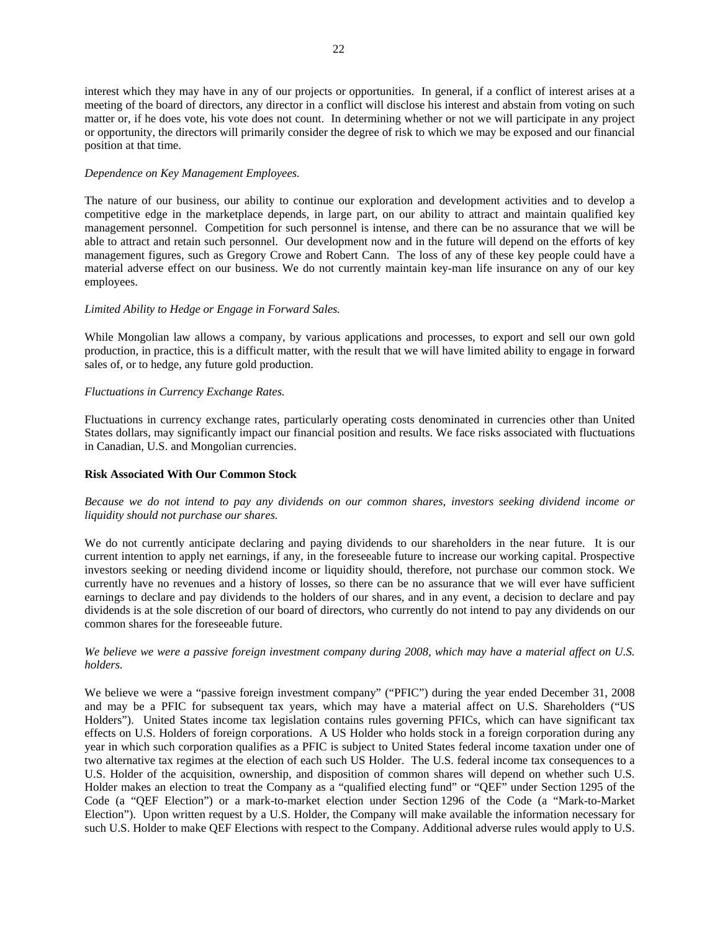22

interest which they may have in any of our projects or opportunities. In general, if a conflict of interest arises at a meeting of the board of directors, any director in a conflict will disclose his interest and abstain from voting on such matter or, if he does vote, his vote does not count. In determining whether or not we will participate in any project or opportunity, the directors will primarily consider the degree of risk to which we may be exposed and our financial position at that time.

# *Dependence on Key Management Employees.*

The nature of our business, our ability to continue our exploration and development activities and to develop a competitive edge in the marketplace depends, in large part, on our ability to attract and maintain qualified key management personnel. Competition for such personnel is intense, and there can be no assurance that we will be able to attract and retain such personnel. Our development now and in the future will depend on the efforts of key management figures, such as Gregory Crowe and Robert Cann. The loss of any of these key people could have a material adverse effect on our business. We do not currently maintain key-man life insurance on any of our key employees.

# *Limited Ability to Hedge or Engage in Forward Sales.*

While Mongolian law allows a company, by various applications and processes, to export and sell our own gold production, in practice, this is a difficult matter, with the result that we will have limited ability to engage in forward sales of, or to hedge, any future gold production.

# *Fluctuations in Currency Exchange Rates.*

Fluctuations in currency exchange rates, particularly operating costs denominated in currencies other than United States dollars, may significantly impact our financial position and results. We face risks associated with fluctuations in Canadian, U.S. and Mongolian currencies.

# **Risk Associated With Our Common Stock**

# *Because we do not intend to pay any dividends on our common shares, investors seeking dividend income or liquidity should not purchase our shares.*

We do not currently anticipate declaring and paying dividends to our shareholders in the near future. It is our current intention to apply net earnings, if any, in the foreseeable future to increase our working capital. Prospective investors seeking or needing dividend income or liquidity should, therefore, not purchase our common stock. We currently have no revenues and a history of losses, so there can be no assurance that we will ever have sufficient earnings to declare and pay dividends to the holders of our shares, and in any event, a decision to declare and pay dividends is at the sole discretion of our board of directors, who currently do not intend to pay any dividends on our common shares for the foreseeable future.

# *We believe we were a passive foreign investment company during 2008, which may have a material affect on U.S. holders.*

We believe we were a "passive foreign investment company" ("PFIC") during the year ended December 31, 2008 and may be a PFIC for subsequent tax years, which may have a material affect on U.S. Shareholders ("US Holders"). United States income tax legislation contains rules governing PFICs, which can have significant tax effects on U.S. Holders of foreign corporations. A US Holder who holds stock in a foreign corporation during any year in which such corporation qualifies as a PFIC is subject to United States federal income taxation under one of two alternative tax regimes at the election of each such US Holder. The U.S. federal income tax consequences to a U.S. Holder of the acquisition, ownership, and disposition of common shares will depend on whether such U.S. Holder makes an election to treat the Company as a "qualified electing fund" or "QEF" under Section 1295 of the Code (a "QEF Election") or a mark-to-market election under Section 1296 of the Code (a "Mark-to-Market Election"). Upon written request by a U.S. Holder, the Company will make available the information necessary for such U.S. Holder to make QEF Elections with respect to the Company. Additional adverse rules would apply to U.S.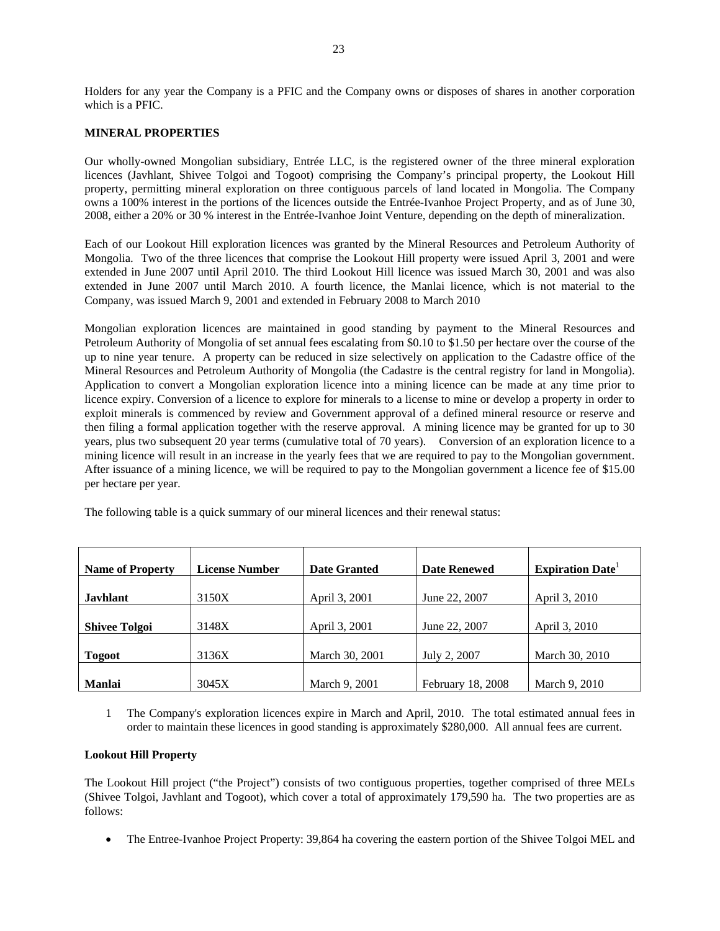Holders for any year the Company is a PFIC and the Company owns or disposes of shares in another corporation which is a PFIC.

# **MINERAL PROPERTIES**

Our wholly-owned Mongolian subsidiary, Entrée LLC, is the registered owner of the three mineral exploration licences (Javhlant, Shivee Tolgoi and Togoot) comprising the Company's principal property, the Lookout Hill property, permitting mineral exploration on three contiguous parcels of land located in Mongolia. The Company owns a 100% interest in the portions of the licences outside the Entrée-Ivanhoe Project Property, and as of June 30, 2008, either a 20% or 30 % interest in the Entrée-Ivanhoe Joint Venture, depending on the depth of mineralization.

Each of our Lookout Hill exploration licences was granted by the Mineral Resources and Petroleum Authority of Mongolia. Two of the three licences that comprise the Lookout Hill property were issued April 3, 2001 and were extended in June 2007 until April 2010. The third Lookout Hill licence was issued March 30, 2001 and was also extended in June 2007 until March 2010. A fourth licence, the Manlai licence, which is not material to the Company, was issued March 9, 2001 and extended in February 2008 to March 2010

Mongolian exploration licences are maintained in good standing by payment to the Mineral Resources and Petroleum Authority of Mongolia of set annual fees escalating from \$0.10 to \$1.50 per hectare over the course of the up to nine year tenure. A property can be reduced in size selectively on application to the Cadastre office of the Mineral Resources and Petroleum Authority of Mongolia (the Cadastre is the central registry for land in Mongolia). Application to convert a Mongolian exploration licence into a mining licence can be made at any time prior to licence expiry. Conversion of a licence to explore for minerals to a license to mine or develop a property in order to exploit minerals is commenced by review and Government approval of a defined mineral resource or reserve and then filing a formal application together with the reserve approval. A mining licence may be granted for up to 30 years, plus two subsequent 20 year terms (cumulative total of 70 years). Conversion of an exploration licence to a mining licence will result in an increase in the yearly fees that we are required to pay to the Mongolian government. After issuance of a mining licence, we will be required to pay to the Mongolian government a licence fee of \$15.00 per hectare per year.

The following table is a quick summary of our mineral licences and their renewal status:

| <b>Name of Property</b> | <b>License Number</b> | <b>Date Granted</b> | <b>Date Renewed</b> | <b>Expiration Date</b> |
|-------------------------|-----------------------|---------------------|---------------------|------------------------|
| <b>Javhlant</b>         | 3150X                 | April 3, 2001       | June 22, 2007       | April 3, 2010          |
| <b>Shivee Tolgoi</b>    | 3148X                 | April 3, 2001       | June 22, 2007       | April 3, 2010          |
| <b>Togoot</b>           | 3136X                 | March 30, 2001      | July 2, 2007        | March 30, 2010         |
| <b>Manlai</b>           | 3045X                 | March 9, 2001       | February 18, 2008   | March 9, 2010          |

1 The Company's exploration licences expire in March and April, 2010. The total estimated annual fees in order to maintain these licences in good standing is approximately \$280,000. All annual fees are current.

# **Lookout Hill Property**

The Lookout Hill project ("the Project") consists of two contiguous properties, together comprised of three MELs (Shivee Tolgoi, Javhlant and Togoot), which cover a total of approximately 179,590 ha. The two properties are as follows:

• The Entree-Ivanhoe Project Property: 39,864 ha covering the eastern portion of the Shivee Tolgoi MEL and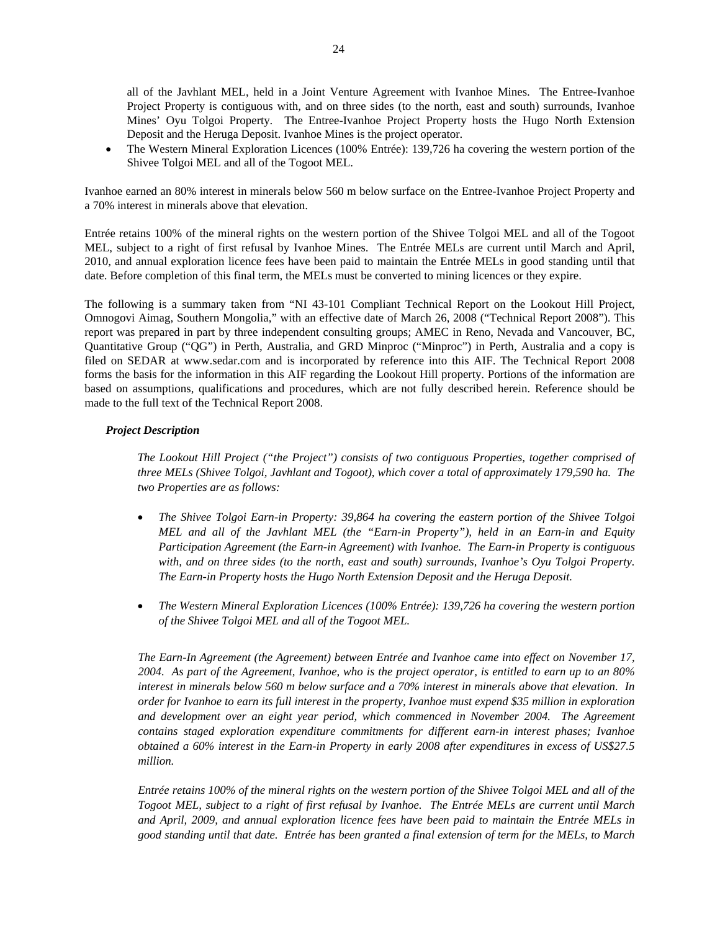all of the Javhlant MEL, held in a Joint Venture Agreement with Ivanhoe Mines. The Entree-Ivanhoe Project Property is contiguous with, and on three sides (to the north, east and south) surrounds, Ivanhoe Mines' Oyu Tolgoi Property. The Entree-Ivanhoe Project Property hosts the Hugo North Extension Deposit and the Heruga Deposit. Ivanhoe Mines is the project operator.

• The Western Mineral Exploration Licences (100% Entrée): 139,726 ha covering the western portion of the Shivee Tolgoi MEL and all of the Togoot MEL.

Ivanhoe earned an 80% interest in minerals below 560 m below surface on the Entree-Ivanhoe Project Property and a 70% interest in minerals above that elevation.

Entrée retains 100% of the mineral rights on the western portion of the Shivee Tolgoi MEL and all of the Togoot MEL, subject to a right of first refusal by Ivanhoe Mines. The Entrée MELs are current until March and April, 2010, and annual exploration licence fees have been paid to maintain the Entrée MELs in good standing until that date. Before completion of this final term, the MELs must be converted to mining licences or they expire.

The following is a summary taken from "NI 43-101 Compliant Technical Report on the Lookout Hill Project, Omnogovi Aimag, Southern Mongolia," with an effective date of March 26, 2008 ("Technical Report 2008"). This report was prepared in part by three independent consulting groups; AMEC in Reno, Nevada and Vancouver, BC, Quantitative Group ("QG") in Perth, Australia, and GRD Minproc ("Minproc") in Perth, Australia and a copy is filed on SEDAR at www.sedar.com and is incorporated by reference into this AIF. The Technical Report 2008 forms the basis for the information in this AIF regarding the Lookout Hill property. Portions of the information are based on assumptions, qualifications and procedures, which are not fully described herein. Reference should be made to the full text of the Technical Report 2008.

#### *Project Description*

*The Lookout Hill Project ("the Project") consists of two contiguous Properties, together comprised of three MELs (Shivee Tolgoi, Javhlant and Togoot), which cover a total of approximately 179,590 ha. The two Properties are as follows:* 

- *The Shivee Tolgoi Earn-in Property: 39,864 ha covering the eastern portion of the Shivee Tolgoi MEL and all of the Javhlant MEL (the "Earn-in Property"), held in an Earn-in and Equity Participation Agreement (the Earn-in Agreement) with Ivanhoe. The Earn-in Property is contiguous with, and on three sides (to the north, east and south) surrounds, Ivanhoe's Oyu Tolgoi Property. The Earn-in Property hosts the Hugo North Extension Deposit and the Heruga Deposit.*
- *The Western Mineral Exploration Licences (100% Entrée): 139,726 ha covering the western portion of the Shivee Tolgoi MEL and all of the Togoot MEL.*

*The Earn-In Agreement (the Agreement) between Entrée and Ivanhoe came into effect on November 17, 2004. As part of the Agreement, Ivanhoe, who is the project operator, is entitled to earn up to an 80% interest in minerals below 560 m below surface and a 70% interest in minerals above that elevation. In order for Ivanhoe to earn its full interest in the property, Ivanhoe must expend \$35 million in exploration*  and development over an eight year period, which commenced in November 2004. The Agreement *contains staged exploration expenditure commitments for different earn-in interest phases; Ivanhoe obtained a 60% interest in the Earn-in Property in early 2008 after expenditures in excess of US\$27.5 million.* 

*Entrée retains 100% of the mineral rights on the western portion of the Shivee Tolgoi MEL and all of the Togoot MEL, subject to a right of first refusal by Ivanhoe. The Entrée MELs are current until March and April, 2009, and annual exploration licence fees have been paid to maintain the Entrée MELs in good standing until that date. Entrée has been granted a final extension of term for the MELs, to March*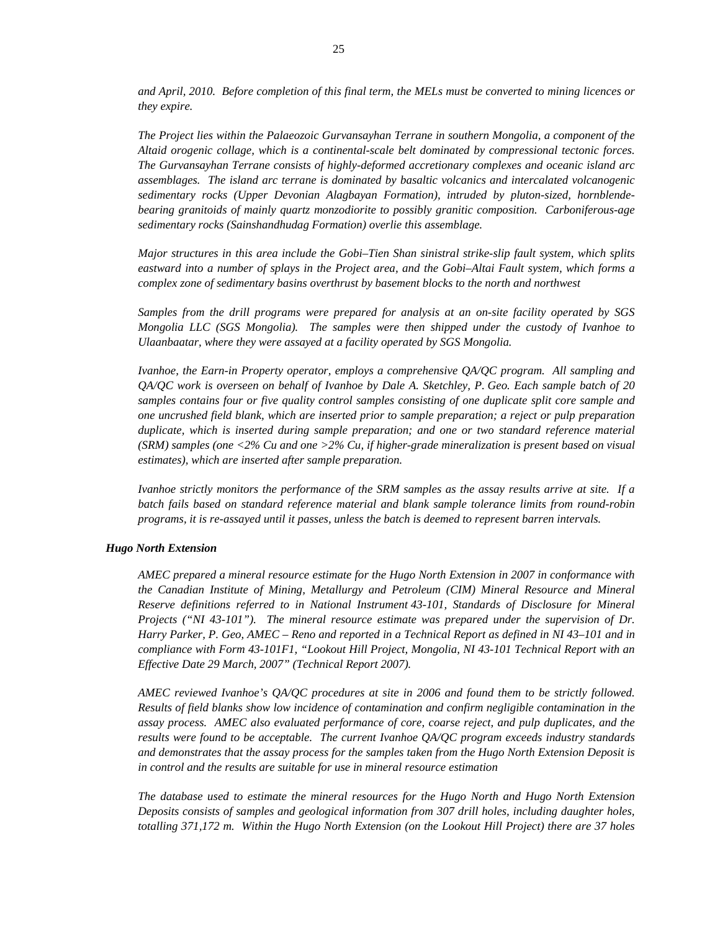*and April, 2010. Before completion of this final term, the MELs must be converted to mining licences or they expire.* 

*The Project lies within the Palaeozoic Gurvansayhan Terrane in southern Mongolia, a component of the Altaid orogenic collage, which is a continental-scale belt dominated by compressional tectonic forces. The Gurvansayhan Terrane consists of highly-deformed accretionary complexes and oceanic island arc assemblages. The island arc terrane is dominated by basaltic volcanics and intercalated volcanogenic sedimentary rocks (Upper Devonian Alagbayan Formation), intruded by pluton-sized, hornblendebearing granitoids of mainly quartz monzodiorite to possibly granitic composition. Carboniferous-age sedimentary rocks (Sainshandhudag Formation) overlie this assemblage.* 

*Major structures in this area include the Gobi–Tien Shan sinistral strike-slip fault system, which splits eastward into a number of splays in the Project area, and the Gobi–Altai Fault system, which forms a complex zone of sedimentary basins overthrust by basement blocks to the north and northwest* 

*Samples from the drill programs were prepared for analysis at an on-site facility operated by SGS Mongolia LLC (SGS Mongolia). The samples were then shipped under the custody of Ivanhoe to Ulaanbaatar, where they were assayed at a facility operated by SGS Mongolia.* 

*Ivanhoe, the Earn-in Property operator, employs a comprehensive QA/QC program. All sampling and QA/QC work is overseen on behalf of Ivanhoe by Dale A. Sketchley, P. Geo. Each sample batch of 20 samples contains four or five quality control samples consisting of one duplicate split core sample and one uncrushed field blank, which are inserted prior to sample preparation; a reject or pulp preparation duplicate, which is inserted during sample preparation; and one or two standard reference material (SRM) samples (one <2% Cu and one >2% Cu, if higher-grade mineralization is present based on visual estimates), which are inserted after sample preparation.* 

*Ivanhoe strictly monitors the performance of the SRM samples as the assay results arrive at site. If a batch fails based on standard reference material and blank sample tolerance limits from round-robin programs, it is re-assayed until it passes, unless the batch is deemed to represent barren intervals.* 

#### *Hugo North Extension*

*AMEC prepared a mineral resource estimate for the Hugo North Extension in 2007 in conformance with the Canadian Institute of Mining, Metallurgy and Petroleum (CIM) Mineral Resource and Mineral Reserve definitions referred to in National Instrument 43-101, Standards of Disclosure for Mineral Projects ("NI 43-101"). The mineral resource estimate was prepared under the supervision of Dr. Harry Parker, P. Geo, AMEC – Reno and reported in a Technical Report as defined in NI 43–101 and in compliance with Form 43-101F1, "Lookout Hill Project, Mongolia, NI 43-101 Technical Report with an Effective Date 29 March, 2007" (Technical Report 2007).* 

*AMEC reviewed Ivanhoe's QA/QC procedures at site in 2006 and found them to be strictly followed. Results of field blanks show low incidence of contamination and confirm negligible contamination in the assay process. AMEC also evaluated performance of core, coarse reject, and pulp duplicates, and the results were found to be acceptable. The current Ivanhoe QA/QC program exceeds industry standards and demonstrates that the assay process for the samples taken from the Hugo North Extension Deposit is in control and the results are suitable for use in mineral resource estimation* 

*The database used to estimate the mineral resources for the Hugo North and Hugo North Extension Deposits consists of samples and geological information from 307 drill holes, including daughter holes, totalling 371,172 m. Within the Hugo North Extension (on the Lookout Hill Project) there are 37 holes*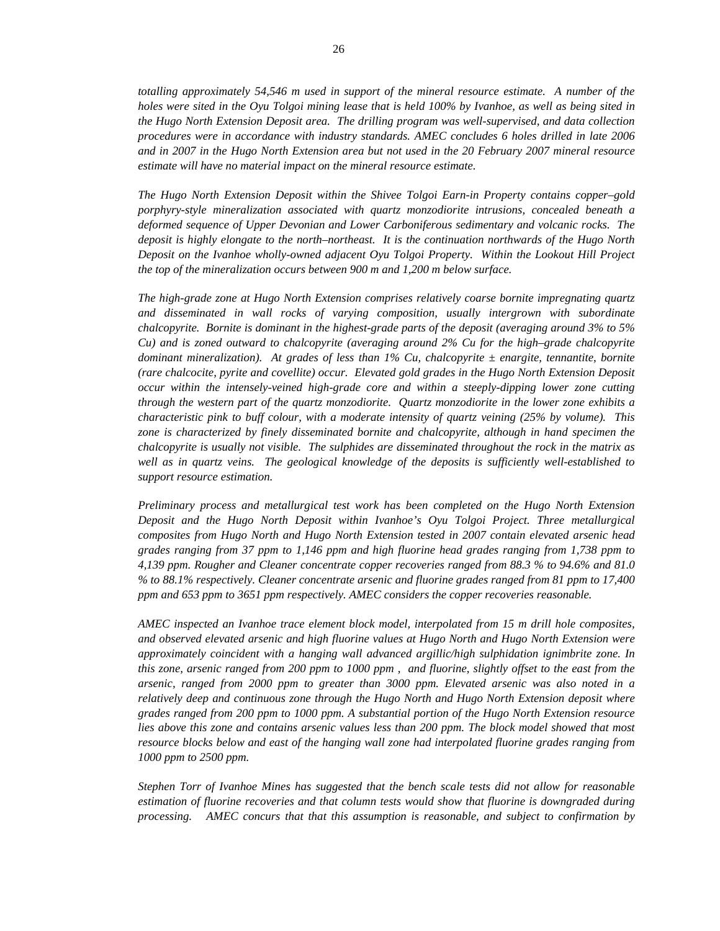*totalling approximately 54,546 m used in support of the mineral resource estimate. A number of the holes were sited in the Oyu Tolgoi mining lease that is held 100% by Ivanhoe, as well as being sited in the Hugo North Extension Deposit area. The drilling program was well-supervised, and data collection procedures were in accordance with industry standards. AMEC concludes 6 holes drilled in late 2006 and in 2007 in the Hugo North Extension area but not used in the 20 February 2007 mineral resource estimate will have no material impact on the mineral resource estimate.* 

*The Hugo North Extension Deposit within the Shivee Tolgoi Earn-in Property contains copper–gold porphyry-style mineralization associated with quartz monzodiorite intrusions, concealed beneath a deformed sequence of Upper Devonian and Lower Carboniferous sedimentary and volcanic rocks. The deposit is highly elongate to the north–northeast. It is the continuation northwards of the Hugo North Deposit on the Ivanhoe wholly-owned adjacent Oyu Tolgoi Property. Within the Lookout Hill Project the top of the mineralization occurs between 900 m and 1,200 m below surface.* 

*The high-grade zone at Hugo North Extension comprises relatively coarse bornite impregnating quartz and disseminated in wall rocks of varying composition, usually intergrown with subordinate chalcopyrite. Bornite is dominant in the highest-grade parts of the deposit (averaging around 3% to 5% Cu) and is zoned outward to chalcopyrite (averaging around 2% Cu for the high–grade chalcopyrite dominant mineralization). At grades of less than 1% Cu, chalcopyrite ± enargite, tennantite, bornite (rare chalcocite, pyrite and covellite) occur. Elevated gold grades in the Hugo North Extension Deposit occur within the intensely-veined high-grade core and within a steeply-dipping lower zone cutting through the western part of the quartz monzodiorite. Quartz monzodiorite in the lower zone exhibits a characteristic pink to buff colour, with a moderate intensity of quartz veining (25% by volume). This zone is characterized by finely disseminated bornite and chalcopyrite, although in hand specimen the chalcopyrite is usually not visible. The sulphides are disseminated throughout the rock in the matrix as well as in quartz veins. The geological knowledge of the deposits is sufficiently well-established to support resource estimation.* 

*Preliminary process and metallurgical test work has been completed on the Hugo North Extension Deposit and the Hugo North Deposit within Ivanhoe's Oyu Tolgoi Project. Three metallurgical composites from Hugo North and Hugo North Extension tested in 2007 contain elevated arsenic head grades ranging from 37 ppm to 1,146 ppm and high fluorine head grades ranging from 1,738 ppm to 4,139 ppm. Rougher and Cleaner concentrate copper recoveries ranged from 88.3 % to 94.6% and 81.0 % to 88.1% respectively. Cleaner concentrate arsenic and fluorine grades ranged from 81 ppm to 17,400 ppm and 653 ppm to 3651 ppm respectively. AMEC considers the copper recoveries reasonable.* 

*AMEC inspected an Ivanhoe trace element block model, interpolated from 15 m drill hole composites, and observed elevated arsenic and high fluorine values at Hugo North and Hugo North Extension were approximately coincident with a hanging wall advanced argillic/high sulphidation ignimbrite zone. In this zone, arsenic ranged from 200 ppm to 1000 ppm , and fluorine, slightly offset to the east from the arsenic, ranged from 2000 ppm to greater than 3000 ppm. Elevated arsenic was also noted in a relatively deep and continuous zone through the Hugo North and Hugo North Extension deposit where grades ranged from 200 ppm to 1000 ppm. A substantial portion of the Hugo North Extension resource lies above this zone and contains arsenic values less than 200 ppm. The block model showed that most resource blocks below and east of the hanging wall zone had interpolated fluorine grades ranging from 1000 ppm to 2500 ppm.* 

*Stephen Torr of Ivanhoe Mines has suggested that the bench scale tests did not allow for reasonable estimation of fluorine recoveries and that column tests would show that fluorine is downgraded during processing. AMEC concurs that that this assumption is reasonable, and subject to confirmation by*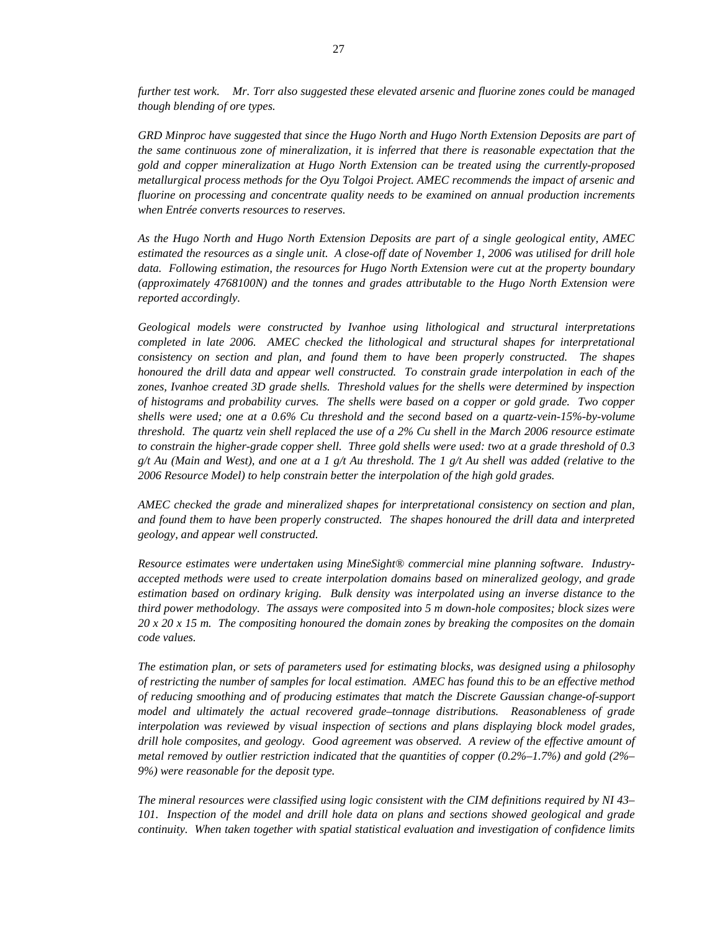*further test work. Mr. Torr also suggested these elevated arsenic and fluorine zones could be managed though blending of ore types.* 

*GRD Minproc have suggested that since the Hugo North and Hugo North Extension Deposits are part of the same continuous zone of mineralization, it is inferred that there is reasonable expectation that the gold and copper mineralization at Hugo North Extension can be treated using the currently-proposed metallurgical process methods for the Oyu Tolgoi Project. AMEC recommends the impact of arsenic and fluorine on processing and concentrate quality needs to be examined on annual production increments when Entrée converts resources to reserves.* 

*As the Hugo North and Hugo North Extension Deposits are part of a single geological entity, AMEC estimated the resources as a single unit. A close-off date of November 1, 2006 was utilised for drill hole data. Following estimation, the resources for Hugo North Extension were cut at the property boundary (approximately 4768100N) and the tonnes and grades attributable to the Hugo North Extension were reported accordingly.* 

*Geological models were constructed by Ivanhoe using lithological and structural interpretations completed in late 2006. AMEC checked the lithological and structural shapes for interpretational consistency on section and plan, and found them to have been properly constructed. The shapes honoured the drill data and appear well constructed. To constrain grade interpolation in each of the zones, Ivanhoe created 3D grade shells. Threshold values for the shells were determined by inspection of histograms and probability curves. The shells were based on a copper or gold grade. Two copper shells were used; one at a 0.6% Cu threshold and the second based on a quartz-vein-15%-by-volume threshold. The quartz vein shell replaced the use of a 2% Cu shell in the March 2006 resource estimate to constrain the higher-grade copper shell. Three gold shells were used: two at a grade threshold of 0.3 g/t Au (Main and West), and one at a 1 g/t Au threshold. The 1 g/t Au shell was added (relative to the 2006 Resource Model) to help constrain better the interpolation of the high gold grades.* 

*AMEC checked the grade and mineralized shapes for interpretational consistency on section and plan, and found them to have been properly constructed. The shapes honoured the drill data and interpreted geology, and appear well constructed.* 

*Resource estimates were undertaken using MineSight® commercial mine planning software. Industryaccepted methods were used to create interpolation domains based on mineralized geology, and grade estimation based on ordinary kriging. Bulk density was interpolated using an inverse distance to the third power methodology. The assays were composited into 5 m down-hole composites; block sizes were 20 x 20 x 15 m. The compositing honoured the domain zones by breaking the composites on the domain code values.* 

*The estimation plan, or sets of parameters used for estimating blocks, was designed using a philosophy of restricting the number of samples for local estimation. AMEC has found this to be an effective method of reducing smoothing and of producing estimates that match the Discrete Gaussian change-of-support model and ultimately the actual recovered grade–tonnage distributions. Reasonableness of grade interpolation was reviewed by visual inspection of sections and plans displaying block model grades, drill hole composites, and geology. Good agreement was observed. A review of the effective amount of metal removed by outlier restriction indicated that the quantities of copper (0.2%–1.7%) and gold (2%– 9%) were reasonable for the deposit type.* 

*The mineral resources were classified using logic consistent with the CIM definitions required by NI 43– 101. Inspection of the model and drill hole data on plans and sections showed geological and grade continuity. When taken together with spatial statistical evaluation and investigation of confidence limits*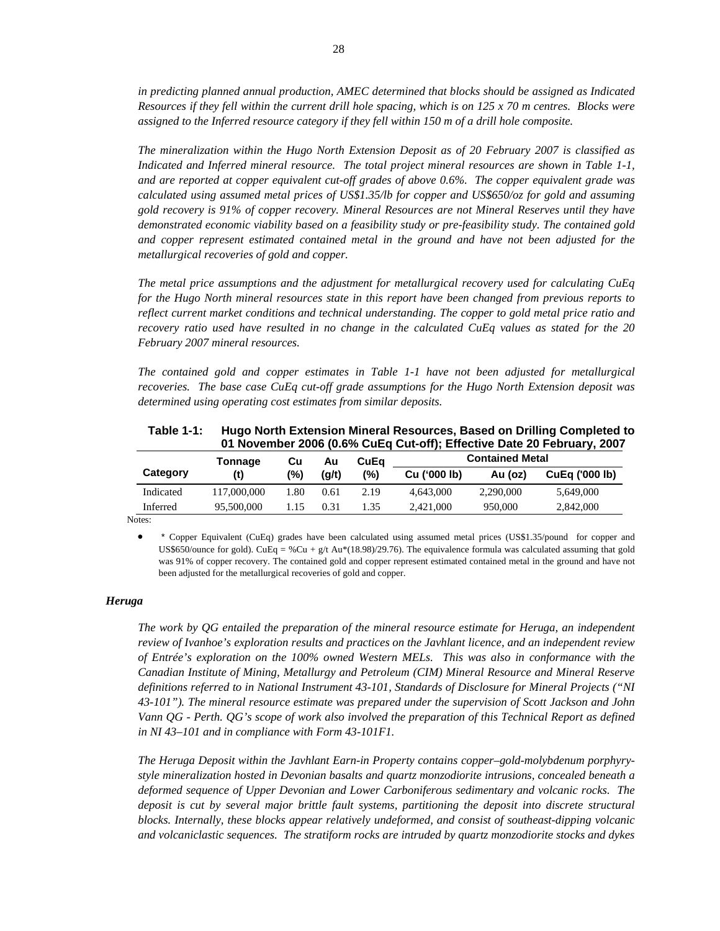*in predicting planned annual production, AMEC determined that blocks should be assigned as Indicated Resources if they fell within the current drill hole spacing, which is on 125 x 70 m centres. Blocks were assigned to the Inferred resource category if they fell within 150 m of a drill hole composite.* 

*The mineralization within the Hugo North Extension Deposit as of 20 February 2007 is classified as Indicated and Inferred mineral resource. The total project mineral resources are shown in Table 1-1, and are reported at copper equivalent cut-off grades of above 0.6%. The copper equivalent grade was calculated using assumed metal prices of US\$1.35/lb for copper and US\$650/oz for gold and assuming gold recovery is 91% of copper recovery. Mineral Resources are not Mineral Reserves until they have demonstrated economic viability based on a feasibility study or pre-feasibility study. The contained gold and copper represent estimated contained metal in the ground and have not been adjusted for the metallurgical recoveries of gold and copper.* 

*The metal price assumptions and the adjustment for metallurgical recovery used for calculating CuEq for the Hugo North mineral resources state in this report have been changed from previous reports to reflect current market conditions and technical understanding. The copper to gold metal price ratio and recovery ratio used have resulted in no change in the calculated CuEq values as stated for the 20 February 2007 mineral resources.* 

*The contained gold and copper estimates in Table 1-1 have not been adjusted for metallurgical recoveries. The base case CuEq cut-off grade assumptions for the Hugo North Extension deposit was determined using operating cost estimates from similar deposits.* 

| Table 1-1: | Hugo North Extension Mineral Resources, Based on Drilling Completed to<br>01 November 2006 (0.6% CuEq Cut-off); Effective Date 20 February, 2007 |     |       |         |                        |         |                |  |
|------------|--------------------------------------------------------------------------------------------------------------------------------------------------|-----|-------|---------|------------------------|---------|----------------|--|
|            | Tonnage                                                                                                                                          | Cu  | Au    | CuEa    | <b>Contained Metal</b> |         |                |  |
| Category   | (t)                                                                                                                                              | (%) | (a/t) | $(\% )$ | Cu ('000 lb)           | Au (oz) | CuEq ('000 lb) |  |

|           | Tonnage     | Cu<br>Au |       | CuEa |                | <b>Contained Metal</b> |                |
|-----------|-------------|----------|-------|------|----------------|------------------------|----------------|
| Category  |             | $(\% )$  | (a/t) | (%)  | $Cu$ ('000 lb) | Au (oz)                | CuEq ('000 lb) |
| Indicated | 117,000,000 | .80      | 0.61  | 2.19 | 4,643,000      | 2,290,000              | 5,649,000      |

Inferred 95,500,000 1.15 0.31 1.35 2,421,000 950,000 2,842,000

Notes:

• \* Copper Equivalent (CuEq) grades have been calculated using assumed metal prices (US\$1.35/pound for copper and US\$650/ounce for gold). CuEq = %Cu + g/t Au\*(18.98)/29.76). The equivalence formula was calculated assuming that gold was 91% of copper recovery. The contained gold and copper represent estimated contained metal in the ground and have not been adjusted for the metallurgical recoveries of gold and copper.

#### *Heruga*

*The work by QG entailed the preparation of the mineral resource estimate for Heruga, an independent review of Ivanhoe's exploration results and practices on the Javhlant licence, and an independent review of Entrée's exploration on the 100% owned Western MELs. This was also in conformance with the Canadian Institute of Mining, Metallurgy and Petroleum (CIM) Mineral Resource and Mineral Reserve definitions referred to in National Instrument 43-101, Standards of Disclosure for Mineral Projects ("NI 43-101"). The mineral resource estimate was prepared under the supervision of Scott Jackson and John Vann QG - Perth. QG's scope of work also involved the preparation of this Technical Report as defined in NI 43–101 and in compliance with Form 43-101F1.* 

*The Heruga Deposit within the Javhlant Earn-in Property contains copper–gold-molybdenum porphyrystyle mineralization hosted in Devonian basalts and quartz monzodiorite intrusions, concealed beneath a deformed sequence of Upper Devonian and Lower Carboniferous sedimentary and volcanic rocks. The deposit is cut by several major brittle fault systems, partitioning the deposit into discrete structural blocks. Internally, these blocks appear relatively undeformed, and consist of southeast-dipping volcanic and volcaniclastic sequences. The stratiform rocks are intruded by quartz monzodiorite stocks and dykes*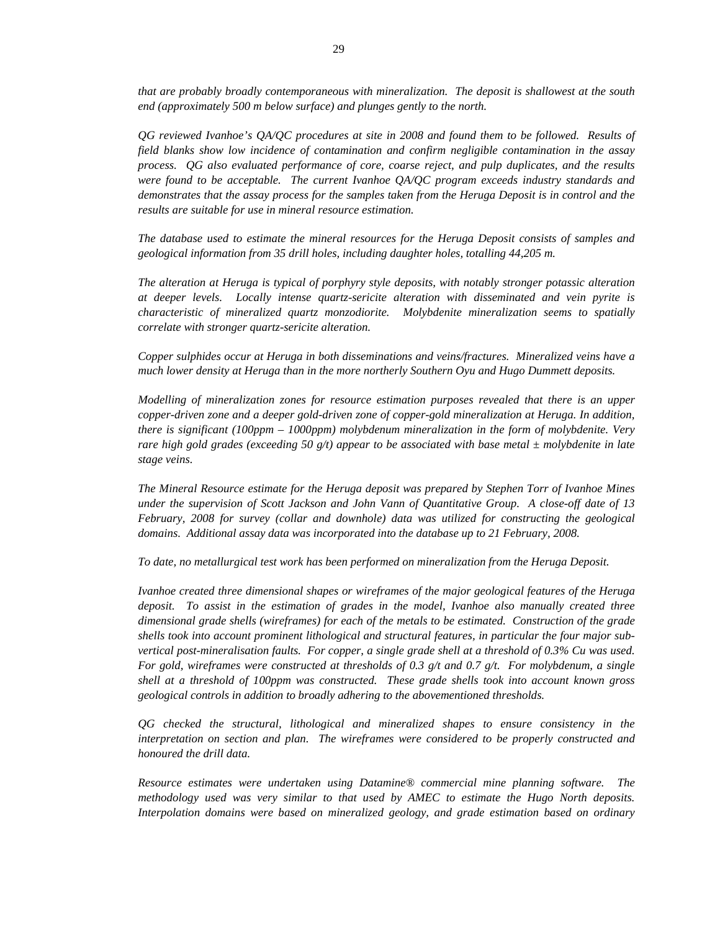*that are probably broadly contemporaneous with mineralization. The deposit is shallowest at the south end (approximately 500 m below surface) and plunges gently to the north.* 

*QG reviewed Ivanhoe's QA/QC procedures at site in 2008 and found them to be followed. Results of field blanks show low incidence of contamination and confirm negligible contamination in the assay process. QG also evaluated performance of core, coarse reject, and pulp duplicates, and the results were found to be acceptable. The current Ivanhoe QA/QC program exceeds industry standards and demonstrates that the assay process for the samples taken from the Heruga Deposit is in control and the results are suitable for use in mineral resource estimation.* 

*The database used to estimate the mineral resources for the Heruga Deposit consists of samples and geological information from 35 drill holes, including daughter holes, totalling 44,205 m.* 

*The alteration at Heruga is typical of porphyry style deposits, with notably stronger potassic alteration at deeper levels. Locally intense quartz-sericite alteration with disseminated and vein pyrite is characteristic of mineralized quartz monzodiorite. Molybdenite mineralization seems to spatially correlate with stronger quartz-sericite alteration.* 

*Copper sulphides occur at Heruga in both disseminations and veins/fractures. Mineralized veins have a much lower density at Heruga than in the more northerly Southern Oyu and Hugo Dummett deposits.* 

*Modelling of mineralization zones for resource estimation purposes revealed that there is an upper copper-driven zone and a deeper gold-driven zone of copper-gold mineralization at Heruga. In addition, there is significant (100ppm – 1000ppm) molybdenum mineralization in the form of molybdenite. Very rare high gold grades (exceeding 50 g/t) appear to be associated with base metal ± molybdenite in late stage veins.* 

*The Mineral Resource estimate for the Heruga deposit was prepared by Stephen Torr of Ivanhoe Mines under the supervision of Scott Jackson and John Vann of Quantitative Group. A close-off date of 13 February, 2008 for survey (collar and downhole) data was utilized for constructing the geological domains. Additional assay data was incorporated into the database up to 21 February, 2008.* 

*To date, no metallurgical test work has been performed on mineralization from the Heruga Deposit.* 

*Ivanhoe created three dimensional shapes or wireframes of the major geological features of the Heruga deposit. To assist in the estimation of grades in the model, Ivanhoe also manually created three dimensional grade shells (wireframes) for each of the metals to be estimated. Construction of the grade shells took into account prominent lithological and structural features, in particular the four major subvertical post-mineralisation faults. For copper, a single grade shell at a threshold of 0.3% Cu was used. For gold, wireframes were constructed at thresholds of 0.3 g/t and 0.7 g/t. For molybdenum, a single shell at a threshold of 100ppm was constructed. These grade shells took into account known gross geological controls in addition to broadly adhering to the abovementioned thresholds.* 

*QG checked the structural, lithological and mineralized shapes to ensure consistency in the interpretation on section and plan. The wireframes were considered to be properly constructed and honoured the drill data.* 

*Resource estimates were undertaken using Datamine® commercial mine planning software. The methodology used was very similar to that used by AMEC to estimate the Hugo North deposits. Interpolation domains were based on mineralized geology, and grade estimation based on ordinary*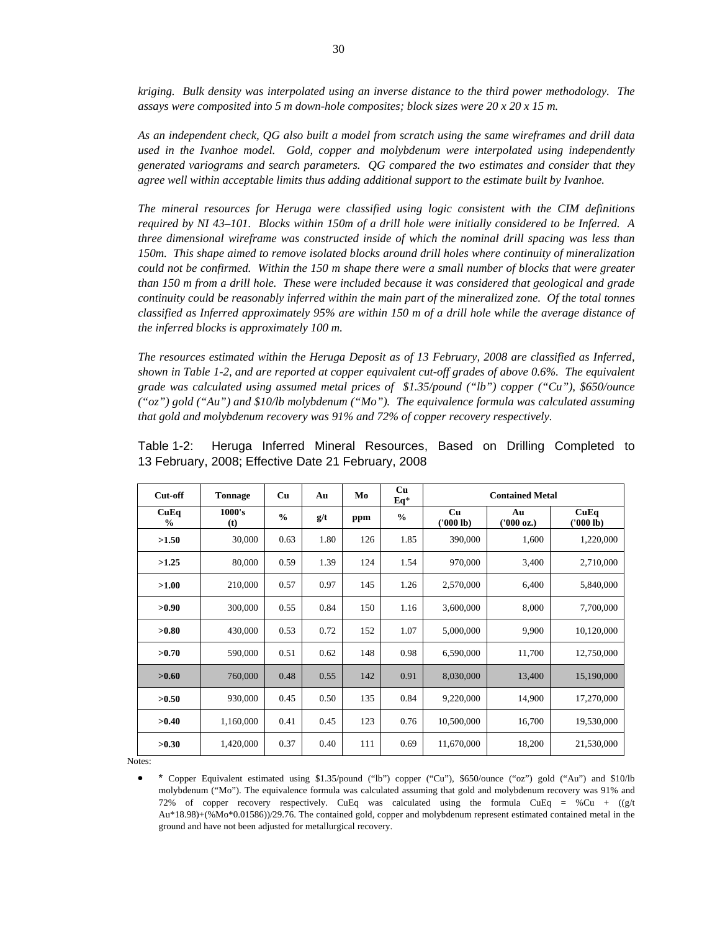*kriging. Bulk density was interpolated using an inverse distance to the third power methodology. The assays were composited into 5 m down-hole composites; block sizes were 20 x 20 x 15 m.* 

*As an independent check, QG also built a model from scratch using the same wireframes and drill data used in the Ivanhoe model. Gold, copper and molybdenum were interpolated using independently generated variograms and search parameters. QG compared the two estimates and consider that they agree well within acceptable limits thus adding additional support to the estimate built by Ivanhoe.* 

*The mineral resources for Heruga were classified using logic consistent with the CIM definitions required by NI 43–101. Blocks within 150m of a drill hole were initially considered to be Inferred. A three dimensional wireframe was constructed inside of which the nominal drill spacing was less than 150m. This shape aimed to remove isolated blocks around drill holes where continuity of mineralization could not be confirmed. Within the 150 m shape there were a small number of blocks that were greater than 150 m from a drill hole. These were included because it was considered that geological and grade continuity could be reasonably inferred within the main part of the mineralized zone. Of the total tonnes classified as Inferred approximately 95% are within 150 m of a drill hole while the average distance of the inferred blocks is approximately 100 m.* 

*The resources estimated within the Heruga Deposit as of 13 February, 2008 are classified as Inferred, shown in Table 1-2, and are reported at copper equivalent cut-off grades of above 0.6%. The equivalent grade was calculated using assumed metal prices of \$1.35/pound ("lb") copper ("Cu"), \$650/ounce ("oz") gold ("Au") and \$10/lb molybdenum ("Mo"). The equivalence formula was calculated assuming that gold and molybdenum recovery was 91% and 72% of copper recovery respectively.* 

| Cut-off               | <b>Tonnage</b> | Cu            | Au   | Mo  | Cu<br>Eq*     |                 | <b>Contained Metal</b> |                   |
|-----------------------|----------------|---------------|------|-----|---------------|-----------------|------------------------|-------------------|
| CuEq<br>$\frac{6}{6}$ | 1000's<br>(t)  | $\frac{0}{0}$ | g/t  | ppm | $\frac{0}{0}$ | Cu<br>(1000 lb) | Au<br>(1000 oz.)       | CuEq<br>('000 lb) |
| >1.50                 | 30,000         | 0.63          | 1.80 | 126 | 1.85          | 390,000         | 1,600                  | 1,220,000         |
| >1.25                 | 80,000         | 0.59          | 1.39 | 124 | 1.54          | 970,000         | 3,400                  | 2,710,000         |
| >1.00                 | 210,000        | 0.57          | 0.97 | 145 | 1.26          | 2,570,000       | 6,400                  | 5,840,000         |
| >0.90                 | 300,000        | 0.55          | 0.84 | 150 | 1.16          | 3,600,000       | 8,000                  | 7,700,000         |
| >0.80                 | 430,000        | 0.53          | 0.72 | 152 | 1.07          | 5,000,000       | 9,900                  | 10,120,000        |
| >0.70                 | 590,000        | 0.51          | 0.62 | 148 | 0.98          | 6,590,000       | 11,700                 | 12,750,000        |
| >0.60                 | 760,000        | 0.48          | 0.55 | 142 | 0.91          | 8,030,000       | 13,400                 | 15,190,000        |
| >0.50                 | 930,000        | 0.45          | 0.50 | 135 | 0.84          | 9,220,000       | 14,900                 | 17,270,000        |
| >0.40                 | 1,160,000      | 0.41          | 0.45 | 123 | 0.76          | 10,500,000      | 16,700                 | 19,530,000        |
| >0.30                 | 1,420,000      | 0.37          | 0.40 | 111 | 0.69          | 11,670,000      | 18,200                 | 21,530,000        |

Table 1-2: Heruga Inferred Mineral Resources, Based on Drilling Completed to 13 February, 2008; Effective Date 21 February, 2008

Notes:

• \* Copper Equivalent estimated using \$1.35/pound ("lb") copper ("Cu"), \$650/ounce ("oz") gold ("Au") and \$10/lb molybdenum ("Mo"). The equivalence formula was calculated assuming that gold and molybdenum recovery was 91% and 72% of copper recovery respectively. CuEq was calculated using the formula CuEq = %Cu +  $((g/t)$ Au\*18.98)+(%Mo\*0.01586))/29.76. The contained gold, copper and molybdenum represent estimated contained metal in the ground and have not been adjusted for metallurgical recovery.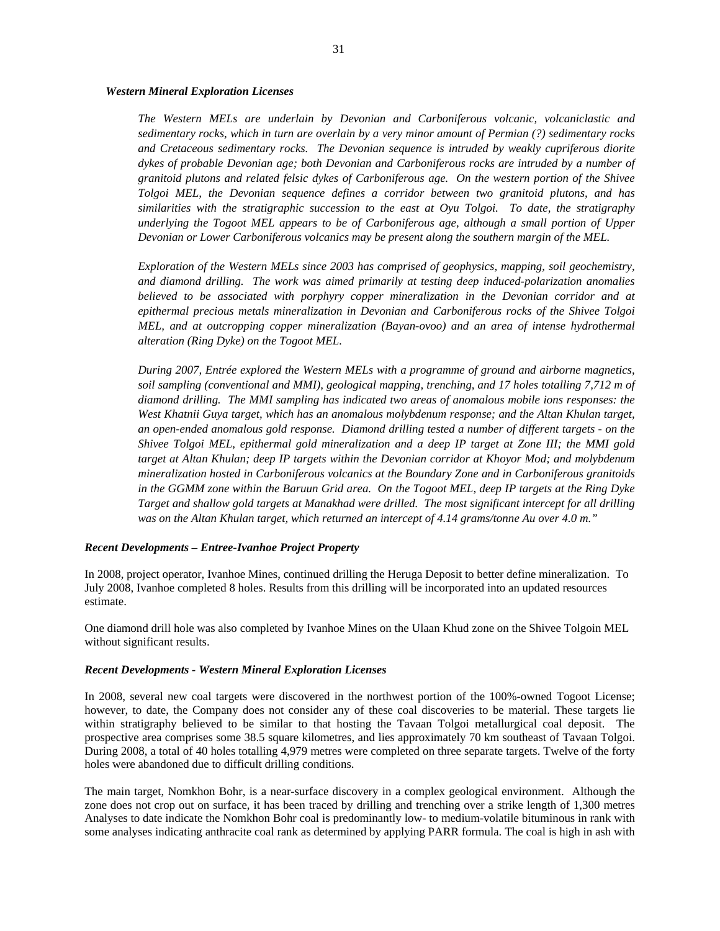#### *Western Mineral Exploration Licenses*

*The Western MELs are underlain by Devonian and Carboniferous volcanic, volcaniclastic and sedimentary rocks, which in turn are overlain by a very minor amount of Permian (?) sedimentary rocks and Cretaceous sedimentary rocks. The Devonian sequence is intruded by weakly cupriferous diorite dykes of probable Devonian age; both Devonian and Carboniferous rocks are intruded by a number of granitoid plutons and related felsic dykes of Carboniferous age. On the western portion of the Shivee Tolgoi MEL, the Devonian sequence defines a corridor between two granitoid plutons, and has similarities with the stratigraphic succession to the east at Oyu Tolgoi. To date, the stratigraphy underlying the Togoot MEL appears to be of Carboniferous age, although a small portion of Upper Devonian or Lower Carboniferous volcanics may be present along the southern margin of the MEL.* 

*Exploration of the Western MELs since 2003 has comprised of geophysics, mapping, soil geochemistry, and diamond drilling. The work was aimed primarily at testing deep induced-polarization anomalies believed to be associated with porphyry copper mineralization in the Devonian corridor and at epithermal precious metals mineralization in Devonian and Carboniferous rocks of the Shivee Tolgoi MEL, and at outcropping copper mineralization (Bayan-ovoo) and an area of intense hydrothermal alteration (Ring Dyke) on the Togoot MEL.* 

*During 2007, Entrée explored the Western MELs with a programme of ground and airborne magnetics, soil sampling (conventional and MMI), geological mapping, trenching, and 17 holes totalling 7,712 m of diamond drilling. The MMI sampling has indicated two areas of anomalous mobile ions responses: the West Khatnii Guya target, which has an anomalous molybdenum response; and the Altan Khulan target, an open-ended anomalous gold response. Diamond drilling tested a number of different targets - on the Shivee Tolgoi MEL, epithermal gold mineralization and a deep IP target at Zone III; the MMI gold target at Altan Khulan; deep IP targets within the Devonian corridor at Khoyor Mod; and molybdenum mineralization hosted in Carboniferous volcanics at the Boundary Zone and in Carboniferous granitoids in the GGMM zone within the Baruun Grid area. On the Togoot MEL, deep IP targets at the Ring Dyke Target and shallow gold targets at Manakhad were drilled. The most significant intercept for all drilling was on the Altan Khulan target, which returned an intercept of 4.14 grams/tonne Au over 4.0 m."* 

#### *Recent Developments – Entree-Ivanhoe Project Property*

In 2008, project operator, Ivanhoe Mines, continued drilling the Heruga Deposit to better define mineralization. To July 2008, Ivanhoe completed 8 holes. Results from this drilling will be incorporated into an updated resources estimate.

One diamond drill hole was also completed by Ivanhoe Mines on the Ulaan Khud zone on the Shivee Tolgoin MEL without significant results.

#### *Recent Developments - Western Mineral Exploration Licenses*

In 2008, several new coal targets were discovered in the northwest portion of the 100%-owned Togoot License; however, to date, the Company does not consider any of these coal discoveries to be material. These targets lie within stratigraphy believed to be similar to that hosting the Tavaan Tolgoi metallurgical coal deposit. The prospective area comprises some 38.5 square kilometres, and lies approximately 70 km southeast of Tavaan Tolgoi. During 2008, a total of 40 holes totalling 4,979 metres were completed on three separate targets. Twelve of the forty holes were abandoned due to difficult drilling conditions.

The main target, Nomkhon Bohr, is a near-surface discovery in a complex geological environment. Although the zone does not crop out on surface, it has been traced by drilling and trenching over a strike length of 1,300 metres Analyses to date indicate the Nomkhon Bohr coal is predominantly low- to medium-volatile bituminous in rank with some analyses indicating anthracite coal rank as determined by applying PARR formula. The coal is high in ash with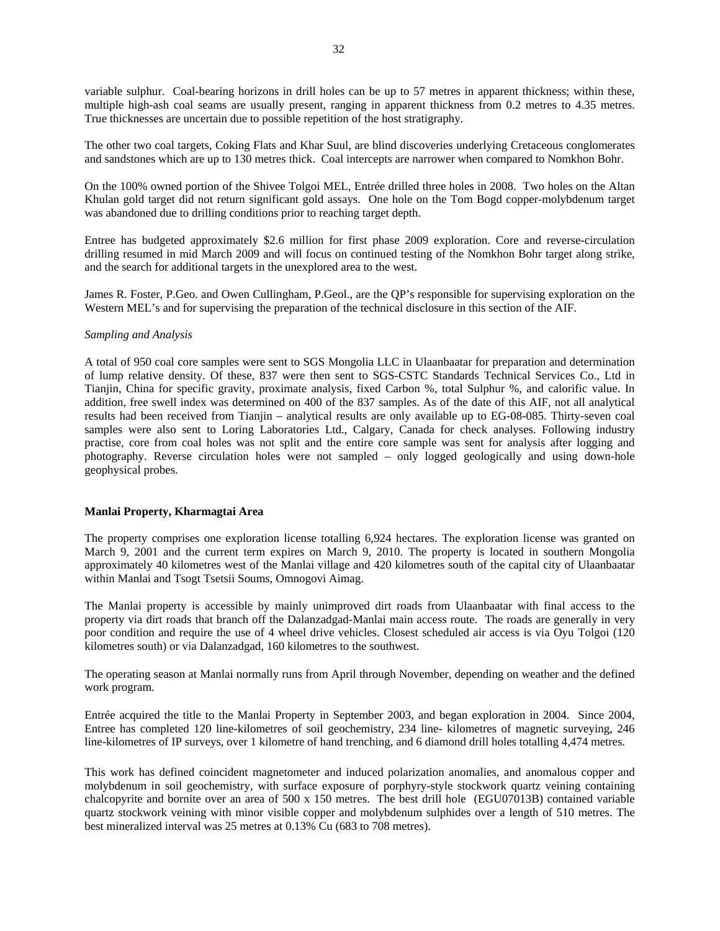variable sulphur. Coal-bearing horizons in drill holes can be up to 57 metres in apparent thickness; within these, multiple high-ash coal seams are usually present, ranging in apparent thickness from 0.2 metres to 4.35 metres. True thicknesses are uncertain due to possible repetition of the host stratigraphy.

The other two coal targets, Coking Flats and Khar Suul, are blind discoveries underlying Cretaceous conglomerates and sandstones which are up to 130 metres thick. Coal intercepts are narrower when compared to Nomkhon Bohr.

On the 100% owned portion of the Shivee Tolgoi MEL, Entrée drilled three holes in 2008. Two holes on the Altan Khulan gold target did not return significant gold assays. One hole on the Tom Bogd copper-molybdenum target was abandoned due to drilling conditions prior to reaching target depth.

Entree has budgeted approximately \$2.6 million for first phase 2009 exploration. Core and reverse-circulation drilling resumed in mid March 2009 and will focus on continued testing of the Nomkhon Bohr target along strike, and the search for additional targets in the unexplored area to the west.

James R. Foster, P.Geo. and Owen Cullingham, P.Geol., are the QP's responsible for supervising exploration on the Western MEL's and for supervising the preparation of the technical disclosure in this section of the AIF.

#### *Sampling and Analysis*

A total of 950 coal core samples were sent to SGS Mongolia LLC in Ulaanbaatar for preparation and determination of lump relative density. Of these, 837 were then sent to SGS-CSTC Standards Technical Services Co., Ltd in Tianjin, China for specific gravity, proximate analysis, fixed Carbon %, total Sulphur %, and calorific value. In addition, free swell index was determined on 400 of the 837 samples. As of the date of this AIF, not all analytical results had been received from Tianjin – analytical results are only available up to EG-08-085. Thirty-seven coal samples were also sent to Loring Laboratories Ltd., Calgary, Canada for check analyses. Following industry practise, core from coal holes was not split and the entire core sample was sent for analysis after logging and photography. Reverse circulation holes were not sampled – only logged geologically and using down-hole geophysical probes.

#### **Manlai Property, Kharmagtai Area**

The property comprises one exploration license totalling 6,924 hectares. The exploration license was granted on March 9, 2001 and the current term expires on March 9, 2010. The property is located in southern Mongolia approximately 40 kilometres west of the Manlai village and 420 kilometres south of the capital city of Ulaanbaatar within Manlai and Tsogt Tsetsii Soums, Omnogovi Aimag.

The Manlai property is accessible by mainly unimproved dirt roads from Ulaanbaatar with final access to the property via dirt roads that branch off the Dalanzadgad-Manlai main access route. The roads are generally in very poor condition and require the use of 4 wheel drive vehicles. Closest scheduled air access is via Oyu Tolgoi (120 kilometres south) or via Dalanzadgad, 160 kilometres to the southwest.

The operating season at Manlai normally runs from April through November, depending on weather and the defined work program.

Entrée acquired the title to the Manlai Property in September 2003, and began exploration in 2004. Since 2004, Entree has completed 120 line-kilometres of soil geochemistry, 234 line- kilometres of magnetic surveying, 246 line-kilometres of IP surveys, over 1 kilometre of hand trenching, and 6 diamond drill holes totalling 4,474 metres.

This work has defined coincident magnetometer and induced polarization anomalies, and anomalous copper and molybdenum in soil geochemistry, with surface exposure of porphyry-style stockwork quartz veining containing chalcopyrite and bornite over an area of 500 x 150 metres. The best drill hole (EGU07013B) contained variable quartz stockwork veining with minor visible copper and molybdenum sulphides over a length of 510 metres. The best mineralized interval was 25 metres at 0.13% Cu (683 to 708 metres).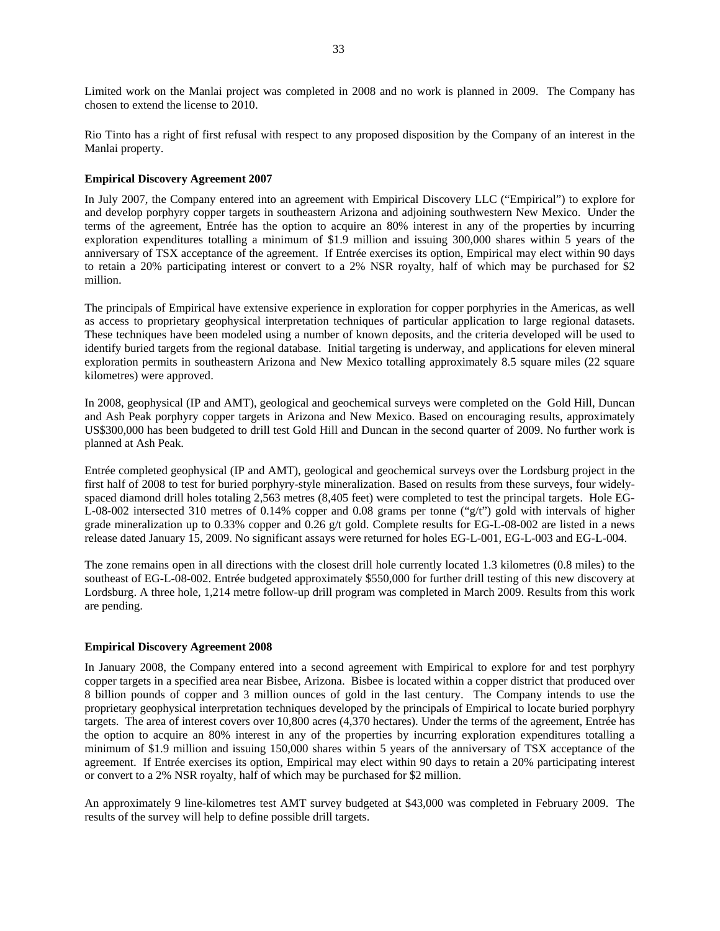Limited work on the Manlai project was completed in 2008 and no work is planned in 2009. The Company has chosen to extend the license to 2010.

Rio Tinto has a right of first refusal with respect to any proposed disposition by the Company of an interest in the Manlai property.

# **Empirical Discovery Agreement 2007**

In July 2007, the Company entered into an agreement with Empirical Discovery LLC ("Empirical") to explore for and develop porphyry copper targets in southeastern Arizona and adjoining southwestern New Mexico. Under the terms of the agreement, Entrée has the option to acquire an 80% interest in any of the properties by incurring exploration expenditures totalling a minimum of \$1.9 million and issuing 300,000 shares within 5 years of the anniversary of TSX acceptance of the agreement. If Entrée exercises its option, Empirical may elect within 90 days to retain a 20% participating interest or convert to a 2% NSR royalty, half of which may be purchased for \$2 million.

The principals of Empirical have extensive experience in exploration for copper porphyries in the Americas, as well as access to proprietary geophysical interpretation techniques of particular application to large regional datasets. These techniques have been modeled using a number of known deposits, and the criteria developed will be used to identify buried targets from the regional database. Initial targeting is underway, and applications for eleven mineral exploration permits in southeastern Arizona and New Mexico totalling approximately 8.5 square miles (22 square kilometres) were approved.

In 2008, geophysical (IP and AMT), geological and geochemical surveys were completed on the Gold Hill, Duncan and Ash Peak porphyry copper targets in Arizona and New Mexico. Based on encouraging results, approximately US\$300,000 has been budgeted to drill test Gold Hill and Duncan in the second quarter of 2009. No further work is planned at Ash Peak.

Entrée completed geophysical (IP and AMT), geological and geochemical surveys over the Lordsburg project in the first half of 2008 to test for buried porphyry-style mineralization. Based on results from these surveys, four widelyspaced diamond drill holes totaling 2,563 metres (8,405 feet) were completed to test the principal targets. Hole EG-L-08-002 intersected 310 metres of 0.14% copper and 0.08 grams per tonne ("g/t") gold with intervals of higher grade mineralization up to 0.33% copper and 0.26 g/t gold. Complete results for EG-L-08-002 are listed in a news release dated January 15, 2009. No significant assays were returned for holes EG-L-001, EG-L-003 and EG-L-004.

The zone remains open in all directions with the closest drill hole currently located 1.3 kilometres (0.8 miles) to the southeast of EG-L-08-002. Entrée budgeted approximately \$550,000 for further drill testing of this new discovery at Lordsburg. A three hole, 1,214 metre follow-up drill program was completed in March 2009. Results from this work are pending.

# **Empirical Discovery Agreement 2008**

In January 2008, the Company entered into a second agreement with Empirical to explore for and test porphyry copper targets in a specified area near Bisbee, Arizona. Bisbee is located within a copper district that produced over 8 billion pounds of copper and 3 million ounces of gold in the last century. The Company intends to use the proprietary geophysical interpretation techniques developed by the principals of Empirical to locate buried porphyry targets. The area of interest covers over 10,800 acres (4,370 hectares). Under the terms of the agreement, Entrée has the option to acquire an 80% interest in any of the properties by incurring exploration expenditures totalling a minimum of \$1.9 million and issuing 150,000 shares within 5 years of the anniversary of TSX acceptance of the agreement. If Entrée exercises its option, Empirical may elect within 90 days to retain a 20% participating interest or convert to a 2% NSR royalty, half of which may be purchased for \$2 million.

An approximately 9 line-kilometres test AMT survey budgeted at \$43,000 was completed in February 2009. The results of the survey will help to define possible drill targets.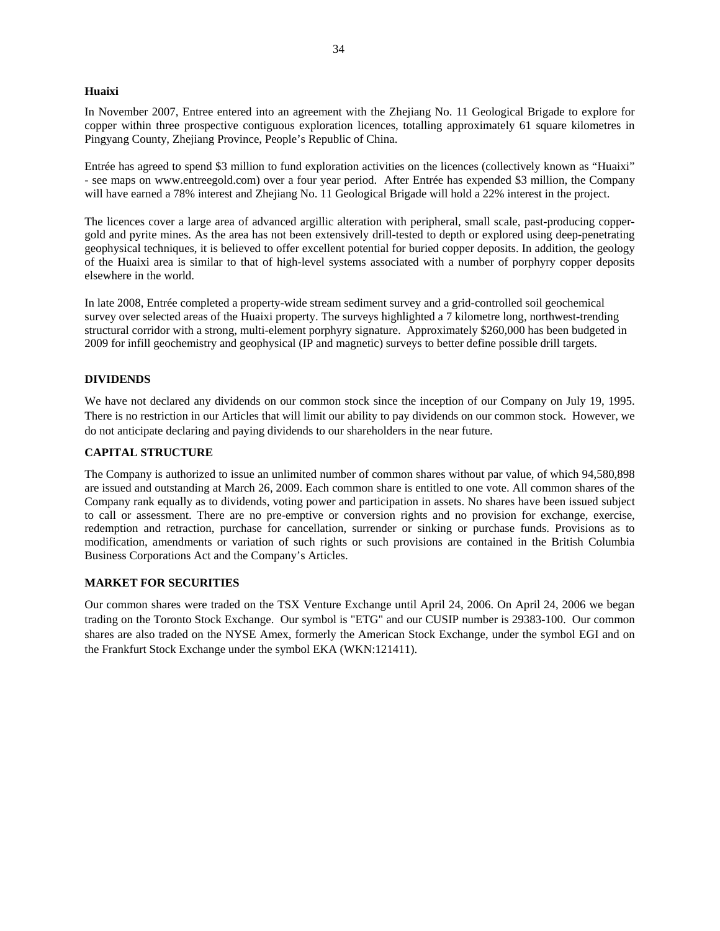#### **Huaixi**

In November 2007, Entree entered into an agreement with the Zhejiang No. 11 Geological Brigade to explore for copper within three prospective contiguous exploration licences, totalling approximately 61 square kilometres in Pingyang County, Zhejiang Province, People's Republic of China.

Entrée has agreed to spend \$3 million to fund exploration activities on the licences (collectively known as "Huaixi" - see maps on www.entreegold.com) over a four year period. After Entrée has expended \$3 million, the Company will have earned a 78% interest and Zhejiang No. 11 Geological Brigade will hold a 22% interest in the project.

The licences cover a large area of advanced argillic alteration with peripheral, small scale, past-producing coppergold and pyrite mines. As the area has not been extensively drill-tested to depth or explored using deep-penetrating geophysical techniques, it is believed to offer excellent potential for buried copper deposits. In addition, the geology of the Huaixi area is similar to that of high-level systems associated with a number of porphyry copper deposits elsewhere in the world.

In late 2008, Entrée completed a property-wide stream sediment survey and a grid-controlled soil geochemical survey over selected areas of the Huaixi property. The surveys highlighted a 7 kilometre long, northwest-trending structural corridor with a strong, multi-element porphyry signature. Approximately \$260,000 has been budgeted in 2009 for infill geochemistry and geophysical (IP and magnetic) surveys to better define possible drill targets.

#### **DIVIDENDS**

We have not declared any dividends on our common stock since the inception of our Company on July 19, 1995. There is no restriction in our Articles that will limit our ability to pay dividends on our common stock. However, we do not anticipate declaring and paying dividends to our shareholders in the near future.

#### **CAPITAL STRUCTURE**

The Company is authorized to issue an unlimited number of common shares without par value, of which 94,580,898 are issued and outstanding at March 26, 2009. Each common share is entitled to one vote. All common shares of the Company rank equally as to dividends, voting power and participation in assets. No shares have been issued subject to call or assessment. There are no pre-emptive or conversion rights and no provision for exchange, exercise, redemption and retraction, purchase for cancellation, surrender or sinking or purchase funds. Provisions as to modification, amendments or variation of such rights or such provisions are contained in the British Columbia Business Corporations Act and the Company's Articles.

#### **MARKET FOR SECURITIES**

Our common shares were traded on the TSX Venture Exchange until April 24, 2006. On April 24, 2006 we began trading on the Toronto Stock Exchange. Our symbol is "ETG" and our CUSIP number is 29383-100. Our common shares are also traded on the NYSE Amex, formerly the American Stock Exchange, under the symbol EGI and on the Frankfurt Stock Exchange under the symbol EKA (WKN:121411).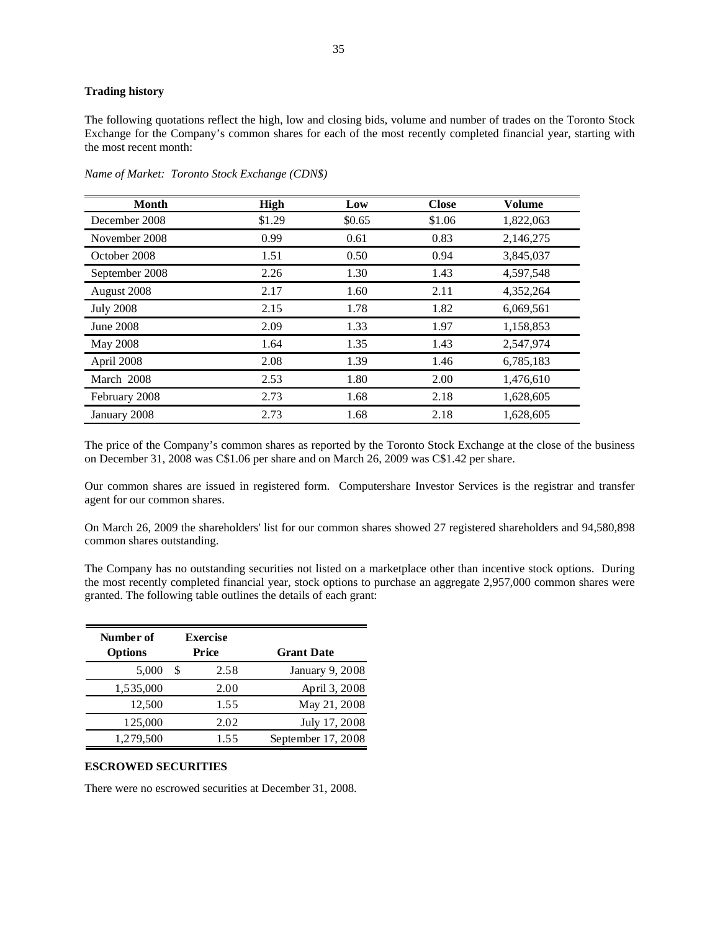# **Trading history**

The following quotations reflect the high, low and closing bids, volume and number of trades on the Toronto Stock Exchange for the Company's common shares for each of the most recently completed financial year, starting with the most recent month:

| <b>Month</b>     | <b>High</b> | Low    | <b>Close</b> | <b>Volume</b> |
|------------------|-------------|--------|--------------|---------------|
| December 2008    | \$1.29      | \$0.65 | \$1.06       | 1,822,063     |
| November 2008    | 0.99        | 0.61   | 0.83         | 2,146,275     |
| October 2008     | 1.51        | 0.50   | 0.94         | 3,845,037     |
| September 2008   | 2.26        | 1.30   | 1.43         | 4,597,548     |
| August 2008      | 2.17        | 1.60   | 2.11         | 4,352,264     |
| <b>July 2008</b> | 2.15        | 1.78   | 1.82         | 6,069,561     |
| June 2008        | 2.09        | 1.33   | 1.97         | 1,158,853     |
| May 2008         | 1.64        | 1.35   | 1.43         | 2,547,974     |
| April 2008       | 2.08        | 1.39   | 1.46         | 6,785,183     |
| March 2008       | 2.53        | 1.80   | 2.00         | 1,476,610     |
| February 2008    | 2.73        | 1.68   | 2.18         | 1,628,605     |
| January 2008     | 2.73        | 1.68   | 2.18         | 1,628,605     |

*Name of Market: Toronto Stock Exchange (CDN\$)* 

The price of the Company's common shares as reported by the Toronto Stock Exchange at the close of the business on December 31, 2008 was C\$1.06 per share and on March 26, 2009 was C\$1.42 per share.

Our common shares are issued in registered form. Computershare Investor Services is the registrar and transfer agent for our common shares.

On March 26, 2009 the shareholders' list for our common shares showed 27 registered shareholders and 94,580,898 common shares outstanding.

The Company has no outstanding securities not listed on a marketplace other than incentive stock options. During the most recently completed financial year, stock options to purchase an aggregate 2,957,000 common shares were granted. The following table outlines the details of each grant:

| Number of<br><b>Options</b> | <b>Exercise</b><br>Price | <b>Grant Date</b>      |
|-----------------------------|--------------------------|------------------------|
| 5,000                       | \$.<br>2.58              | <b>January 9, 2008</b> |
| 1,535,000                   | 2.00                     | April 3, 2008          |
| 12,500                      | 1.55                     | May 21, 2008           |
| 125,000                     | 2.02                     | July 17, 2008          |
| 1,279,500                   | 1.55                     | September 17, 2008     |

#### **ESCROWED SECURITIES**

There were no escrowed securities at December 31, 2008.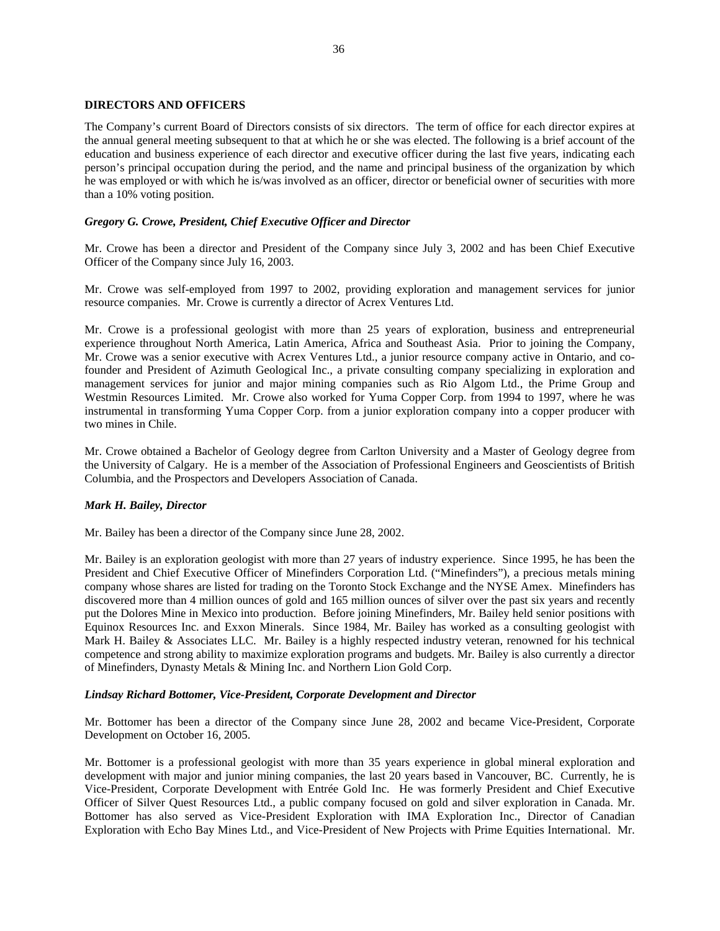#### **DIRECTORS AND OFFICERS**

The Company's current Board of Directors consists of six directors. The term of office for each director expires at the annual general meeting subsequent to that at which he or she was elected. The following is a brief account of the education and business experience of each director and executive officer during the last five years, indicating each person's principal occupation during the period, and the name and principal business of the organization by which he was employed or with which he is/was involved as an officer, director or beneficial owner of securities with more than a 10% voting position.

# *Gregory G. Crowe, President, Chief Executive Officer and Director*

Mr. Crowe has been a director and President of the Company since July 3, 2002 and has been Chief Executive Officer of the Company since July 16, 2003.

Mr. Crowe was self-employed from 1997 to 2002, providing exploration and management services for junior resource companies. Mr. Crowe is currently a director of Acrex Ventures Ltd.

Mr. Crowe is a professional geologist with more than 25 years of exploration, business and entrepreneurial experience throughout North America, Latin America, Africa and Southeast Asia. Prior to joining the Company, Mr. Crowe was a senior executive with Acrex Ventures Ltd., a junior resource company active in Ontario, and cofounder and President of Azimuth Geological Inc., a private consulting company specializing in exploration and management services for junior and major mining companies such as Rio Algom Ltd., the Prime Group and Westmin Resources Limited. Mr. Crowe also worked for Yuma Copper Corp. from 1994 to 1997, where he was instrumental in transforming Yuma Copper Corp. from a junior exploration company into a copper producer with two mines in Chile.

Mr. Crowe obtained a Bachelor of Geology degree from Carlton University and a Master of Geology degree from the University of Calgary. He is a member of the Association of Professional Engineers and Geoscientists of British Columbia, and the Prospectors and Developers Association of Canada.

#### *Mark H. Bailey, Director*

Mr. Bailey has been a director of the Company since June 28, 2002.

Mr. Bailey is an exploration geologist with more than 27 years of industry experience. Since 1995, he has been the President and Chief Executive Officer of Minefinders Corporation Ltd. ("Minefinders"), a precious metals mining company whose shares are listed for trading on the Toronto Stock Exchange and the NYSE Amex. Minefinders has discovered more than 4 million ounces of gold and 165 million ounces of silver over the past six years and recently put the Dolores Mine in Mexico into production. Before joining Minefinders, Mr. Bailey held senior positions with Equinox Resources Inc. and Exxon Minerals. Since 1984, Mr. Bailey has worked as a consulting geologist with Mark H. Bailey & Associates LLC. Mr. Bailey is a highly respected industry veteran, renowned for his technical competence and strong ability to maximize exploration programs and budgets. Mr. Bailey is also currently a director of Minefinders, Dynasty Metals & Mining Inc. and Northern Lion Gold Corp.

#### *Lindsay Richard Bottomer, Vice-President, Corporate Development and Director*

Mr. Bottomer has been a director of the Company since June 28, 2002 and became Vice-President, Corporate Development on October 16, 2005.

Mr. Bottomer is a professional geologist with more than 35 years experience in global mineral exploration and development with major and junior mining companies, the last 20 years based in Vancouver, BC. Currently, he is Vice-President, Corporate Development with Entrée Gold Inc. He was formerly President and Chief Executive Officer of Silver Quest Resources Ltd., a public company focused on gold and silver exploration in Canada. Mr. Bottomer has also served as Vice-President Exploration with IMA Exploration Inc., Director of Canadian Exploration with Echo Bay Mines Ltd., and Vice-President of New Projects with Prime Equities International. Mr.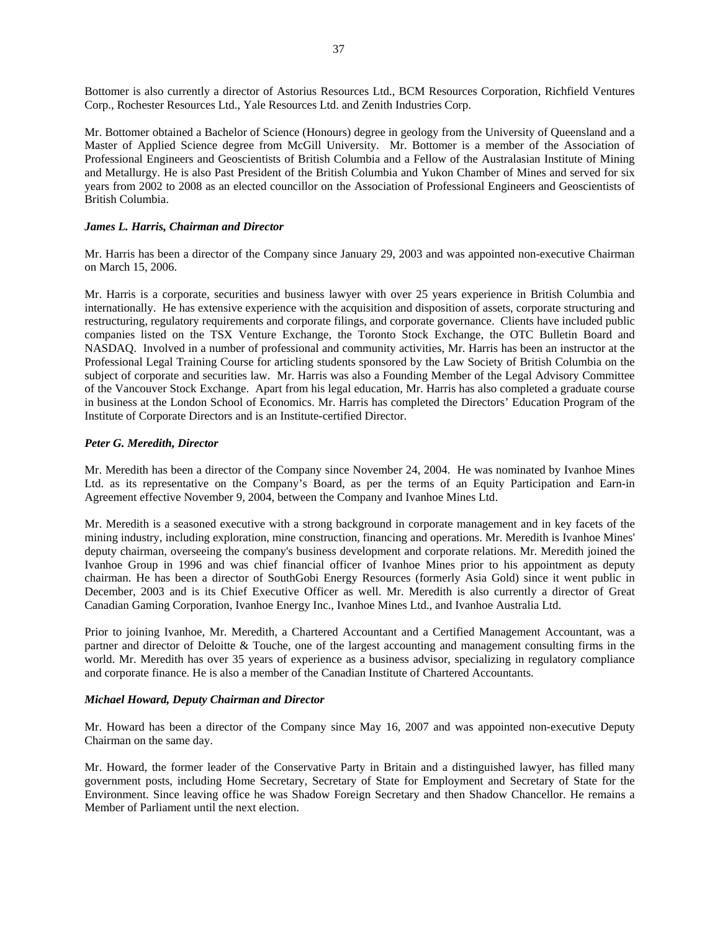Bottomer is also currently a director of Astorius Resources Ltd., BCM Resources Corporation, Richfield Ventures Corp., Rochester Resources Ltd., Yale Resources Ltd. and Zenith Industries Corp.

Mr. Bottomer obtained a Bachelor of Science (Honours) degree in geology from the University of Queensland and a Master of Applied Science degree from McGill University. Mr. Bottomer is a member of the Association of Professional Engineers and Geoscientists of British Columbia and a Fellow of the Australasian Institute of Mining and Metallurgy. He is also Past President of the British Columbia and Yukon Chamber of Mines and served for six years from 2002 to 2008 as an elected councillor on the Association of Professional Engineers and Geoscientists of British Columbia.

# *James L. Harris, Chairman and Director*

Mr. Harris has been a director of the Company since January 29, 2003 and was appointed non-executive Chairman on March 15, 2006.

Mr. Harris is a corporate, securities and business lawyer with over 25 years experience in British Columbia and internationally. He has extensive experience with the acquisition and disposition of assets, corporate structuring and restructuring, regulatory requirements and corporate filings, and corporate governance. Clients have included public companies listed on the TSX Venture Exchange, the Toronto Stock Exchange, the OTC Bulletin Board and NASDAQ. Involved in a number of professional and community activities, Mr. Harris has been an instructor at the Professional Legal Training Course for articling students sponsored by the Law Society of British Columbia on the subject of corporate and securities law. Mr. Harris was also a Founding Member of the Legal Advisory Committee of the Vancouver Stock Exchange. Apart from his legal education, Mr. Harris has also completed a graduate course in business at the London School of Economics. Mr. Harris has completed the Directors' Education Program of the Institute of Corporate Directors and is an Institute-certified Director.

# *Peter G. Meredith, Director*

Mr. Meredith has been a director of the Company since November 24, 2004. He was nominated by Ivanhoe Mines Ltd. as its representative on the Company's Board, as per the terms of an Equity Participation and Earn-in Agreement effective November 9, 2004, between the Company and Ivanhoe Mines Ltd.

Mr. Meredith is a seasoned executive with a strong background in corporate management and in key facets of the mining industry, including exploration, mine construction, financing and operations. Mr. Meredith is Ivanhoe Mines' deputy chairman, overseeing the company's business development and corporate relations. Mr. Meredith joined the Ivanhoe Group in 1996 and was chief financial officer of Ivanhoe Mines prior to his appointment as deputy chairman. He has been a director of SouthGobi Energy Resources (formerly Asia Gold) since it went public in December, 2003 and is its Chief Executive Officer as well. Mr. Meredith is also currently a director of Great Canadian Gaming Corporation, Ivanhoe Energy Inc., Ivanhoe Mines Ltd., and Ivanhoe Australia Ltd.

Prior to joining Ivanhoe, Mr. Meredith, a Chartered Accountant and a Certified Management Accountant, was a partner and director of Deloitte & Touche, one of the largest accounting and management consulting firms in the world. Mr. Meredith has over 35 years of experience as a business advisor, specializing in regulatory compliance and corporate finance. He is also a member of the Canadian Institute of Chartered Accountants.

# *Michael Howard, Deputy Chairman and Director*

Mr. Howard has been a director of the Company since May 16, 2007 and was appointed non-executive Deputy Chairman on the same day.

Mr. Howard, the former leader of the Conservative Party in Britain and a distinguished lawyer, has filled many government posts, including Home Secretary, Secretary of State for Employment and Secretary of State for the Environment. Since leaving office he was Shadow Foreign Secretary and then Shadow Chancellor. He remains a Member of Parliament until the next election.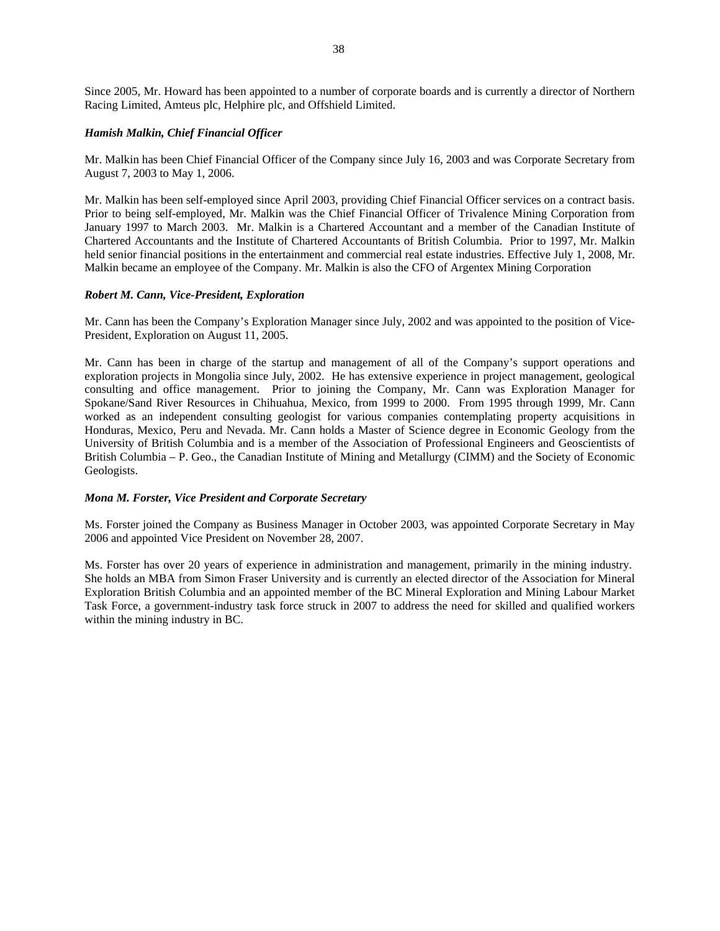Since 2005, Mr. Howard has been appointed to a number of corporate boards and is currently a director of Northern Racing Limited, Amteus plc, Helphire plc, and Offshield Limited.

# *Hamish Malkin, Chief Financial Officer*

Mr. Malkin has been Chief Financial Officer of the Company since July 16, 2003 and was Corporate Secretary from August 7, 2003 to May 1, 2006.

Mr. Malkin has been self-employed since April 2003, providing Chief Financial Officer services on a contract basis. Prior to being self-employed, Mr. Malkin was the Chief Financial Officer of Trivalence Mining Corporation from January 1997 to March 2003. Mr. Malkin is a Chartered Accountant and a member of the Canadian Institute of Chartered Accountants and the Institute of Chartered Accountants of British Columbia. Prior to 1997, Mr. Malkin held senior financial positions in the entertainment and commercial real estate industries. Effective July 1, 2008, Mr. Malkin became an employee of the Company. Mr. Malkin is also the CFO of Argentex Mining Corporation

#### *Robert M. Cann, Vice-President, Exploration*

Mr. Cann has been the Company's Exploration Manager since July, 2002 and was appointed to the position of Vice-President, Exploration on August 11, 2005.

Mr. Cann has been in charge of the startup and management of all of the Company's support operations and exploration projects in Mongolia since July, 2002. He has extensive experience in project management, geological consulting and office management. Prior to joining the Company, Mr. Cann was Exploration Manager for Spokane/Sand River Resources in Chihuahua, Mexico, from 1999 to 2000. From 1995 through 1999, Mr. Cann worked as an independent consulting geologist for various companies contemplating property acquisitions in Honduras, Mexico, Peru and Nevada. Mr. Cann holds a Master of Science degree in Economic Geology from the University of British Columbia and is a member of the Association of Professional Engineers and Geoscientists of British Columbia – P. Geo., the Canadian Institute of Mining and Metallurgy (CIMM) and the Society of Economic Geologists.

# *Mona M. Forster, Vice President and Corporate Secretary*

Ms. Forster joined the Company as Business Manager in October 2003, was appointed Corporate Secretary in May 2006 and appointed Vice President on November 28, 2007.

Ms. Forster has over 20 years of experience in administration and management, primarily in the mining industry. She holds an MBA from Simon Fraser University and is currently an elected director of the Association for Mineral Exploration British Columbia and an appointed member of the BC Mineral Exploration and Mining Labour Market Task Force, a government-industry task force struck in 2007 to address the need for skilled and qualified workers within the mining industry in BC.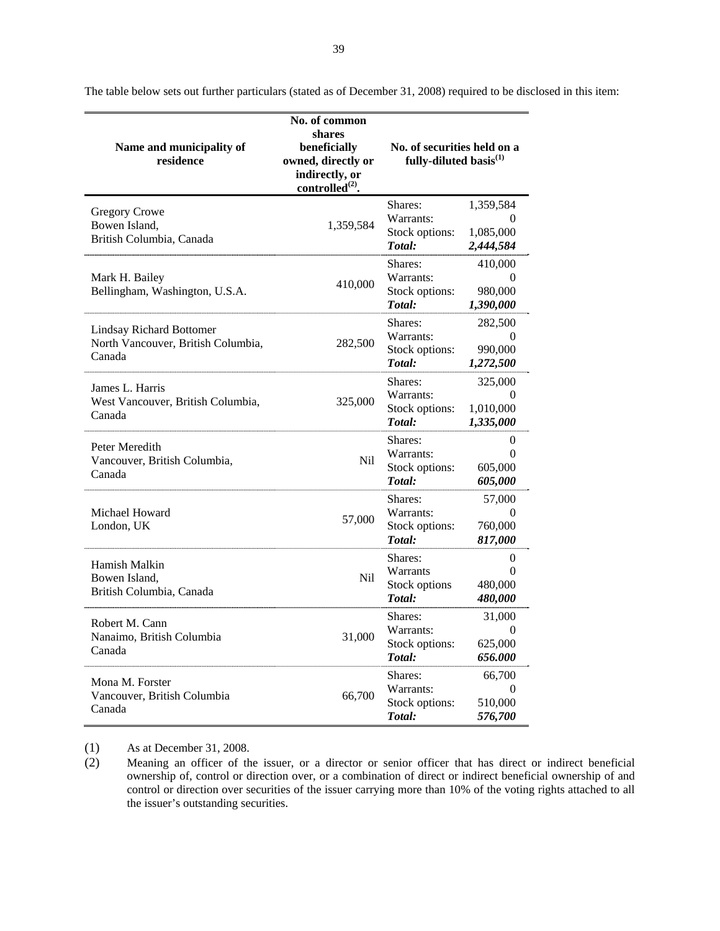| Name and municipality of<br>residence                                           | No. of common<br>shares<br>beneficially<br>owned, directly or<br>indirectly, or<br>controlled $^{(2)}$ . | No. of securities held on a<br>fully-diluted basis <sup>(1)</sup> |                                                 |
|---------------------------------------------------------------------------------|----------------------------------------------------------------------------------------------------------|-------------------------------------------------------------------|-------------------------------------------------|
| <b>Gregory Crowe</b><br>Bowen Island,<br>British Columbia, Canada               | 1,359,584                                                                                                | Shares:<br>Warrants:<br>Stock options:<br>Total:                  | 1,359,584<br>$\theta$<br>1.085.000<br>2,444,584 |
| Mark H. Bailey<br>Bellingham, Washington, U.S.A.                                | 410,000                                                                                                  | Shares:<br>Warrants:<br>Stock options:<br>Total:                  | 410,000<br>0<br>980,000<br>1,390,000            |
| <b>Lindsay Richard Bottomer</b><br>North Vancouver, British Columbia,<br>Canada | 282,500                                                                                                  | Shares:<br>Warrants:<br>Stock options:<br>Total:                  | 282,500<br>$\theta$<br>990,000<br>1,272,500     |
| James L. Harris<br>West Vancouver, British Columbia,<br>Canada                  | 325,000                                                                                                  | Shares:<br>Warrants:<br>Stock options:<br>Total:                  | 325,000<br>$\theta$<br>1,010,000<br>1,335,000   |
| Peter Meredith<br>Vancouver, British Columbia,<br>Canada                        | Nil                                                                                                      | Shares:<br>Warrants:<br>Stock options:<br>Total:                  | 0<br>$\theta$<br>605,000<br>605,000             |
| Michael Howard<br>London, UK                                                    | 57,000                                                                                                   | Shares:<br>Warrants:<br>Stock options:<br>Total:                  | 57,000<br>0<br>760,000<br>817,000               |
| Hamish Malkin<br>Bowen Island,<br>British Columbia, Canada                      | Nil                                                                                                      | Shares:<br>Warrants<br>Stock options<br>Total:                    | $\theta$<br>$\Omega$<br>480,000<br>480,000      |
| Robert M. Cann<br>Nanaimo, British Columbia<br>Canada                           | 31,000                                                                                                   | Shares:<br>Warrants:<br>Stock options:<br>Total:                  | 31,000<br>0<br>625,000<br>656.000               |
| Mona M. Forster<br>Vancouver, British Columbia<br>Canada                        | 66,700                                                                                                   | Shares:<br>Warrants:<br>Stock options:<br>Total:                  | 66,700<br>0<br>510,000<br>576,700               |

The table below sets out further particulars (stated as of December 31, 2008) required to be disclosed in this item:

(1) As at December 31, 2008.

(2) Meaning an officer of the issuer, or a director or senior officer that has direct or indirect beneficial ownership of, control or direction over, or a combination of direct or indirect beneficial ownership of and control or direction over securities of the issuer carrying more than 10% of the voting rights attached to all the issuer's outstanding securities.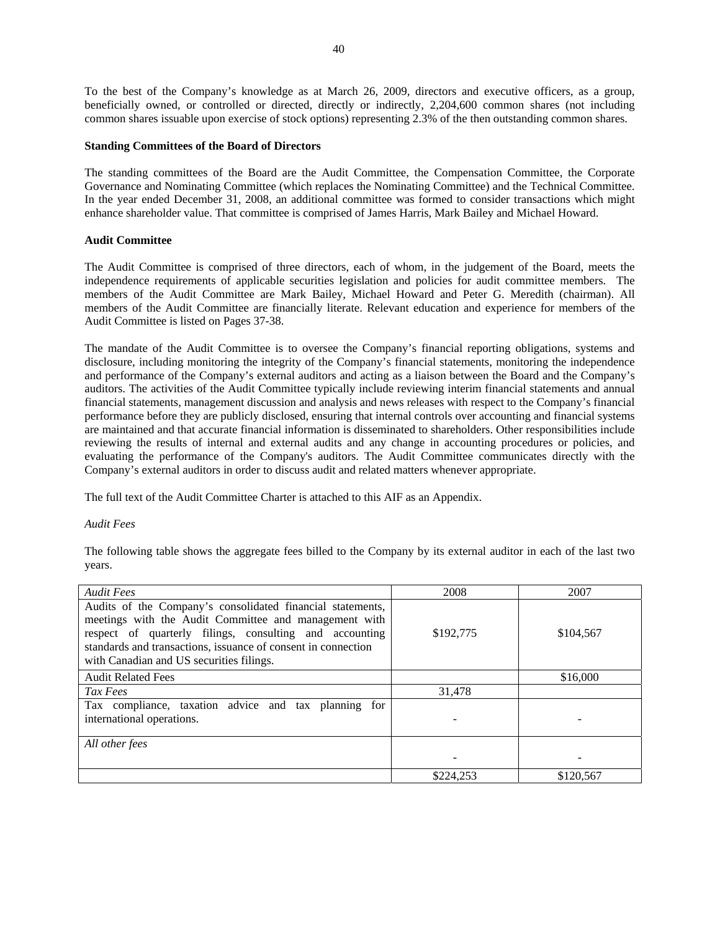To the best of the Company's knowledge as at March 26, 2009, directors and executive officers, as a group, beneficially owned, or controlled or directed, directly or indirectly, 2,204,600 common shares (not including common shares issuable upon exercise of stock options) representing 2.3% of the then outstanding common shares.

# **Standing Committees of the Board of Directors**

The standing committees of the Board are the Audit Committee, the Compensation Committee, the Corporate Governance and Nominating Committee (which replaces the Nominating Committee) and the Technical Committee. In the year ended December 31, 2008, an additional committee was formed to consider transactions which might enhance shareholder value. That committee is comprised of James Harris, Mark Bailey and Michael Howard.

# **Audit Committee**

The Audit Committee is comprised of three directors, each of whom, in the judgement of the Board, meets the independence requirements of applicable securities legislation and policies for audit committee members. The members of the Audit Committee are Mark Bailey, Michael Howard and Peter G. Meredith (chairman). All members of the Audit Committee are financially literate. Relevant education and experience for members of the Audit Committee is listed on Pages 37-38.

The mandate of the Audit Committee is to oversee the Company's financial reporting obligations, systems and disclosure, including monitoring the integrity of the Company's financial statements, monitoring the independence and performance of the Company's external auditors and acting as a liaison between the Board and the Company's auditors. The activities of the Audit Committee typically include reviewing interim financial statements and annual financial statements, management discussion and analysis and news releases with respect to the Company's financial performance before they are publicly disclosed, ensuring that internal controls over accounting and financial systems are maintained and that accurate financial information is disseminated to shareholders. Other responsibilities include reviewing the results of internal and external audits and any change in accounting procedures or policies, and evaluating the performance of the Company's auditors. The Audit Committee communicates directly with the Company's external auditors in order to discuss audit and related matters whenever appropriate.

The full text of the Audit Committee Charter is attached to this AIF as an Appendix.

#### *Audit Fees*

The following table shows the aggregate fees billed to the Company by its external auditor in each of the last two years.

| <b>Audit Fees</b>                                                                                                                                                                                                                                                                           | 2008      | 2007      |
|---------------------------------------------------------------------------------------------------------------------------------------------------------------------------------------------------------------------------------------------------------------------------------------------|-----------|-----------|
| Audits of the Company's consolidated financial statements,<br>meetings with the Audit Committee and management with<br>respect of quarterly filings, consulting and accounting<br>standards and transactions, issuance of consent in connection<br>with Canadian and US securities filings. | \$192,775 | \$104,567 |
| <b>Audit Related Fees</b>                                                                                                                                                                                                                                                                   |           | \$16,000  |
| Tax Fees                                                                                                                                                                                                                                                                                    | 31,478    |           |
| Tax compliance, taxation advice and tax planning<br>for<br>international operations.                                                                                                                                                                                                        |           |           |
| All other fees                                                                                                                                                                                                                                                                              |           |           |
|                                                                                                                                                                                                                                                                                             | \$224,253 | \$120,567 |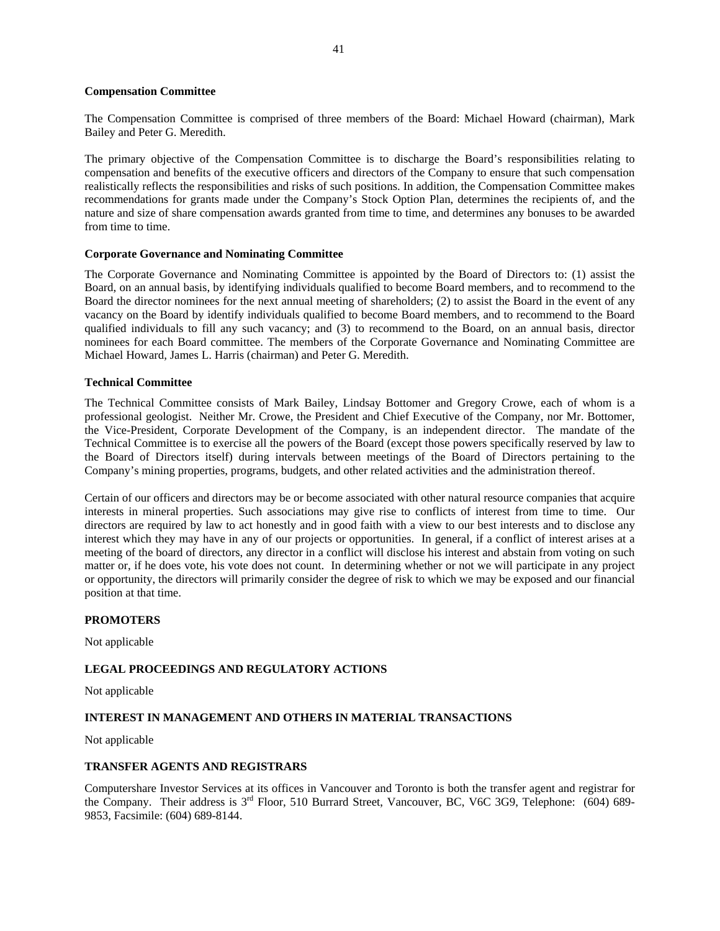#### **Compensation Committee**

The Compensation Committee is comprised of three members of the Board: Michael Howard (chairman), Mark Bailey and Peter G. Meredith.

The primary objective of the Compensation Committee is to discharge the Board's responsibilities relating to compensation and benefits of the executive officers and directors of the Company to ensure that such compensation realistically reflects the responsibilities and risks of such positions. In addition, the Compensation Committee makes recommendations for grants made under the Company's Stock Option Plan, determines the recipients of, and the nature and size of share compensation awards granted from time to time, and determines any bonuses to be awarded from time to time.

#### **Corporate Governance and Nominating Committee**

The Corporate Governance and Nominating Committee is appointed by the Board of Directors to: (1) assist the Board, on an annual basis, by identifying individuals qualified to become Board members, and to recommend to the Board the director nominees for the next annual meeting of shareholders; (2) to assist the Board in the event of any vacancy on the Board by identify individuals qualified to become Board members, and to recommend to the Board qualified individuals to fill any such vacancy; and (3) to recommend to the Board, on an annual basis, director nominees for each Board committee. The members of the Corporate Governance and Nominating Committee are Michael Howard, James L. Harris (chairman) and Peter G. Meredith.

#### **Technical Committee**

The Technical Committee consists of Mark Bailey, Lindsay Bottomer and Gregory Crowe, each of whom is a professional geologist. Neither Mr. Crowe, the President and Chief Executive of the Company, nor Mr. Bottomer, the Vice-President, Corporate Development of the Company, is an independent director. The mandate of the Technical Committee is to exercise all the powers of the Board (except those powers specifically reserved by law to the Board of Directors itself) during intervals between meetings of the Board of Directors pertaining to the Company's mining properties, programs, budgets, and other related activities and the administration thereof.

Certain of our officers and directors may be or become associated with other natural resource companies that acquire interests in mineral properties. Such associations may give rise to conflicts of interest from time to time. Our directors are required by law to act honestly and in good faith with a view to our best interests and to disclose any interest which they may have in any of our projects or opportunities. In general, if a conflict of interest arises at a meeting of the board of directors, any director in a conflict will disclose his interest and abstain from voting on such matter or, if he does vote, his vote does not count. In determining whether or not we will participate in any project or opportunity, the directors will primarily consider the degree of risk to which we may be exposed and our financial position at that time.

#### **PROMOTERS**

Not applicable

# **LEGAL PROCEEDINGS AND REGULATORY ACTIONS**

Not applicable

#### **INTEREST IN MANAGEMENT AND OTHERS IN MATERIAL TRANSACTIONS**

Not applicable

#### **TRANSFER AGENTS AND REGISTRARS**

Computershare Investor Services at its offices in Vancouver and Toronto is both the transfer agent and registrar for the Company. Their address is 3<sup>rd</sup> Floor, 510 Burrard Street, Vancouver, BC, V6C 3G9, Telephone: (604) 689-9853, Facsimile: (604) 689-8144.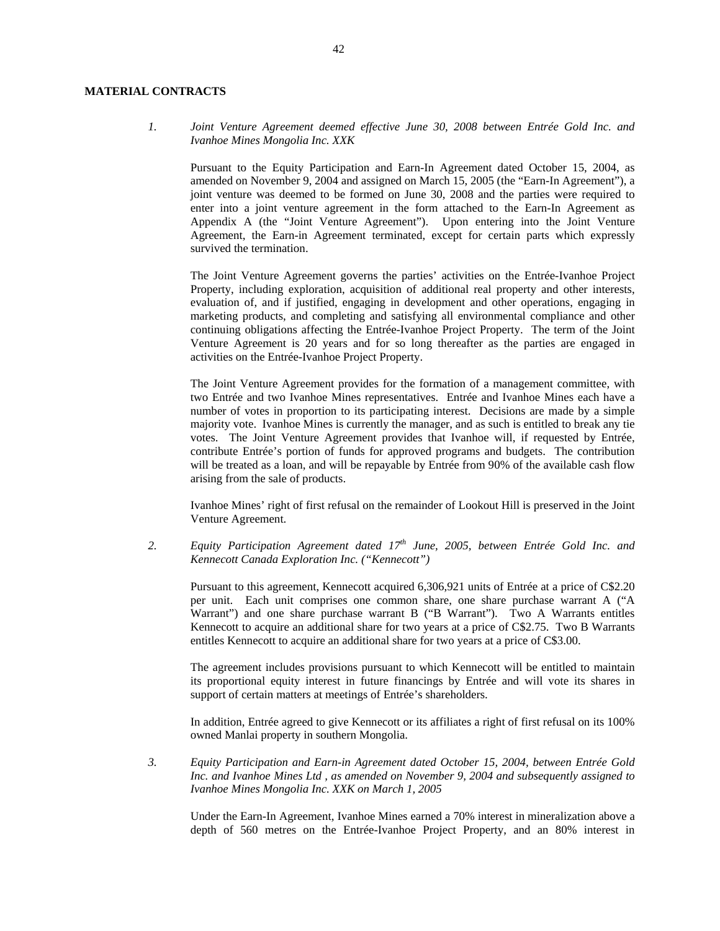# **MATERIAL CONTRACTS**

*1. Joint Venture Agreement deemed effective June 30, 2008 between Entrée Gold Inc. and Ivanhoe Mines Mongolia Inc. XXK* 

Pursuant to the Equity Participation and Earn-In Agreement dated October 15, 2004, as amended on November 9, 2004 and assigned on March 15, 2005 (the "Earn-In Agreement"), a joint venture was deemed to be formed on June 30, 2008 and the parties were required to enter into a joint venture agreement in the form attached to the Earn-In Agreement as Appendix A (the "Joint Venture Agreement"). Upon entering into the Joint Venture Agreement, the Earn-in Agreement terminated, except for certain parts which expressly survived the termination.

The Joint Venture Agreement governs the parties' activities on the Entrée-Ivanhoe Project Property, including exploration, acquisition of additional real property and other interests, evaluation of, and if justified, engaging in development and other operations, engaging in marketing products, and completing and satisfying all environmental compliance and other continuing obligations affecting the Entrée-Ivanhoe Project Property. The term of the Joint Venture Agreement is 20 years and for so long thereafter as the parties are engaged in activities on the Entrée-Ivanhoe Project Property.

The Joint Venture Agreement provides for the formation of a management committee, with two Entrée and two Ivanhoe Mines representatives. Entrée and Ivanhoe Mines each have a number of votes in proportion to its participating interest. Decisions are made by a simple majority vote. Ivanhoe Mines is currently the manager, and as such is entitled to break any tie votes. The Joint Venture Agreement provides that Ivanhoe will, if requested by Entrée, contribute Entrée's portion of funds for approved programs and budgets. The contribution will be treated as a loan, and will be repayable by Entrée from 90% of the available cash flow arising from the sale of products.

Ivanhoe Mines' right of first refusal on the remainder of Lookout Hill is preserved in the Joint Venture Agreement.

*2. Equity Participation Agreement dated 17th June, 2005, between Entrée Gold Inc. and Kennecott Canada Exploration Inc. ("Kennecott")* 

Pursuant to this agreement, Kennecott acquired 6,306,921 units of Entrée at a price of C\$2.20 per unit. Each unit comprises one common share, one share purchase warrant A ("A Warrant") and one share purchase warrant B ("B Warrant"). Two A Warrants entitles Kennecott to acquire an additional share for two years at a price of C\$2.75. Two B Warrants entitles Kennecott to acquire an additional share for two years at a price of C\$3.00.

The agreement includes provisions pursuant to which Kennecott will be entitled to maintain its proportional equity interest in future financings by Entrée and will vote its shares in support of certain matters at meetings of Entrée's shareholders.

In addition, Entrée agreed to give Kennecott or its affiliates a right of first refusal on its 100% owned Manlai property in southern Mongolia.

*3. Equity Participation and Earn-in Agreement dated October 15, 2004, between Entrée Gold Inc. and Ivanhoe Mines Ltd , as amended on November 9, 2004 and subsequently assigned to Ivanhoe Mines Mongolia Inc. XXK on March 1, 2005* 

Under the Earn-In Agreement, Ivanhoe Mines earned a 70% interest in mineralization above a depth of 560 metres on the Entrée-Ivanhoe Project Property, and an 80% interest in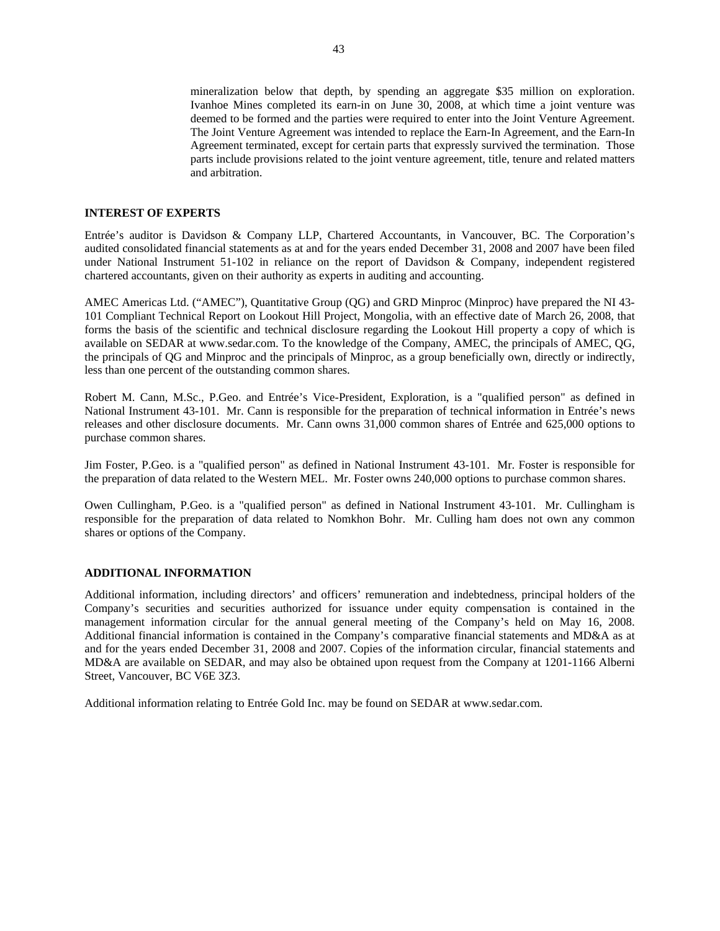mineralization below that depth, by spending an aggregate \$35 million on exploration. Ivanhoe Mines completed its earn-in on June 30, 2008, at which time a joint venture was deemed to be formed and the parties were required to enter into the Joint Venture Agreement. The Joint Venture Agreement was intended to replace the Earn-In Agreement, and the Earn-In Agreement terminated, except for certain parts that expressly survived the termination. Those parts include provisions related to the joint venture agreement, title, tenure and related matters and arbitration.

#### **INTEREST OF EXPERTS**

Entrée's auditor is Davidson & Company LLP, Chartered Accountants, in Vancouver, BC. The Corporation's audited consolidated financial statements as at and for the years ended December 31, 2008 and 2007 have been filed under National Instrument 51-102 in reliance on the report of Davidson & Company, independent registered chartered accountants, given on their authority as experts in auditing and accounting.

AMEC Americas Ltd. ("AMEC"), Quantitative Group (QG) and GRD Minproc (Minproc) have prepared the NI 43- 101 Compliant Technical Report on Lookout Hill Project, Mongolia, with an effective date of March 26, 2008, that forms the basis of the scientific and technical disclosure regarding the Lookout Hill property a copy of which is available on SEDAR at www.sedar.com. To the knowledge of the Company, AMEC, the principals of AMEC, QG, the principals of QG and Minproc and the principals of Minproc, as a group beneficially own, directly or indirectly, less than one percent of the outstanding common shares.

Robert M. Cann, M.Sc., P.Geo. and Entrée's Vice-President, Exploration, is a "qualified person" as defined in National Instrument 43-101. Mr. Cann is responsible for the preparation of technical information in Entrée's news releases and other disclosure documents. Mr. Cann owns 31,000 common shares of Entrée and 625,000 options to purchase common shares.

Jim Foster, P.Geo. is a "qualified person" as defined in National Instrument 43-101. Mr. Foster is responsible for the preparation of data related to the Western MEL. Mr. Foster owns 240,000 options to purchase common shares.

Owen Cullingham, P.Geo. is a "qualified person" as defined in National Instrument 43-101. Mr. Cullingham is responsible for the preparation of data related to Nomkhon Bohr. Mr. Culling ham does not own any common shares or options of the Company.

#### **ADDITIONAL INFORMATION**

Additional information, including directors' and officers' remuneration and indebtedness, principal holders of the Company's securities and securities authorized for issuance under equity compensation is contained in the management information circular for the annual general meeting of the Company's held on May 16, 2008. Additional financial information is contained in the Company's comparative financial statements and MD&A as at and for the years ended December 31, 2008 and 2007. Copies of the information circular, financial statements and MD&A are available on SEDAR, and may also be obtained upon request from the Company at 1201-1166 Alberni Street, Vancouver, BC V6E 3Z3.

Additional information relating to Entrée Gold Inc. may be found on SEDAR at www.sedar.com.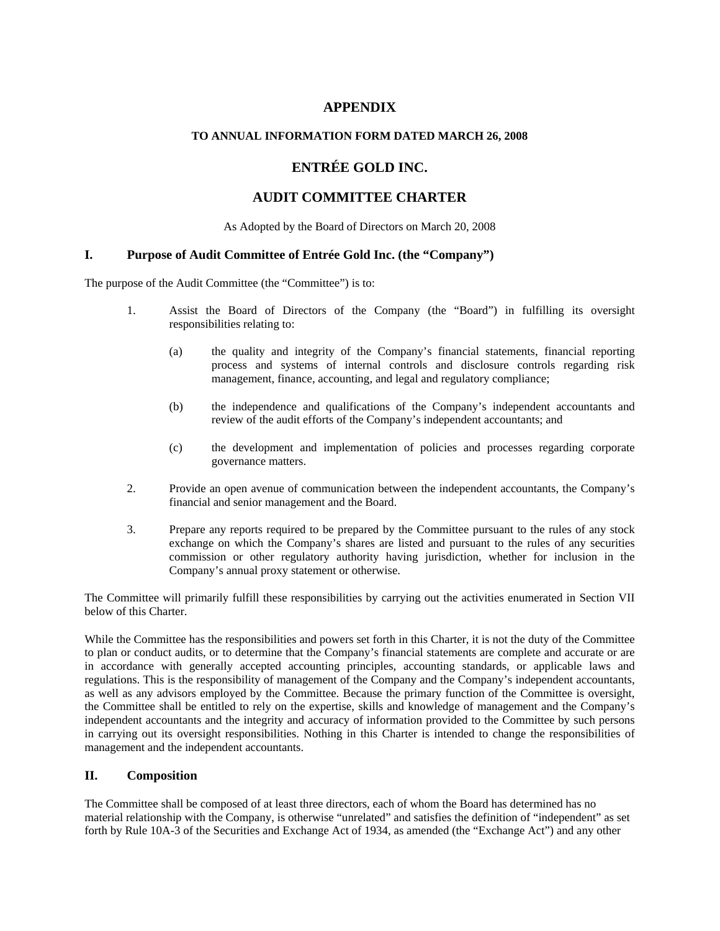# **APPENDIX**

# **TO ANNUAL INFORMATION FORM DATED MARCH 26, 2008**

# **ENTRÉE GOLD INC.**

# **AUDIT COMMITTEE CHARTER**

As Adopted by the Board of Directors on March 20, 2008

# **I. Purpose of Audit Committee of Entrée Gold Inc. (the "Company")**

The purpose of the Audit Committee (the "Committee") is to:

- 1. Assist the Board of Directors of the Company (the "Board") in fulfilling its oversight responsibilities relating to:
	- (a) the quality and integrity of the Company's financial statements, financial reporting process and systems of internal controls and disclosure controls regarding risk management, finance, accounting, and legal and regulatory compliance;
	- (b) the independence and qualifications of the Company's independent accountants and review of the audit efforts of the Company's independent accountants; and
	- (c) the development and implementation of policies and processes regarding corporate governance matters.
- 2. Provide an open avenue of communication between the independent accountants, the Company's financial and senior management and the Board.
- 3. Prepare any reports required to be prepared by the Committee pursuant to the rules of any stock exchange on which the Company's shares are listed and pursuant to the rules of any securities commission or other regulatory authority having jurisdiction, whether for inclusion in the Company's annual proxy statement or otherwise.

The Committee will primarily fulfill these responsibilities by carrying out the activities enumerated in Section VII below of this Charter.

While the Committee has the responsibilities and powers set forth in this Charter, it is not the duty of the Committee to plan or conduct audits, or to determine that the Company's financial statements are complete and accurate or are in accordance with generally accepted accounting principles, accounting standards, or applicable laws and regulations. This is the responsibility of management of the Company and the Company's independent accountants, as well as any advisors employed by the Committee. Because the primary function of the Committee is oversight, the Committee shall be entitled to rely on the expertise, skills and knowledge of management and the Company's independent accountants and the integrity and accuracy of information provided to the Committee by such persons in carrying out its oversight responsibilities. Nothing in this Charter is intended to change the responsibilities of management and the independent accountants.

# **II. Composition**

The Committee shall be composed of at least three directors, each of whom the Board has determined has no material relationship with the Company, is otherwise "unrelated" and satisfies the definition of "independent" as set forth by Rule 10A-3 of the Securities and Exchange Act of 1934, as amended (the "Exchange Act") and any other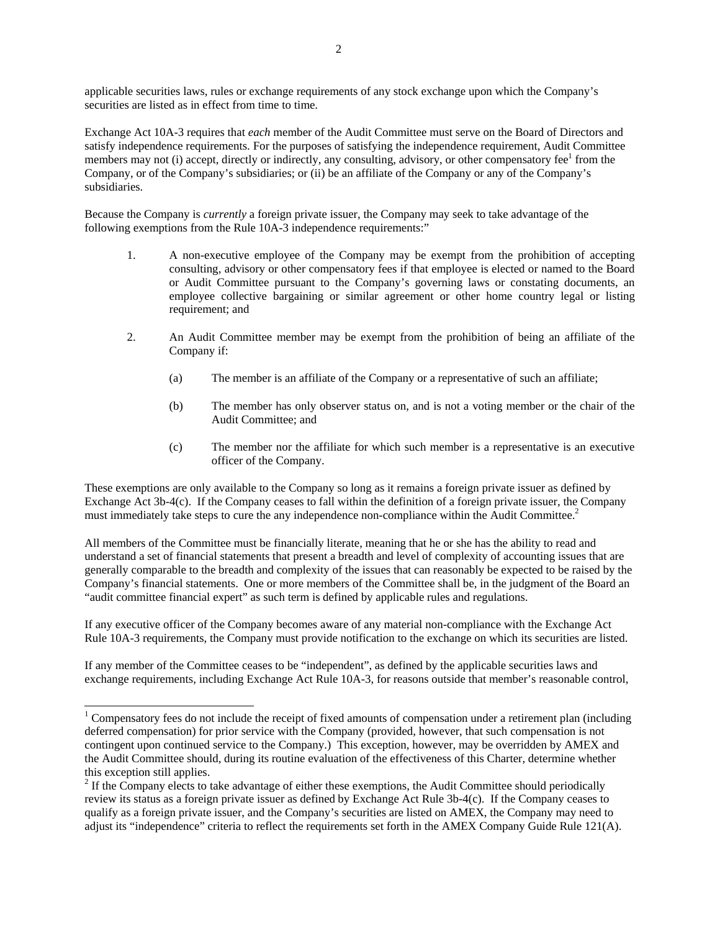applicable securities laws, rules or exchange requirements of any stock exchange upon which the Company's securities are listed as in effect from time to time.

Exchange Act 10A-3 requires that *each* member of the Audit Committee must serve on the Board of Directors and satisfy independence requirements. For the purposes of satisfying the independence requirement, Audit Committee members may not (i) accept, directly or indirectly, any consulting, advisory, or other compensatory fee<sup>1</sup> from the Company, or of the Company's subsidiaries; or (ii) be an affiliate of the Company or any of the Company's subsidiaries.

Because the Company is *currently* a foreign private issuer, the Company may seek to take advantage of the following exemptions from the Rule 10A-3 independence requirements:"

- 1. A non-executive employee of the Company may be exempt from the prohibition of accepting consulting, advisory or other compensatory fees if that employee is elected or named to the Board or Audit Committee pursuant to the Company's governing laws or constating documents, an employee collective bargaining or similar agreement or other home country legal or listing requirement; and
- 2. An Audit Committee member may be exempt from the prohibition of being an affiliate of the Company if:
	- (a) The member is an affiliate of the Company or a representative of such an affiliate;
	- (b) The member has only observer status on, and is not a voting member or the chair of the Audit Committee; and
	- (c) The member nor the affiliate for which such member is a representative is an executive officer of the Company.

These exemptions are only available to the Company so long as it remains a foreign private issuer as defined by Exchange Act 3b-4(c). If the Company ceases to fall within the definition of a foreign private issuer, the Company must immediately take steps to cure the any independence non-compliance within the Audit Committee.<sup>2</sup>

All members of the Committee must be financially literate, meaning that he or she has the ability to read and understand a set of financial statements that present a breadth and level of complexity of accounting issues that are generally comparable to the breadth and complexity of the issues that can reasonably be expected to be raised by the Company's financial statements. One or more members of the Committee shall be, in the judgment of the Board an "audit committee financial expert" as such term is defined by applicable rules and regulations.

If any executive officer of the Company becomes aware of any material non-compliance with the Exchange Act Rule 10A-3 requirements, the Company must provide notification to the exchange on which its securities are listed.

If any member of the Committee ceases to be "independent", as defined by the applicable securities laws and exchange requirements, including Exchange Act Rule 10A-3, for reasons outside that member's reasonable control,

-

<sup>&</sup>lt;sup>1</sup> Compensatory fees do not include the receipt of fixed amounts of compensation under a retirement plan (including deferred compensation) for prior service with the Company (provided, however, that such compensation is not contingent upon continued service to the Company.) This exception, however, may be overridden by AMEX and the Audit Committee should, during its routine evaluation of the effectiveness of this Charter, determine whether this exception still applies.

 $2<sup>2</sup>$  If the Company elects to take advantage of either these exemptions, the Audit Committee should periodically review its status as a foreign private issuer as defined by Exchange Act Rule 3b-4(c). If the Company ceases to qualify as a foreign private issuer, and the Company's securities are listed on AMEX, the Company may need to adjust its "independence" criteria to reflect the requirements set forth in the AMEX Company Guide Rule 121(A).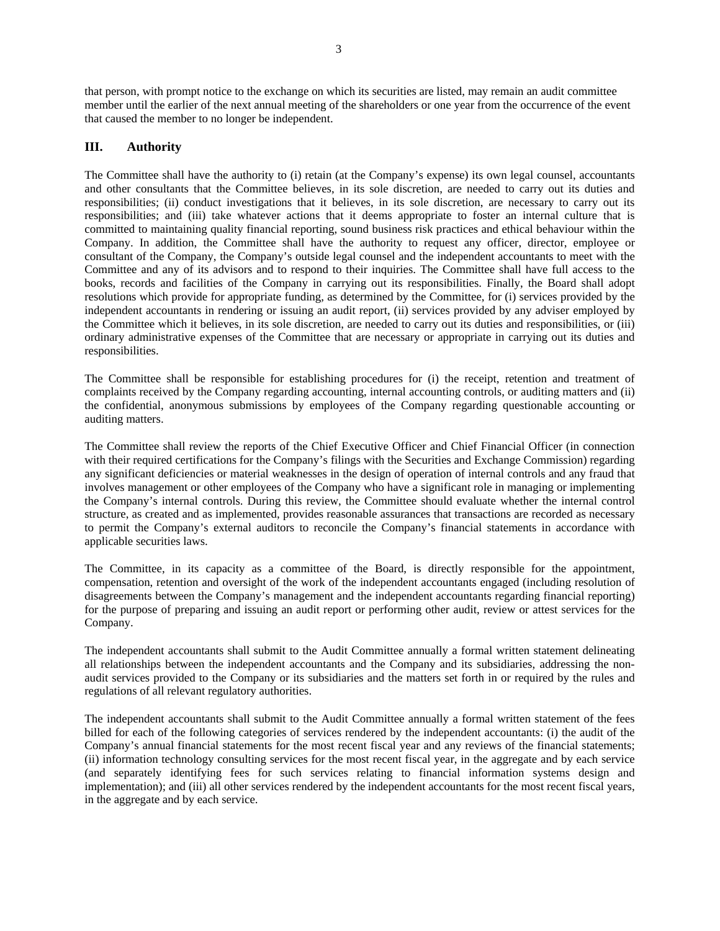that person, with prompt notice to the exchange on which its securities are listed, may remain an audit committee member until the earlier of the next annual meeting of the shareholders or one year from the occurrence of the event that caused the member to no longer be independent.

# **III. Authority**

The Committee shall have the authority to (i) retain (at the Company's expense) its own legal counsel, accountants and other consultants that the Committee believes, in its sole discretion, are needed to carry out its duties and responsibilities; (ii) conduct investigations that it believes, in its sole discretion, are necessary to carry out its responsibilities; and (iii) take whatever actions that it deems appropriate to foster an internal culture that is committed to maintaining quality financial reporting, sound business risk practices and ethical behaviour within the Company. In addition, the Committee shall have the authority to request any officer, director, employee or consultant of the Company, the Company's outside legal counsel and the independent accountants to meet with the Committee and any of its advisors and to respond to their inquiries. The Committee shall have full access to the books, records and facilities of the Company in carrying out its responsibilities. Finally, the Board shall adopt resolutions which provide for appropriate funding, as determined by the Committee, for (i) services provided by the independent accountants in rendering or issuing an audit report, (ii) services provided by any adviser employed by the Committee which it believes, in its sole discretion, are needed to carry out its duties and responsibilities, or (iii) ordinary administrative expenses of the Committee that are necessary or appropriate in carrying out its duties and responsibilities.

The Committee shall be responsible for establishing procedures for (i) the receipt, retention and treatment of complaints received by the Company regarding accounting, internal accounting controls, or auditing matters and (ii) the confidential, anonymous submissions by employees of the Company regarding questionable accounting or auditing matters.

The Committee shall review the reports of the Chief Executive Officer and Chief Financial Officer (in connection with their required certifications for the Company's filings with the Securities and Exchange Commission) regarding any significant deficiencies or material weaknesses in the design of operation of internal controls and any fraud that involves management or other employees of the Company who have a significant role in managing or implementing the Company's internal controls. During this review, the Committee should evaluate whether the internal control structure, as created and as implemented, provides reasonable assurances that transactions are recorded as necessary to permit the Company's external auditors to reconcile the Company's financial statements in accordance with applicable securities laws.

The Committee, in its capacity as a committee of the Board, is directly responsible for the appointment, compensation, retention and oversight of the work of the independent accountants engaged (including resolution of disagreements between the Company's management and the independent accountants regarding financial reporting) for the purpose of preparing and issuing an audit report or performing other audit, review or attest services for the Company.

The independent accountants shall submit to the Audit Committee annually a formal written statement delineating all relationships between the independent accountants and the Company and its subsidiaries, addressing the nonaudit services provided to the Company or its subsidiaries and the matters set forth in or required by the rules and regulations of all relevant regulatory authorities.

The independent accountants shall submit to the Audit Committee annually a formal written statement of the fees billed for each of the following categories of services rendered by the independent accountants: (i) the audit of the Company's annual financial statements for the most recent fiscal year and any reviews of the financial statements; (ii) information technology consulting services for the most recent fiscal year, in the aggregate and by each service (and separately identifying fees for such services relating to financial information systems design and implementation); and (iii) all other services rendered by the independent accountants for the most recent fiscal years, in the aggregate and by each service.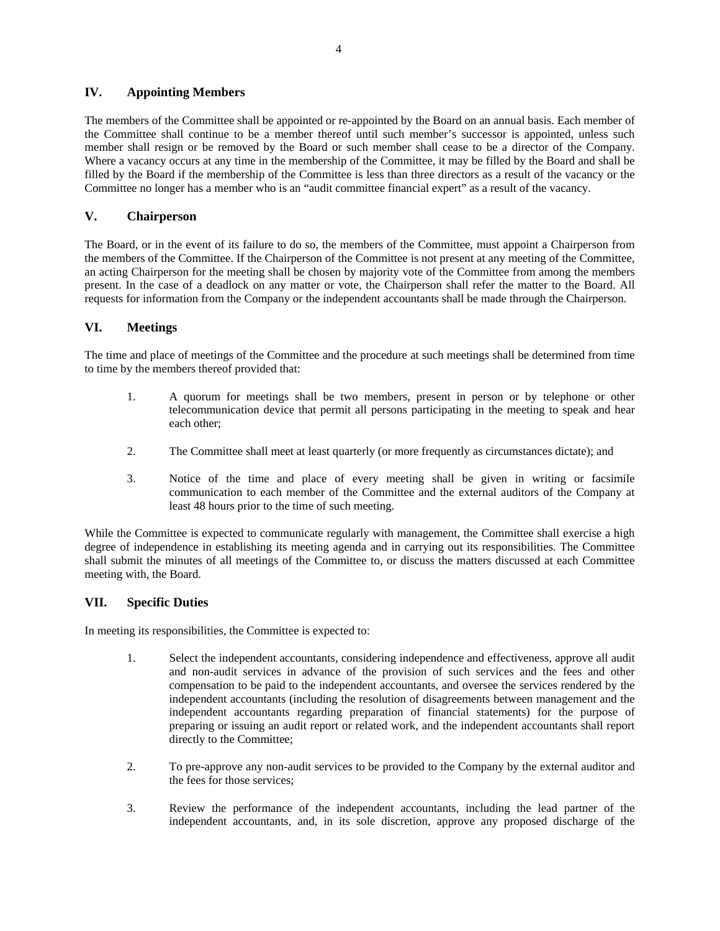# **IV. Appointing Members**

The members of the Committee shall be appointed or re-appointed by the Board on an annual basis. Each member of the Committee shall continue to be a member thereof until such member's successor is appointed, unless such member shall resign or be removed by the Board or such member shall cease to be a director of the Company. Where a vacancy occurs at any time in the membership of the Committee, it may be filled by the Board and shall be filled by the Board if the membership of the Committee is less than three directors as a result of the vacancy or the Committee no longer has a member who is an "audit committee financial expert" as a result of the vacancy.

# **V. Chairperson**

The Board, or in the event of its failure to do so, the members of the Committee, must appoint a Chairperson from the members of the Committee. If the Chairperson of the Committee is not present at any meeting of the Committee, an acting Chairperson for the meeting shall be chosen by majority vote of the Committee from among the members present. In the case of a deadlock on any matter or vote, the Chairperson shall refer the matter to the Board. All requests for information from the Company or the independent accountants shall be made through the Chairperson.

# **VI. Meetings**

The time and place of meetings of the Committee and the procedure at such meetings shall be determined from time to time by the members thereof provided that:

- 1. A quorum for meetings shall be two members, present in person or by telephone or other telecommunication device that permit all persons participating in the meeting to speak and hear each other;
- 2. The Committee shall meet at least quarterly (or more frequently as circumstances dictate); and
- 3. Notice of the time and place of every meeting shall be given in writing or facsimile communication to each member of the Committee and the external auditors of the Company at least 48 hours prior to the time of such meeting.

While the Committee is expected to communicate regularly with management, the Committee shall exercise a high degree of independence in establishing its meeting agenda and in carrying out its responsibilities. The Committee shall submit the minutes of all meetings of the Committee to, or discuss the matters discussed at each Committee meeting with, the Board.

# **VII. Specific Duties**

In meeting its responsibilities, the Committee is expected to:

- 1. Select the independent accountants, considering independence and effectiveness, approve all audit and non-audit services in advance of the provision of such services and the fees and other compensation to be paid to the independent accountants, and oversee the services rendered by the independent accountants (including the resolution of disagreements between management and the independent accountants regarding preparation of financial statements) for the purpose of preparing or issuing an audit report or related work, and the independent accountants shall report directly to the Committee;
- 2. To pre-approve any non-audit services to be provided to the Company by the external auditor and the fees for those services;
- 3. Review the performance of the independent accountants, including the lead partner of the independent accountants, and, in its sole discretion, approve any proposed discharge of the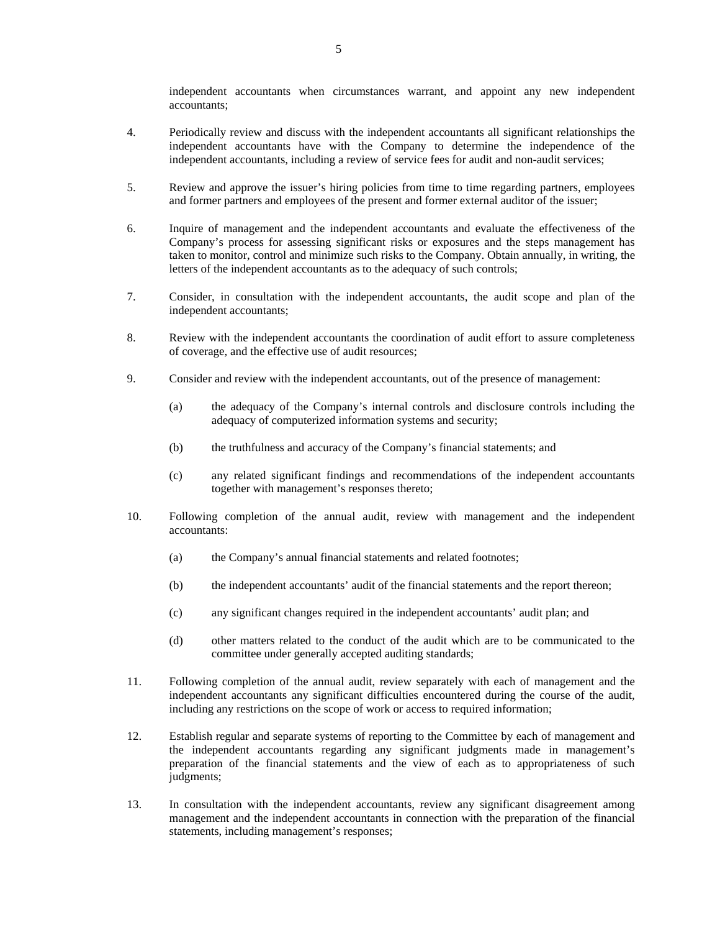independent accountants when circumstances warrant, and appoint any new independent accountants;

- 4. Periodically review and discuss with the independent accountants all significant relationships the independent accountants have with the Company to determine the independence of the independent accountants, including a review of service fees for audit and non-audit services;
- 5. Review and approve the issuer's hiring policies from time to time regarding partners, employees and former partners and employees of the present and former external auditor of the issuer;
- 6. Inquire of management and the independent accountants and evaluate the effectiveness of the Company's process for assessing significant risks or exposures and the steps management has taken to monitor, control and minimize such risks to the Company. Obtain annually, in writing, the letters of the independent accountants as to the adequacy of such controls;
- 7. Consider, in consultation with the independent accountants, the audit scope and plan of the independent accountants;
- 8. Review with the independent accountants the coordination of audit effort to assure completeness of coverage, and the effective use of audit resources;
- 9. Consider and review with the independent accountants, out of the presence of management:
	- (a) the adequacy of the Company's internal controls and disclosure controls including the adequacy of computerized information systems and security;
	- (b) the truthfulness and accuracy of the Company's financial statements; and
	- (c) any related significant findings and recommendations of the independent accountants together with management's responses thereto;
- 10. Following completion of the annual audit, review with management and the independent accountants:
	- (a) the Company's annual financial statements and related footnotes;
	- (b) the independent accountants' audit of the financial statements and the report thereon;
	- (c) any significant changes required in the independent accountants' audit plan; and
	- (d) other matters related to the conduct of the audit which are to be communicated to the committee under generally accepted auditing standards;
- 11. Following completion of the annual audit, review separately with each of management and the independent accountants any significant difficulties encountered during the course of the audit, including any restrictions on the scope of work or access to required information;
- 12. Establish regular and separate systems of reporting to the Committee by each of management and the independent accountants regarding any significant judgments made in management's preparation of the financial statements and the view of each as to appropriateness of such judgments;
- 13. In consultation with the independent accountants, review any significant disagreement among management and the independent accountants in connection with the preparation of the financial statements, including management's responses;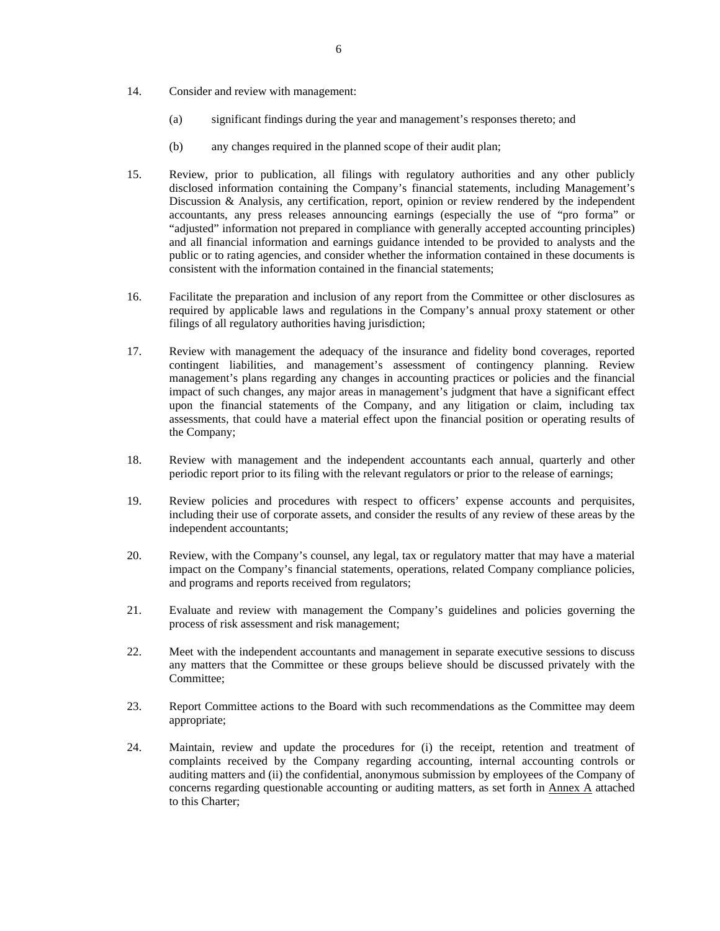- 14. Consider and review with management:
	- (a) significant findings during the year and management's responses thereto; and
	- (b) any changes required in the planned scope of their audit plan;
- 15. Review, prior to publication, all filings with regulatory authorities and any other publicly disclosed information containing the Company's financial statements, including Management's Discussion & Analysis, any certification, report, opinion or review rendered by the independent accountants, any press releases announcing earnings (especially the use of "pro forma" or "adjusted" information not prepared in compliance with generally accepted accounting principles) and all financial information and earnings guidance intended to be provided to analysts and the public or to rating agencies, and consider whether the information contained in these documents is consistent with the information contained in the financial statements;
- 16. Facilitate the preparation and inclusion of any report from the Committee or other disclosures as required by applicable laws and regulations in the Company's annual proxy statement or other filings of all regulatory authorities having jurisdiction;
- 17. Review with management the adequacy of the insurance and fidelity bond coverages, reported contingent liabilities, and management's assessment of contingency planning. Review management's plans regarding any changes in accounting practices or policies and the financial impact of such changes, any major areas in management's judgment that have a significant effect upon the financial statements of the Company, and any litigation or claim, including tax assessments, that could have a material effect upon the financial position or operating results of the Company;
- 18. Review with management and the independent accountants each annual, quarterly and other periodic report prior to its filing with the relevant regulators or prior to the release of earnings;
- 19. Review policies and procedures with respect to officers' expense accounts and perquisites, including their use of corporate assets, and consider the results of any review of these areas by the independent accountants;
- 20. Review, with the Company's counsel, any legal, tax or regulatory matter that may have a material impact on the Company's financial statements, operations, related Company compliance policies, and programs and reports received from regulators;
- 21. Evaluate and review with management the Company's guidelines and policies governing the process of risk assessment and risk management;
- 22. Meet with the independent accountants and management in separate executive sessions to discuss any matters that the Committee or these groups believe should be discussed privately with the Committee;
- 23. Report Committee actions to the Board with such recommendations as the Committee may deem appropriate;
- 24. Maintain, review and update the procedures for (i) the receipt, retention and treatment of complaints received by the Company regarding accounting, internal accounting controls or auditing matters and (ii) the confidential, anonymous submission by employees of the Company of concerns regarding questionable accounting or auditing matters, as set forth in Annex A attached to this Charter;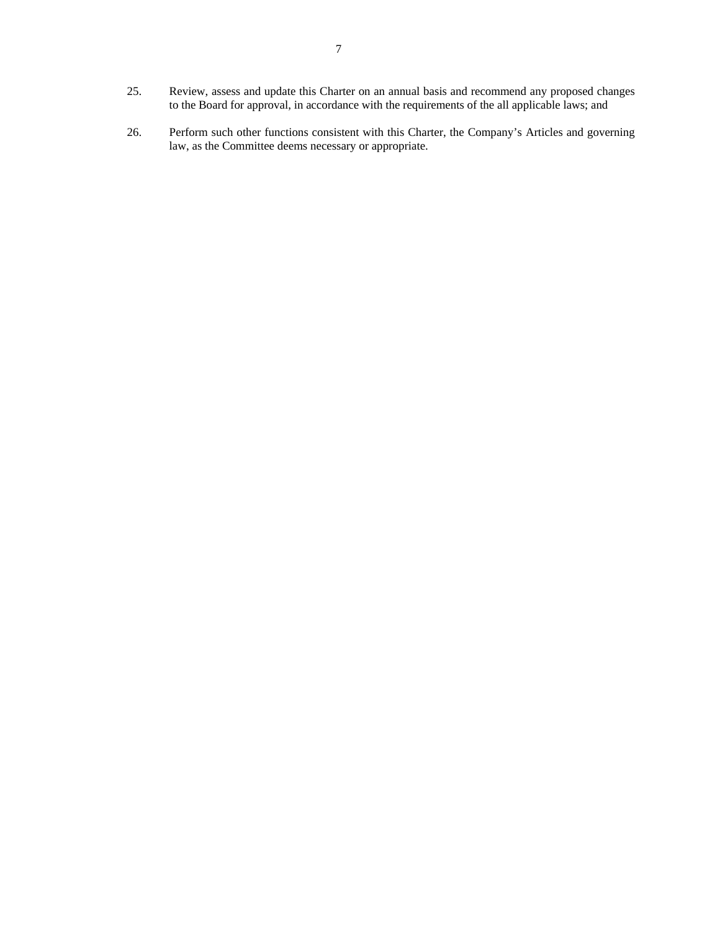- 25. Review, assess and update this Charter on an annual basis and recommend any proposed changes to the Board for approval, in accordance with the requirements of the all applicable laws; and
- 26. Perform such other functions consistent with this Charter, the Company's Articles and governing law, as the Committee deems necessary or appropriate.